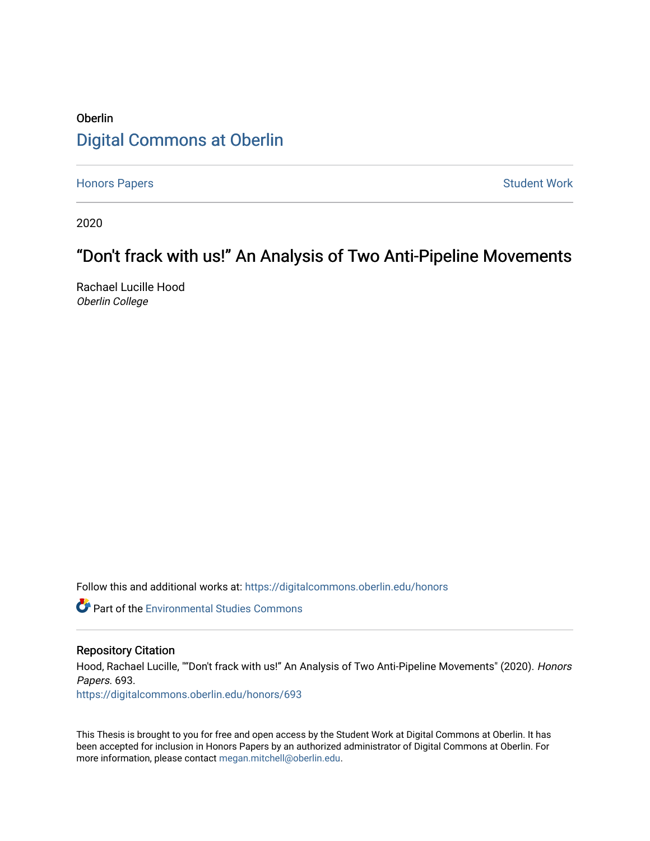# **Oberlin** [Digital Commons at Oberlin](https://digitalcommons.oberlin.edu/)

[Honors Papers](https://digitalcommons.oberlin.edu/honors) **Student Work** 

2020

# "Don't frack with us!" An Analysis of Two Anti-Pipeline Movements

Rachael Lucille Hood Oberlin College

Follow this and additional works at: [https://digitalcommons.oberlin.edu/honors](https://digitalcommons.oberlin.edu/honors?utm_source=digitalcommons.oberlin.edu%2Fhonors%2F693&utm_medium=PDF&utm_campaign=PDFCoverPages) 

**Part of the [Environmental Studies Commons](http://network.bepress.com/hgg/discipline/1333?utm_source=digitalcommons.oberlin.edu%2Fhonors%2F693&utm_medium=PDF&utm_campaign=PDFCoverPages)** 

#### Repository Citation

Hood, Rachael Lucille, ""Don't frack with us!" An Analysis of Two Anti-Pipeline Movements" (2020). Honors Papers. 693.

[https://digitalcommons.oberlin.edu/honors/693](https://digitalcommons.oberlin.edu/honors/693?utm_source=digitalcommons.oberlin.edu%2Fhonors%2F693&utm_medium=PDF&utm_campaign=PDFCoverPages) 

This Thesis is brought to you for free and open access by the Student Work at Digital Commons at Oberlin. It has been accepted for inclusion in Honors Papers by an authorized administrator of Digital Commons at Oberlin. For more information, please contact [megan.mitchell@oberlin.edu.](mailto:megan.mitchell@oberlin.edu)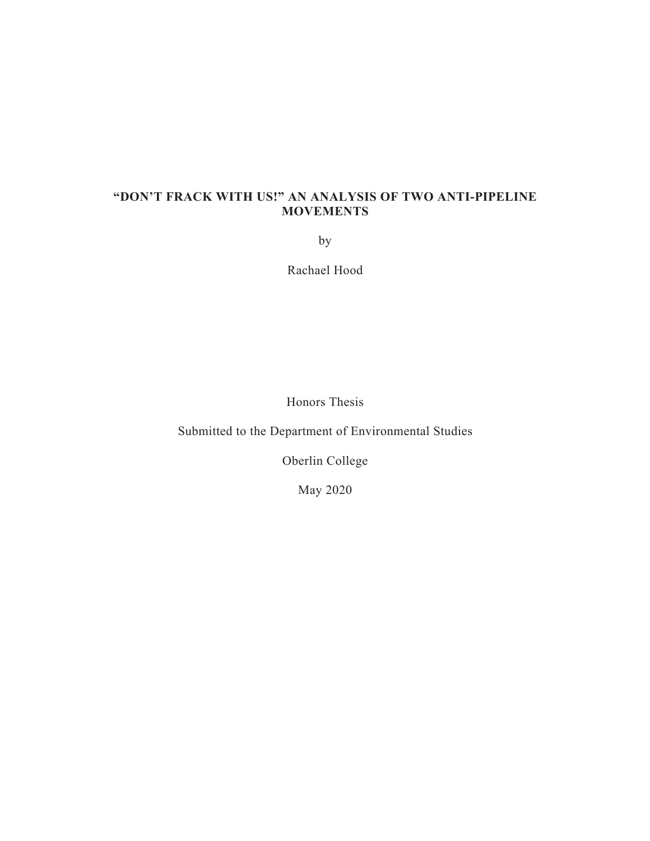# **"DON'T FRACK WITH US!" AN ANALYSIS OF TWO ANTI-PIPELINE MOVEMENTS**

by

Rachael Hood

Honors Thesis

Submitted to the Department of Environmental Studies

Oberlin College

May 2020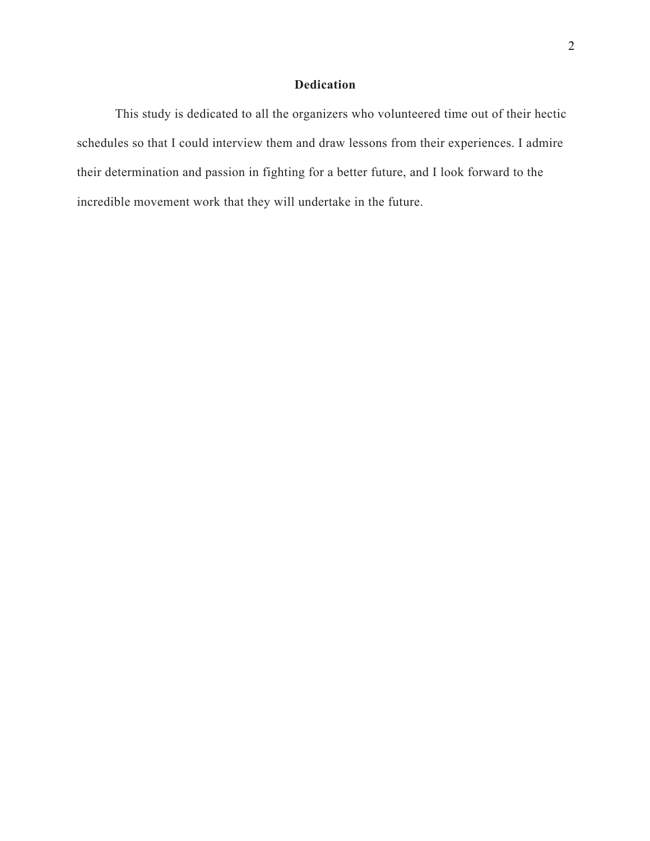# **Dedication**

This study is dedicated to all the organizers who volunteered time out of their hectic schedules so that I could interview them and draw lessons from their experiences. I admire their determination and passion in fighting for a better future, and I look forward to the incredible movement work that they will undertake in the future.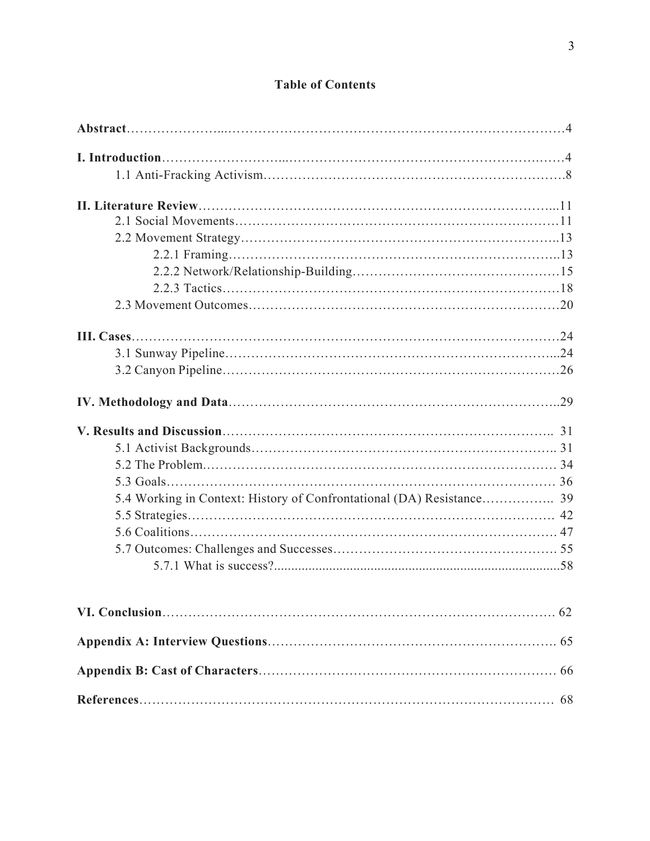# **Table of Contents**

| 5.4 Working in Context: History of Confrontational (DA) Resistance 39 |  |
|-----------------------------------------------------------------------|--|
|                                                                       |  |
|                                                                       |  |
|                                                                       |  |
|                                                                       |  |
|                                                                       |  |
|                                                                       |  |
|                                                                       |  |
|                                                                       |  |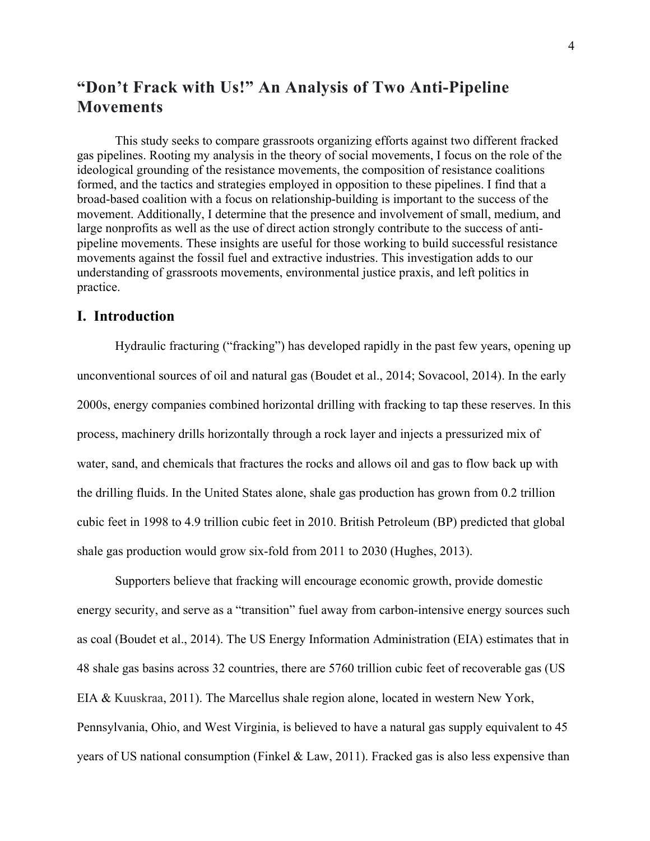# **"Don't Frack with Us!" An Analysis of Two Anti-Pipeline Movements**

This study seeks to compare grassroots organizing efforts against two different fracked gas pipelines. Rooting my analysis in the theory of social movements, I focus on the role of the ideological grounding of the resistance movements, the composition of resistance coalitions formed, and the tactics and strategies employed in opposition to these pipelines. I find that a broad-based coalition with a focus on relationship-building is important to the success of the movement. Additionally, I determine that the presence and involvement of small, medium, and large nonprofits as well as the use of direct action strongly contribute to the success of antipipeline movements. These insights are useful for those working to build successful resistance movements against the fossil fuel and extractive industries. This investigation adds to our understanding of grassroots movements, environmental justice praxis, and left politics in practice.

# **I. Introduction**

Hydraulic fracturing ("fracking") has developed rapidly in the past few years, opening up unconventional sources of oil and natural gas (Boudet et al., 2014; Sovacool, 2014). In the early 2000s, energy companies combined horizontal drilling with fracking to tap these reserves. In this process, machinery drills horizontally through a rock layer and injects a pressurized mix of water, sand, and chemicals that fractures the rocks and allows oil and gas to flow back up with the drilling fluids. In the United States alone, shale gas production has grown from 0.2 trillion cubic feet in 1998 to 4.9 trillion cubic feet in 2010. British Petroleum (BP) predicted that global shale gas production would grow six-fold from 2011 to 2030 (Hughes, 2013).

Supporters believe that fracking will encourage economic growth, provide domestic energy security, and serve as a "transition" fuel away from carbon-intensive energy sources such as coal (Boudet et al., 2014). The US Energy Information Administration (EIA) estimates that in 48 shale gas basins across 32 countries, there are 5760 trillion cubic feet of recoverable gas (US EIA & Kuuskraa, 2011). The Marcellus shale region alone, located in western New York, Pennsylvania, Ohio, and West Virginia, is believed to have a natural gas supply equivalent to 45 years of US national consumption (Finkel  $\&$  Law, 2011). Fracked gas is also less expensive than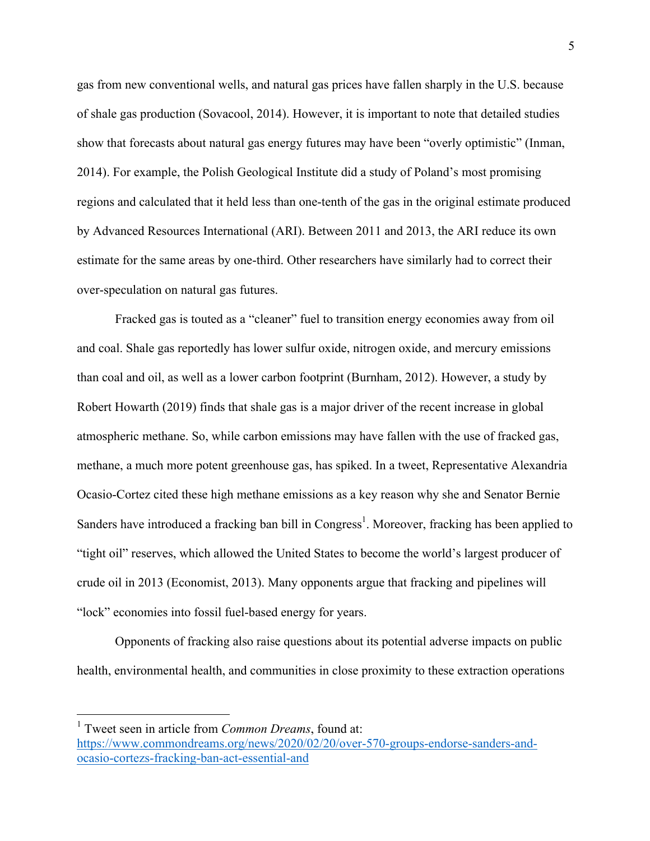gas from new conventional wells, and natural gas prices have fallen sharply in the U.S. because of shale gas production (Sovacool, 2014). However, it is important to note that detailed studies show that forecasts about natural gas energy futures may have been "overly optimistic" (Inman, 2014). For example, the Polish Geological Institute did a study of Poland's most promising regions and calculated that it held less than one-tenth of the gas in the original estimate produced by Advanced Resources International (ARI). Between 2011 and 2013, the ARI reduce its own estimate for the same areas by one-third. Other researchers have similarly had to correct their over-speculation on natural gas futures.

Fracked gas is touted as a "cleaner" fuel to transition energy economies away from oil and coal. Shale gas reportedly has lower sulfur oxide, nitrogen oxide, and mercury emissions than coal and oil, as well as a lower carbon footprint (Burnham, 2012). However, a study by Robert Howarth (2019) finds that shale gas is a major driver of the recent increase in global atmospheric methane. So, while carbon emissions may have fallen with the use of fracked gas, methane, a much more potent greenhouse gas, has spiked. In a tweet, Representative Alexandria Ocasio-Cortez cited these high methane emissions as a key reason why she and Senator Bernie Sanders have introduced a fracking ban bill in Congress<sup>1</sup>. Moreover, fracking has been applied to "tight oil" reserves, which allowed the United States to become the world's largest producer of crude oil in 2013 (Economist, 2013). Many opponents argue that fracking and pipelines will "lock" economies into fossil fuel-based energy for years.

Opponents of fracking also raise questions about its potential adverse impacts on public health, environmental health, and communities in close proximity to these extraction operations

 <sup>1</sup> Tweet seen in article from *Common Dreams*, found at: https://www.commondreams.org/news/2020/02/20/over-570-groups-endorse-sanders-andocasio-cortezs-fracking-ban-act-essential-and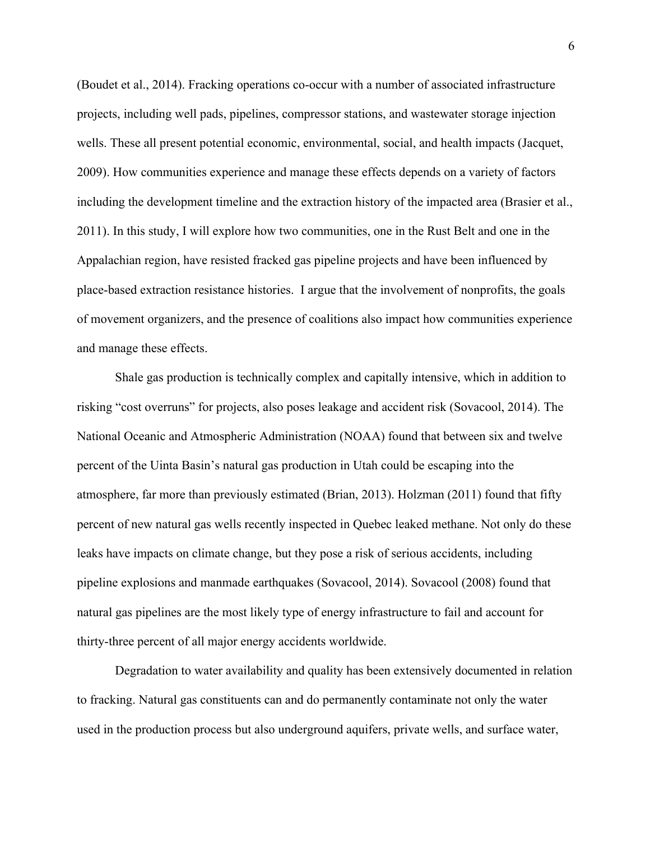(Boudet et al., 2014). Fracking operations co-occur with a number of associated infrastructure projects, including well pads, pipelines, compressor stations, and wastewater storage injection wells. These all present potential economic, environmental, social, and health impacts (Jacquet, 2009). How communities experience and manage these effects depends on a variety of factors including the development timeline and the extraction history of the impacted area (Brasier et al., 2011). In this study, I will explore how two communities, one in the Rust Belt and one in the Appalachian region, have resisted fracked gas pipeline projects and have been influenced by place-based extraction resistance histories. I argue that the involvement of nonprofits, the goals of movement organizers, and the presence of coalitions also impact how communities experience and manage these effects.

Shale gas production is technically complex and capitally intensive, which in addition to risking "cost overruns" for projects, also poses leakage and accident risk (Sovacool, 2014). The National Oceanic and Atmospheric Administration (NOAA) found that between six and twelve percent of the Uinta Basin's natural gas production in Utah could be escaping into the atmosphere, far more than previously estimated (Brian, 2013). Holzman (2011) found that fifty percent of new natural gas wells recently inspected in Quebec leaked methane. Not only do these leaks have impacts on climate change, but they pose a risk of serious accidents, including pipeline explosions and manmade earthquakes (Sovacool, 2014). Sovacool (2008) found that natural gas pipelines are the most likely type of energy infrastructure to fail and account for thirty-three percent of all major energy accidents worldwide.

Degradation to water availability and quality has been extensively documented in relation to fracking. Natural gas constituents can and do permanently contaminate not only the water used in the production process but also underground aquifers, private wells, and surface water,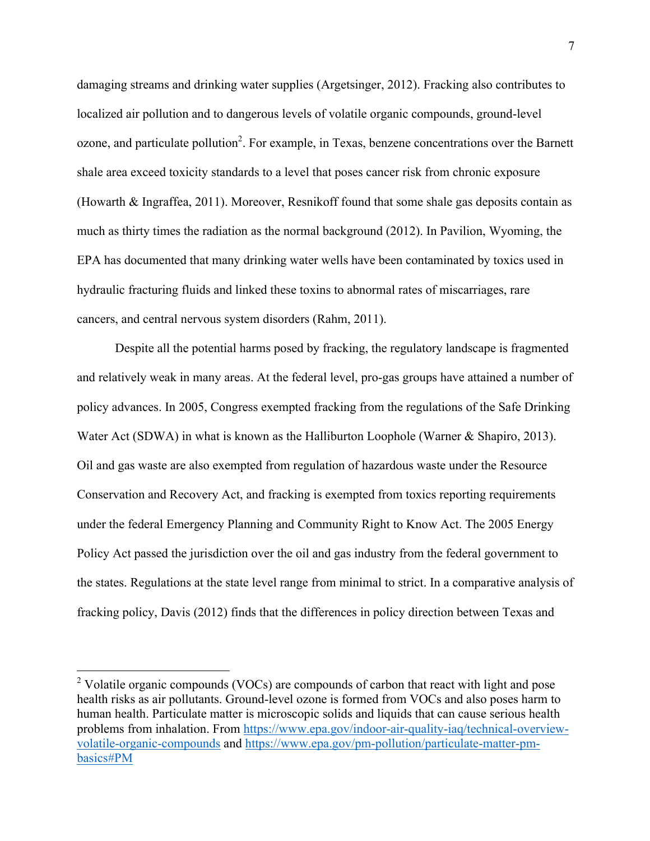damaging streams and drinking water supplies (Argetsinger, 2012). Fracking also contributes to localized air pollution and to dangerous levels of volatile organic compounds, ground-level ozone, and particulate pollution<sup>2</sup>. For example, in Texas, benzene concentrations over the Barnett shale area exceed toxicity standards to a level that poses cancer risk from chronic exposure (Howarth & Ingraffea, 2011). Moreover, Resnikoff found that some shale gas deposits contain as much as thirty times the radiation as the normal background (2012). In Pavilion, Wyoming, the EPA has documented that many drinking water wells have been contaminated by toxics used in hydraulic fracturing fluids and linked these toxins to abnormal rates of miscarriages, rare cancers, and central nervous system disorders (Rahm, 2011).

Despite all the potential harms posed by fracking, the regulatory landscape is fragmented and relatively weak in many areas. At the federal level, pro-gas groups have attained a number of policy advances. In 2005, Congress exempted fracking from the regulations of the Safe Drinking Water Act (SDWA) in what is known as the Halliburton Loophole (Warner & Shapiro, 2013). Oil and gas waste are also exempted from regulation of hazardous waste under the Resource Conservation and Recovery Act, and fracking is exempted from toxics reporting requirements under the federal Emergency Planning and Community Right to Know Act. The 2005 Energy Policy Act passed the jurisdiction over the oil and gas industry from the federal government to the states. Regulations at the state level range from minimal to strict. In a comparative analysis of fracking policy, Davis (2012) finds that the differences in policy direction between Texas and

 $2$  Volatile organic compounds (VOCs) are compounds of carbon that react with light and pose health risks as air pollutants. Ground-level ozone is formed from VOCs and also poses harm to human health. Particulate matter is microscopic solids and liquids that can cause serious health problems from inhalation. From https://www.epa.gov/indoor-air-quality-iaq/technical-overviewvolatile-organic-compounds and https://www.epa.gov/pm-pollution/particulate-matter-pmbasics#PM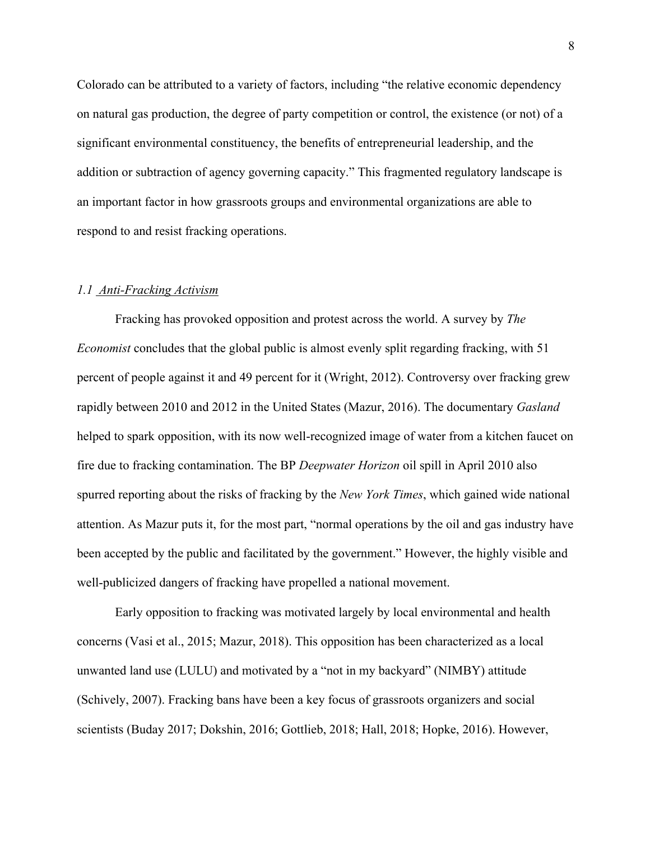Colorado can be attributed to a variety of factors, including "the relative economic dependency on natural gas production, the degree of party competition or control, the existence (or not) of a significant environmental constituency, the benefits of entrepreneurial leadership, and the addition or subtraction of agency governing capacity." This fragmented regulatory landscape is an important factor in how grassroots groups and environmental organizations are able to respond to and resist fracking operations.

### *1.1 Anti-Fracking Activism*

Fracking has provoked opposition and protest across the world. A survey by *The Economist* concludes that the global public is almost evenly split regarding fracking, with 51 percent of people against it and 49 percent for it (Wright, 2012). Controversy over fracking grew rapidly between 2010 and 2012 in the United States (Mazur, 2016). The documentary *Gasland* helped to spark opposition, with its now well-recognized image of water from a kitchen faucet on fire due to fracking contamination. The BP *Deepwater Horizon* oil spill in April 2010 also spurred reporting about the risks of fracking by the *New York Times*, which gained wide national attention. As Mazur puts it, for the most part, "normal operations by the oil and gas industry have been accepted by the public and facilitated by the government." However, the highly visible and well-publicized dangers of fracking have propelled a national movement.

Early opposition to fracking was motivated largely by local environmental and health concerns (Vasi et al., 2015; Mazur, 2018). This opposition has been characterized as a local unwanted land use (LULU) and motivated by a "not in my backyard" (NIMBY) attitude (Schively, 2007). Fracking bans have been a key focus of grassroots organizers and social scientists (Buday 2017; Dokshin, 2016; Gottlieb, 2018; Hall, 2018; Hopke, 2016). However,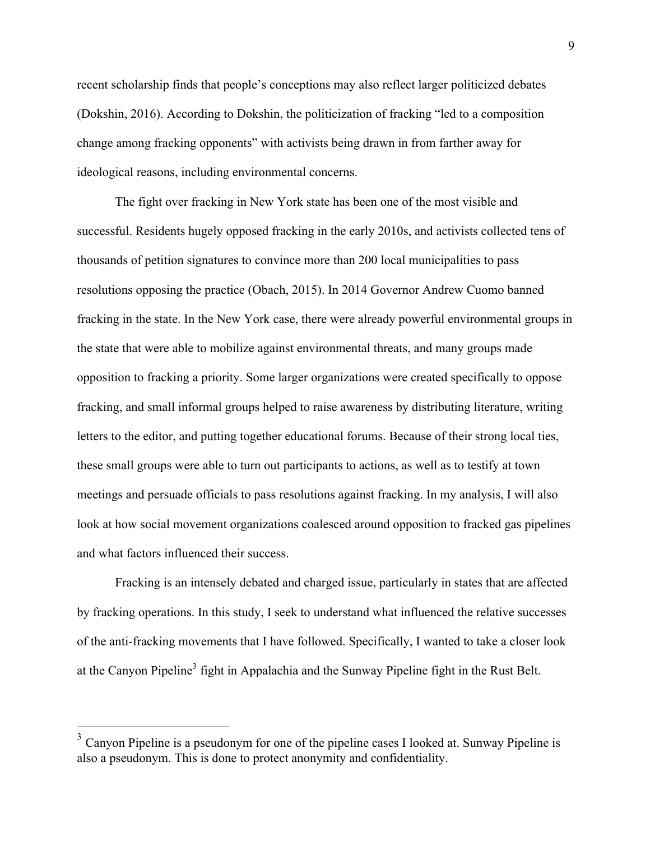recent scholarship finds that people's conceptions may also reflect larger politicized debates (Dokshin, 2016). According to Dokshin, the politicization of fracking "led to a composition change among fracking opponents" with activists being drawn in from farther away for ideological reasons, including environmental concerns.

The fight over fracking in New York state has been one of the most visible and successful. Residents hugely opposed fracking in the early 2010s, and activists collected tens of thousands of petition signatures to convince more than 200 local municipalities to pass resolutions opposing the practice (Obach, 2015). In 2014 Governor Andrew Cuomo banned fracking in the state. In the New York case, there were already powerful environmental groups in the state that were able to mobilize against environmental threats, and many groups made opposition to fracking a priority. Some larger organizations were created specifically to oppose fracking, and small informal groups helped to raise awareness by distributing literature, writing letters to the editor, and putting together educational forums. Because of their strong local ties, these small groups were able to turn out participants to actions, as well as to testify at town meetings and persuade officials to pass resolutions against fracking. In my analysis, I will also look at how social movement organizations coalesced around opposition to fracked gas pipelines and what factors influenced their success.

Fracking is an intensely debated and charged issue, particularly in states that are affected by fracking operations. In this study, I seek to understand what influenced the relative successes of the anti-fracking movements that I have followed. Specifically, I wanted to take a closer look at the Canyon Pipeline<sup>3</sup> fight in Appalachia and the Sunway Pipeline fight in the Rust Belt.

 <sup>3</sup> Canyon Pipeline is a pseudonym for one of the pipeline cases I looked at. Sunway Pipeline is also a pseudonym. This is done to protect anonymity and confidentiality.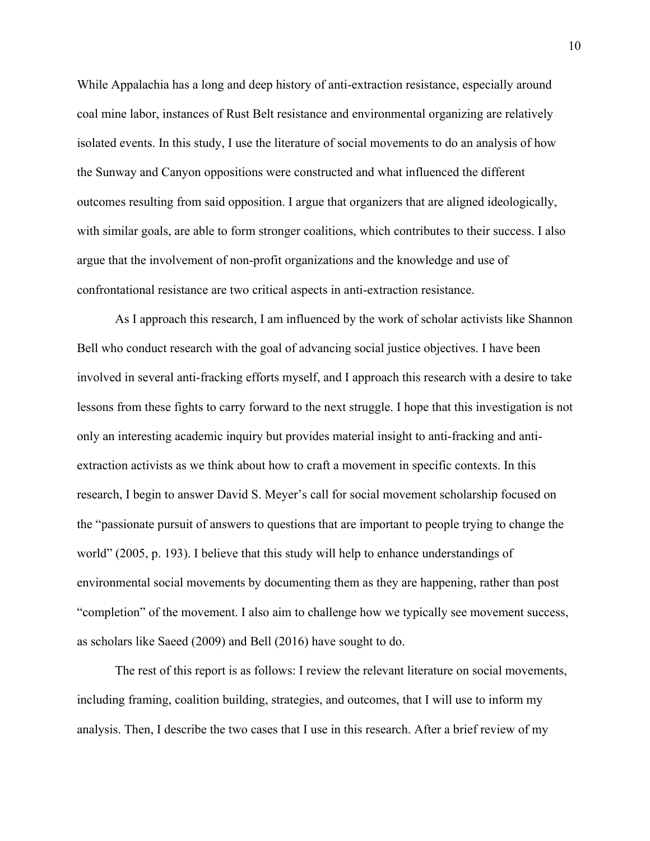While Appalachia has a long and deep history of anti-extraction resistance, especially around coal mine labor, instances of Rust Belt resistance and environmental organizing are relatively isolated events. In this study, I use the literature of social movements to do an analysis of how the Sunway and Canyon oppositions were constructed and what influenced the different outcomes resulting from said opposition. I argue that organizers that are aligned ideologically, with similar goals, are able to form stronger coalitions, which contributes to their success. I also argue that the involvement of non-profit organizations and the knowledge and use of confrontational resistance are two critical aspects in anti-extraction resistance.

As I approach this research, I am influenced by the work of scholar activists like Shannon Bell who conduct research with the goal of advancing social justice objectives. I have been involved in several anti-fracking efforts myself, and I approach this research with a desire to take lessons from these fights to carry forward to the next struggle. I hope that this investigation is not only an interesting academic inquiry but provides material insight to anti-fracking and antiextraction activists as we think about how to craft a movement in specific contexts. In this research, I begin to answer David S. Meyer's call for social movement scholarship focused on the "passionate pursuit of answers to questions that are important to people trying to change the world" (2005, p. 193). I believe that this study will help to enhance understandings of environmental social movements by documenting them as they are happening, rather than post "completion" of the movement. I also aim to challenge how we typically see movement success, as scholars like Saeed (2009) and Bell (2016) have sought to do.

The rest of this report is as follows: I review the relevant literature on social movements, including framing, coalition building, strategies, and outcomes, that I will use to inform my analysis. Then, I describe the two cases that I use in this research. After a brief review of my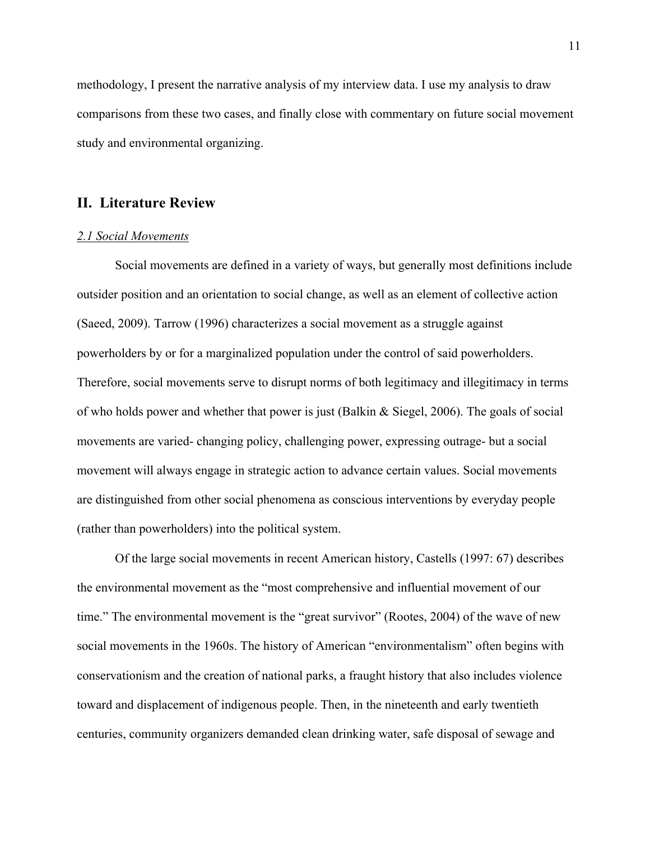methodology, I present the narrative analysis of my interview data. I use my analysis to draw comparisons from these two cases, and finally close with commentary on future social movement study and environmental organizing.

## **II. Literature Review**

#### *2.1 Social Movements*

Social movements are defined in a variety of ways, but generally most definitions include outsider position and an orientation to social change, as well as an element of collective action (Saeed, 2009). Tarrow (1996) characterizes a social movement as a struggle against powerholders by or for a marginalized population under the control of said powerholders. Therefore, social movements serve to disrupt norms of both legitimacy and illegitimacy in terms of who holds power and whether that power is just (Balkin & Siegel, 2006). The goals of social movements are varied- changing policy, challenging power, expressing outrage- but a social movement will always engage in strategic action to advance certain values. Social movements are distinguished from other social phenomena as conscious interventions by everyday people (rather than powerholders) into the political system.

Of the large social movements in recent American history, Castells (1997: 67) describes the environmental movement as the "most comprehensive and influential movement of our time." The environmental movement is the "great survivor" (Rootes, 2004) of the wave of new social movements in the 1960s. The history of American "environmentalism" often begins with conservationism and the creation of national parks, a fraught history that also includes violence toward and displacement of indigenous people. Then, in the nineteenth and early twentieth centuries, community organizers demanded clean drinking water, safe disposal of sewage and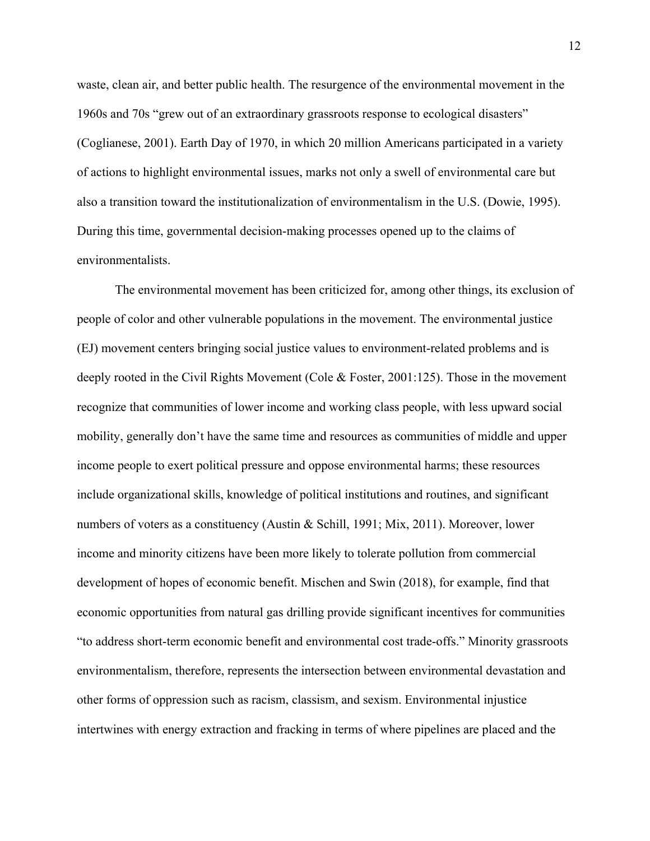waste, clean air, and better public health. The resurgence of the environmental movement in the 1960s and 70s "grew out of an extraordinary grassroots response to ecological disasters" (Coglianese, 2001). Earth Day of 1970, in which 20 million Americans participated in a variety of actions to highlight environmental issues, marks not only a swell of environmental care but also a transition toward the institutionalization of environmentalism in the U.S. (Dowie, 1995). During this time, governmental decision-making processes opened up to the claims of environmentalists.

The environmental movement has been criticized for, among other things, its exclusion of people of color and other vulnerable populations in the movement. The environmental justice (EJ) movement centers bringing social justice values to environment-related problems and is deeply rooted in the Civil Rights Movement (Cole & Foster, 2001:125). Those in the movement recognize that communities of lower income and working class people, with less upward social mobility, generally don't have the same time and resources as communities of middle and upper income people to exert political pressure and oppose environmental harms; these resources include organizational skills, knowledge of political institutions and routines, and significant numbers of voters as a constituency (Austin & Schill, 1991; Mix, 2011). Moreover, lower income and minority citizens have been more likely to tolerate pollution from commercial development of hopes of economic benefit. Mischen and Swin (2018), for example, find that economic opportunities from natural gas drilling provide significant incentives for communities "to address short-term economic benefit and environmental cost trade-offs." Minority grassroots environmentalism, therefore, represents the intersection between environmental devastation and other forms of oppression such as racism, classism, and sexism. Environmental injustice intertwines with energy extraction and fracking in terms of where pipelines are placed and the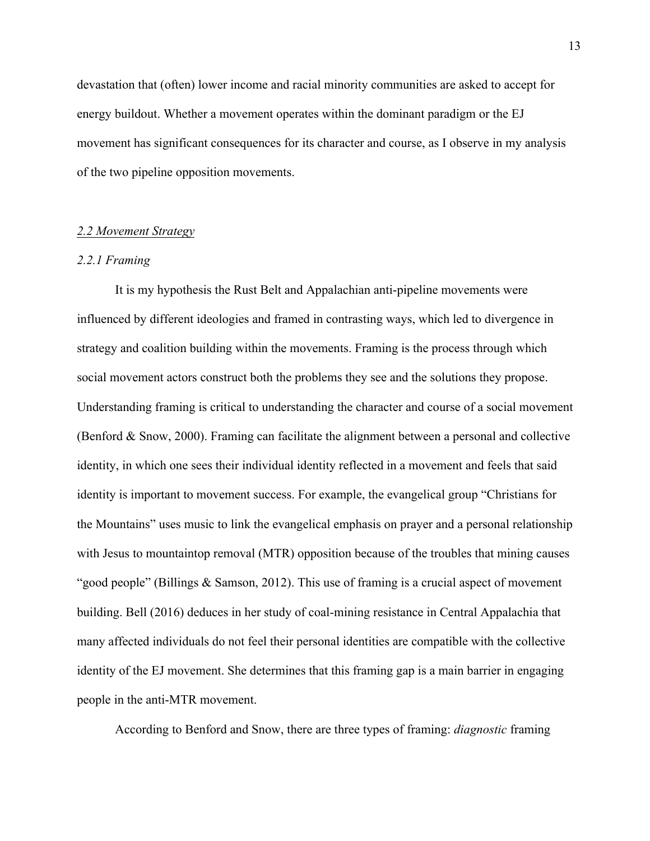devastation that (often) lower income and racial minority communities are asked to accept for energy buildout. Whether a movement operates within the dominant paradigm or the EJ movement has significant consequences for its character and course, as I observe in my analysis of the two pipeline opposition movements.

#### *2.2 Movement Strategy*

#### *2.2.1 Framing*

It is my hypothesis the Rust Belt and Appalachian anti-pipeline movements were influenced by different ideologies and framed in contrasting ways, which led to divergence in strategy and coalition building within the movements. Framing is the process through which social movement actors construct both the problems they see and the solutions they propose. Understanding framing is critical to understanding the character and course of a social movement (Benford & Snow, 2000). Framing can facilitate the alignment between a personal and collective identity, in which one sees their individual identity reflected in a movement and feels that said identity is important to movement success. For example, the evangelical group "Christians for the Mountains" uses music to link the evangelical emphasis on prayer and a personal relationship with Jesus to mountaintop removal (MTR) opposition because of the troubles that mining causes "good people" (Billings & Samson, 2012). This use of framing is a crucial aspect of movement building. Bell (2016) deduces in her study of coal-mining resistance in Central Appalachia that many affected individuals do not feel their personal identities are compatible with the collective identity of the EJ movement. She determines that this framing gap is a main barrier in engaging people in the anti-MTR movement.

According to Benford and Snow, there are three types of framing: *diagnostic* framing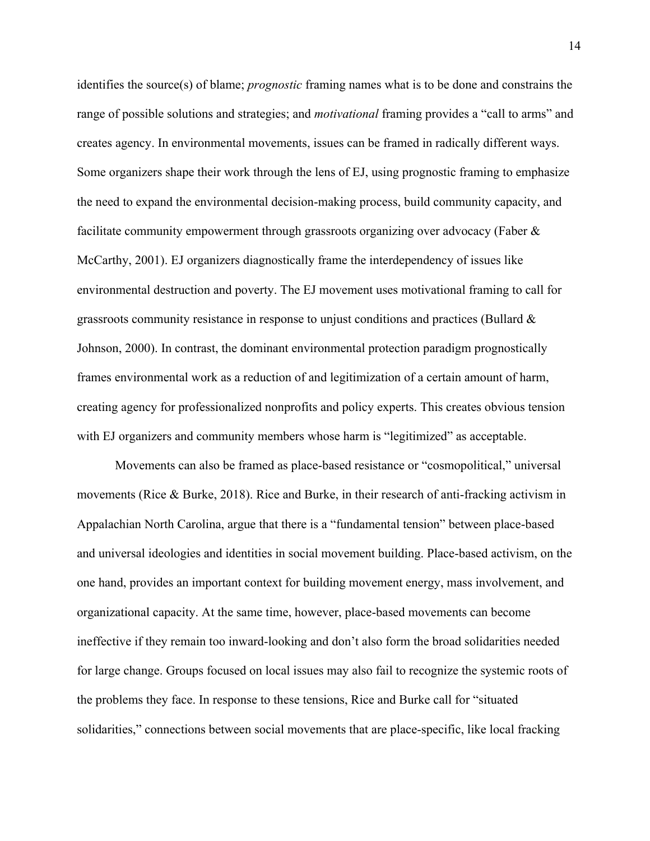identifies the source(s) of blame; *prognostic* framing names what is to be done and constrains the range of possible solutions and strategies; and *motivational* framing provides a "call to arms" and creates agency. In environmental movements, issues can be framed in radically different ways. Some organizers shape their work through the lens of EJ, using prognostic framing to emphasize the need to expand the environmental decision-making process, build community capacity, and facilitate community empowerment through grassroots organizing over advocacy (Faber & McCarthy, 2001). EJ organizers diagnostically frame the interdependency of issues like environmental destruction and poverty. The EJ movement uses motivational framing to call for grassroots community resistance in response to unjust conditions and practices (Bullard  $\&$ Johnson, 2000). In contrast, the dominant environmental protection paradigm prognostically frames environmental work as a reduction of and legitimization of a certain amount of harm, creating agency for professionalized nonprofits and policy experts. This creates obvious tension with EJ organizers and community members whose harm is "legitimized" as acceptable.

Movements can also be framed as place-based resistance or "cosmopolitical," universal movements (Rice & Burke, 2018). Rice and Burke, in their research of anti-fracking activism in Appalachian North Carolina, argue that there is a "fundamental tension" between place-based and universal ideologies and identities in social movement building. Place-based activism, on the one hand, provides an important context for building movement energy, mass involvement, and organizational capacity. At the same time, however, place-based movements can become ineffective if they remain too inward-looking and don't also form the broad solidarities needed for large change. Groups focused on local issues may also fail to recognize the systemic roots of the problems they face. In response to these tensions, Rice and Burke call for "situated solidarities," connections between social movements that are place-specific, like local fracking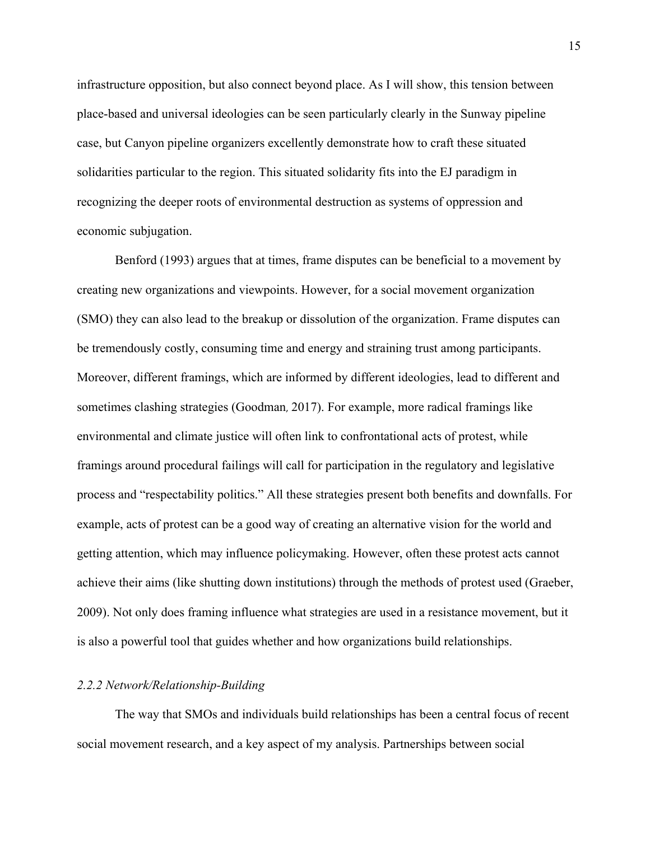infrastructure opposition, but also connect beyond place. As I will show, this tension between place-based and universal ideologies can be seen particularly clearly in the Sunway pipeline case, but Canyon pipeline organizers excellently demonstrate how to craft these situated solidarities particular to the region. This situated solidarity fits into the EJ paradigm in recognizing the deeper roots of environmental destruction as systems of oppression and economic subjugation.

Benford (1993) argues that at times, frame disputes can be beneficial to a movement by creating new organizations and viewpoints. However, for a social movement organization (SMO) they can also lead to the breakup or dissolution of the organization. Frame disputes can be tremendously costly, consuming time and energy and straining trust among participants. Moreover, different framings, which are informed by different ideologies, lead to different and sometimes clashing strategies (Goodman, 2017). For example, more radical framings like environmental and climate justice will often link to confrontational acts of protest, while framings around procedural failings will call for participation in the regulatory and legislative process and "respectability politics." All these strategies present both benefits and downfalls. For example, acts of protest can be a good way of creating an alternative vision for the world and getting attention, which may influence policymaking. However, often these protest acts cannot achieve their aims (like shutting down institutions) through the methods of protest used (Graeber, 2009). Not only does framing influence what strategies are used in a resistance movement, but it is also a powerful tool that guides whether and how organizations build relationships.

### *2.2.2 Network/Relationship-Building*

The way that SMOs and individuals build relationships has been a central focus of recent social movement research, and a key aspect of my analysis. Partnerships between social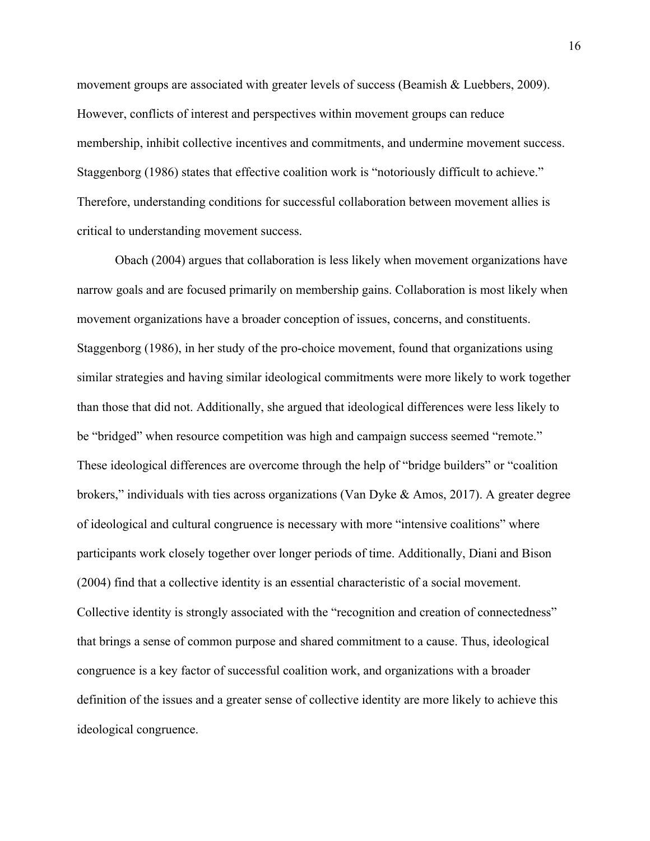movement groups are associated with greater levels of success (Beamish & Luebbers, 2009). However, conflicts of interest and perspectives within movement groups can reduce membership, inhibit collective incentives and commitments, and undermine movement success. Staggenborg (1986) states that effective coalition work is "notoriously difficult to achieve." Therefore, understanding conditions for successful collaboration between movement allies is critical to understanding movement success.

Obach (2004) argues that collaboration is less likely when movement organizations have narrow goals and are focused primarily on membership gains. Collaboration is most likely when movement organizations have a broader conception of issues, concerns, and constituents. Staggenborg (1986), in her study of the pro-choice movement, found that organizations using similar strategies and having similar ideological commitments were more likely to work together than those that did not. Additionally, she argued that ideological differences were less likely to be "bridged" when resource competition was high and campaign success seemed "remote." These ideological differences are overcome through the help of "bridge builders" or "coalition brokers," individuals with ties across organizations (Van Dyke  $\&$  Amos, 2017). A greater degree of ideological and cultural congruence is necessary with more "intensive coalitions" where participants work closely together over longer periods of time. Additionally, Diani and Bison (2004) find that a collective identity is an essential characteristic of a social movement. Collective identity is strongly associated with the "recognition and creation of connectedness" that brings a sense of common purpose and shared commitment to a cause. Thus, ideological congruence is a key factor of successful coalition work, and organizations with a broader definition of the issues and a greater sense of collective identity are more likely to achieve this ideological congruence.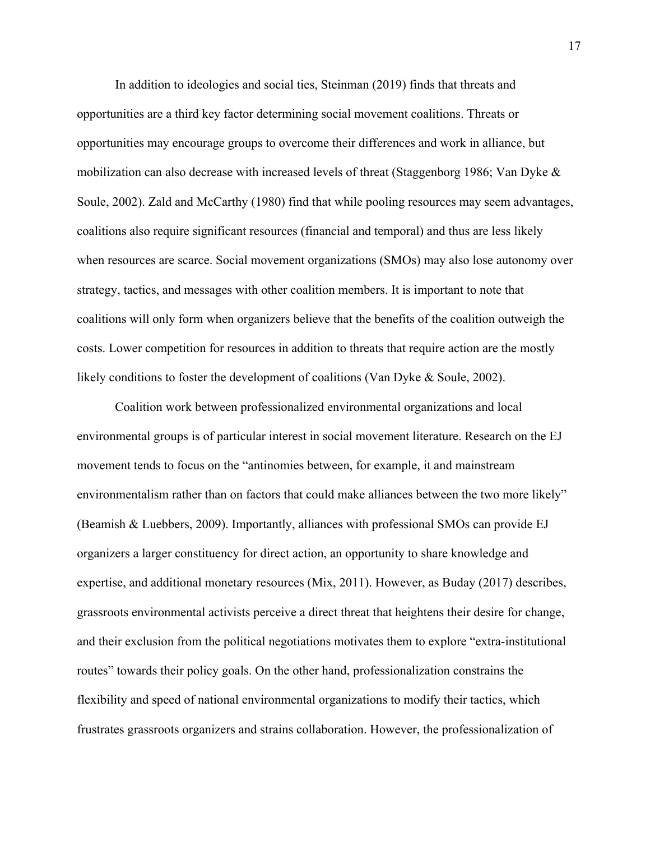In addition to ideologies and social ties, Steinman (2019) finds that threats and opportunities are a third key factor determining social movement coalitions. Threats or opportunities may encourage groups to overcome their differences and work in alliance, but mobilization can also decrease with increased levels of threat (Staggenborg 1986; Van Dyke & Soule, 2002). Zald and McCarthy (1980) find that while pooling resources may seem advantages, coalitions also require significant resources (financial and temporal) and thus are less likely when resources are scarce. Social movement organizations (SMOs) may also lose autonomy over strategy, tactics, and messages with other coalition members. It is important to note that coalitions will only form when organizers believe that the benefits of the coalition outweigh the costs. Lower competition for resources in addition to threats that require action are the mostly likely conditions to foster the development of coalitions (Van Dyke & Soule, 2002).

Coalition work between professionalized environmental organizations and local environmental groups is of particular interest in social movement literature. Research on the EJ movement tends to focus on the "antinomies between, for example, it and mainstream environmentalism rather than on factors that could make alliances between the two more likely" (Beamish & Luebbers, 2009). Importantly, alliances with professional SMOs can provide EJ organizers a larger constituency for direct action, an opportunity to share knowledge and expertise, and additional monetary resources (Mix, 2011). However, as Buday (2017) describes, grassroots environmental activists perceive a direct threat that heightens their desire for change, and their exclusion from the political negotiations motivates them to explore "extra-institutional routes" towards their policy goals. On the other hand, professionalization constrains the flexibility and speed of national environmental organizations to modify their tactics, which frustrates grassroots organizers and strains collaboration. However, the professionalization of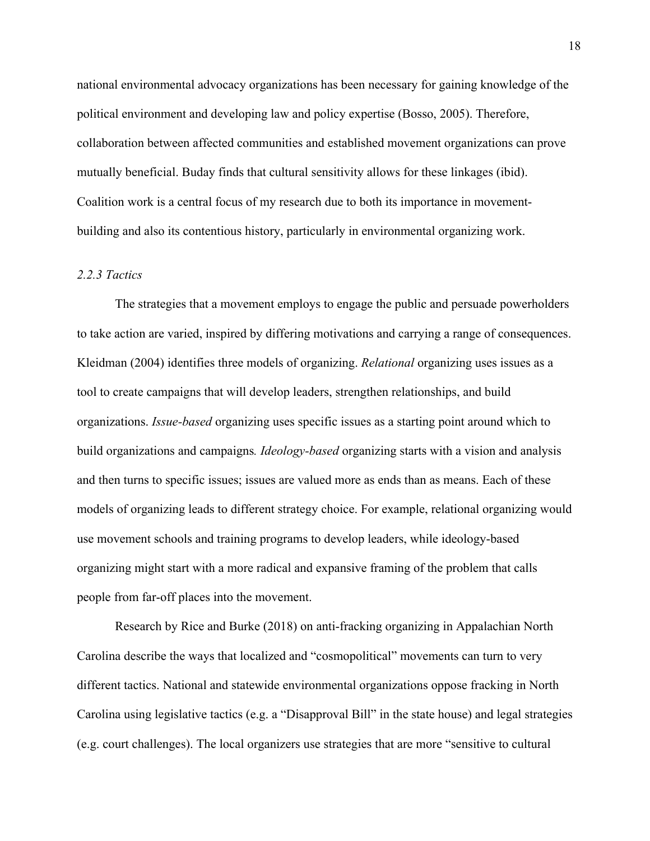national environmental advocacy organizations has been necessary for gaining knowledge of the political environment and developing law and policy expertise (Bosso, 2005). Therefore, collaboration between affected communities and established movement organizations can prove mutually beneficial. Buday finds that cultural sensitivity allows for these linkages (ibid). Coalition work is a central focus of my research due to both its importance in movementbuilding and also its contentious history, particularly in environmental organizing work.

# *2.2.3 Tactics*

The strategies that a movement employs to engage the public and persuade powerholders to take action are varied, inspired by differing motivations and carrying a range of consequences. Kleidman (2004) identifies three models of organizing. *Relational* organizing uses issues as a tool to create campaigns that will develop leaders, strengthen relationships, and build organizations. *Issue-based* organizing uses specific issues as a starting point around which to build organizations and campaigns*. Ideology-based* organizing starts with a vision and analysis and then turns to specific issues; issues are valued more as ends than as means. Each of these models of organizing leads to different strategy choice. For example, relational organizing would use movement schools and training programs to develop leaders, while ideology-based organizing might start with a more radical and expansive framing of the problem that calls people from far-off places into the movement.

Research by Rice and Burke (2018) on anti-fracking organizing in Appalachian North Carolina describe the ways that localized and "cosmopolitical" movements can turn to very different tactics. National and statewide environmental organizations oppose fracking in North Carolina using legislative tactics (e.g. a "Disapproval Bill" in the state house) and legal strategies (e.g. court challenges). The local organizers use strategies that are more "sensitive to cultural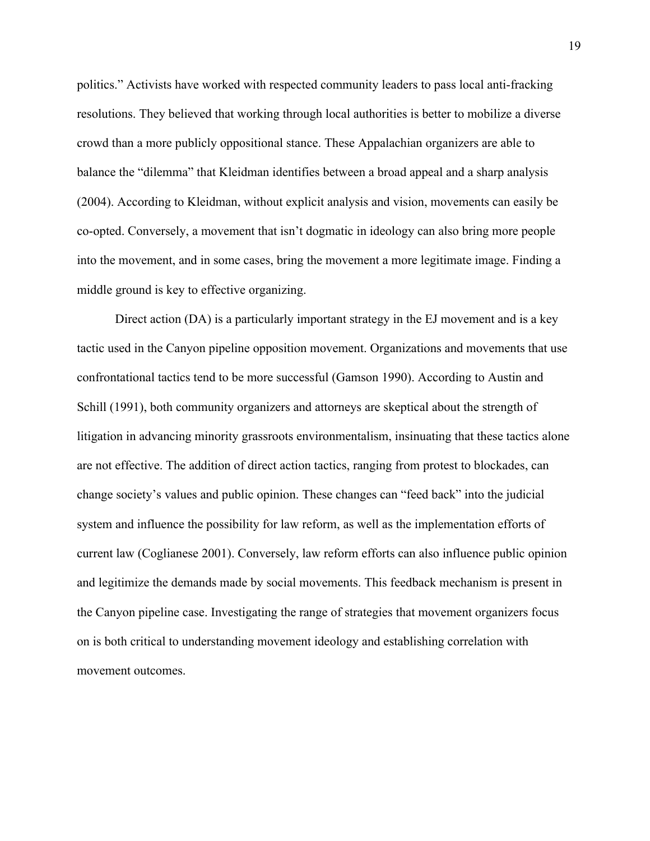politics." Activists have worked with respected community leaders to pass local anti-fracking resolutions. They believed that working through local authorities is better to mobilize a diverse crowd than a more publicly oppositional stance. These Appalachian organizers are able to balance the "dilemma" that Kleidman identifies between a broad appeal and a sharp analysis (2004). According to Kleidman, without explicit analysis and vision, movements can easily be co-opted. Conversely, a movement that isn't dogmatic in ideology can also bring more people into the movement, and in some cases, bring the movement a more legitimate image. Finding a middle ground is key to effective organizing.

Direct action (DA) is a particularly important strategy in the EJ movement and is a key tactic used in the Canyon pipeline opposition movement. Organizations and movements that use confrontational tactics tend to be more successful (Gamson 1990). According to Austin and Schill (1991), both community organizers and attorneys are skeptical about the strength of litigation in advancing minority grassroots environmentalism, insinuating that these tactics alone are not effective. The addition of direct action tactics, ranging from protest to blockades, can change society's values and public opinion. These changes can "feed back" into the judicial system and influence the possibility for law reform, as well as the implementation efforts of current law (Coglianese 2001). Conversely, law reform efforts can also influence public opinion and legitimize the demands made by social movements. This feedback mechanism is present in the Canyon pipeline case. Investigating the range of strategies that movement organizers focus on is both critical to understanding movement ideology and establishing correlation with movement outcomes.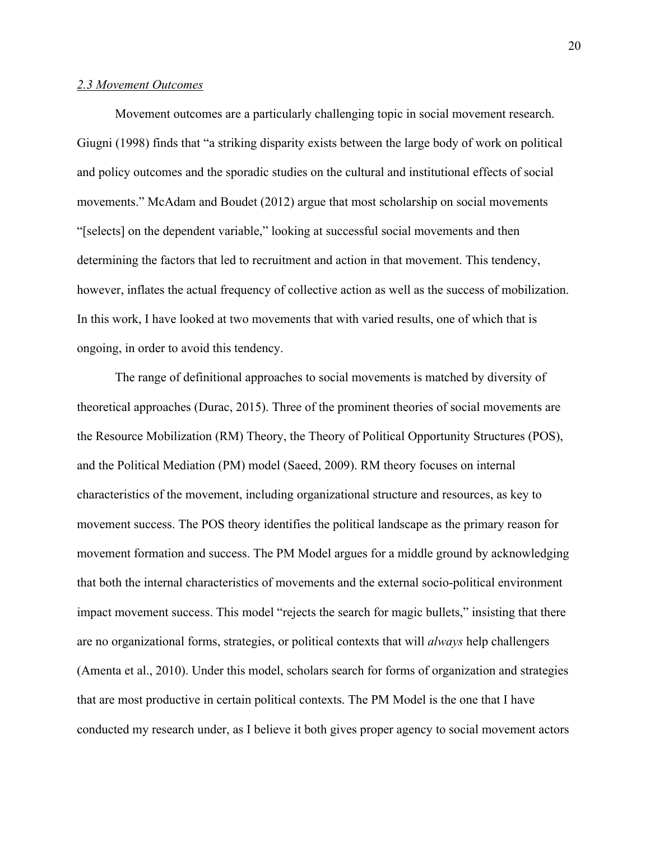#### *2.3 Movement Outcomes*

Movement outcomes are a particularly challenging topic in social movement research. Giugni (1998) finds that "a striking disparity exists between the large body of work on political and policy outcomes and the sporadic studies on the cultural and institutional effects of social movements." McAdam and Boudet (2012) argue that most scholarship on social movements "[selects] on the dependent variable," looking at successful social movements and then determining the factors that led to recruitment and action in that movement. This tendency, however, inflates the actual frequency of collective action as well as the success of mobilization. In this work, I have looked at two movements that with varied results, one of which that is ongoing, in order to avoid this tendency.

The range of definitional approaches to social movements is matched by diversity of theoretical approaches (Durac, 2015). Three of the prominent theories of social movements are the Resource Mobilization (RM) Theory, the Theory of Political Opportunity Structures (POS), and the Political Mediation (PM) model (Saeed, 2009). RM theory focuses on internal characteristics of the movement, including organizational structure and resources, as key to movement success. The POS theory identifies the political landscape as the primary reason for movement formation and success. The PM Model argues for a middle ground by acknowledging that both the internal characteristics of movements and the external socio-political environment impact movement success. This model "rejects the search for magic bullets," insisting that there are no organizational forms, strategies, or political contexts that will *always* help challengers (Amenta et al., 2010). Under this model, scholars search for forms of organization and strategies that are most productive in certain political contexts. The PM Model is the one that I have conducted my research under, as I believe it both gives proper agency to social movement actors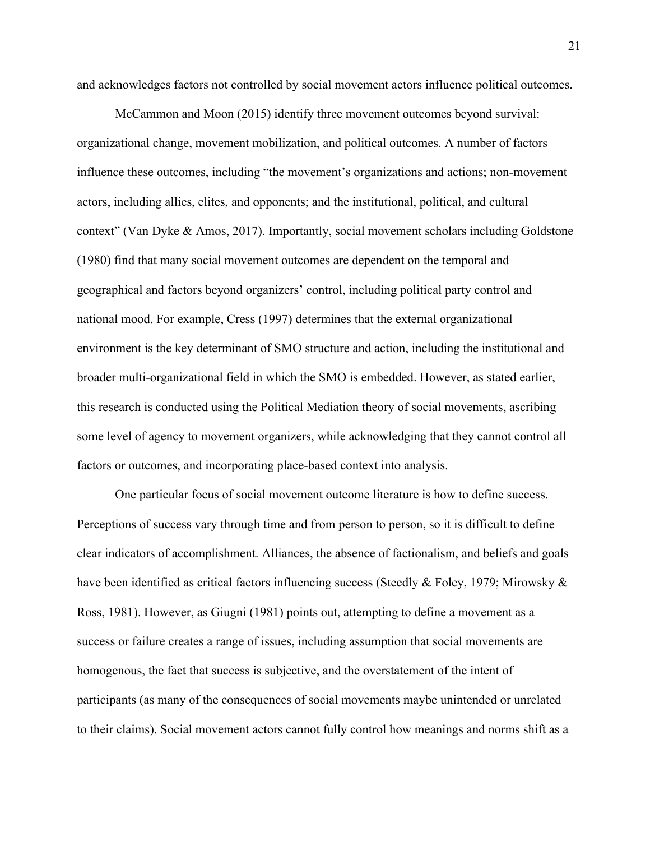and acknowledges factors not controlled by social movement actors influence political outcomes.

McCammon and Moon (2015) identify three movement outcomes beyond survival: organizational change, movement mobilization, and political outcomes. A number of factors influence these outcomes, including "the movement's organizations and actions; non-movement actors, including allies, elites, and opponents; and the institutional, political, and cultural context" (Van Dyke & Amos, 2017). Importantly, social movement scholars including Goldstone (1980) find that many social movement outcomes are dependent on the temporal and geographical and factors beyond organizers' control, including political party control and national mood. For example, Cress (1997) determines that the external organizational environment is the key determinant of SMO structure and action, including the institutional and broader multi-organizational field in which the SMO is embedded. However, as stated earlier, this research is conducted using the Political Mediation theory of social movements, ascribing some level of agency to movement organizers, while acknowledging that they cannot control all factors or outcomes, and incorporating place-based context into analysis.

One particular focus of social movement outcome literature is how to define success. Perceptions of success vary through time and from person to person, so it is difficult to define clear indicators of accomplishment. Alliances, the absence of factionalism, and beliefs and goals have been identified as critical factors influencing success (Steedly & Foley, 1979; Mirowsky  $\&$ Ross, 1981). However, as Giugni (1981) points out, attempting to define a movement as a success or failure creates a range of issues, including assumption that social movements are homogenous, the fact that success is subjective, and the overstatement of the intent of participants (as many of the consequences of social movements maybe unintended or unrelated to their claims). Social movement actors cannot fully control how meanings and norms shift as a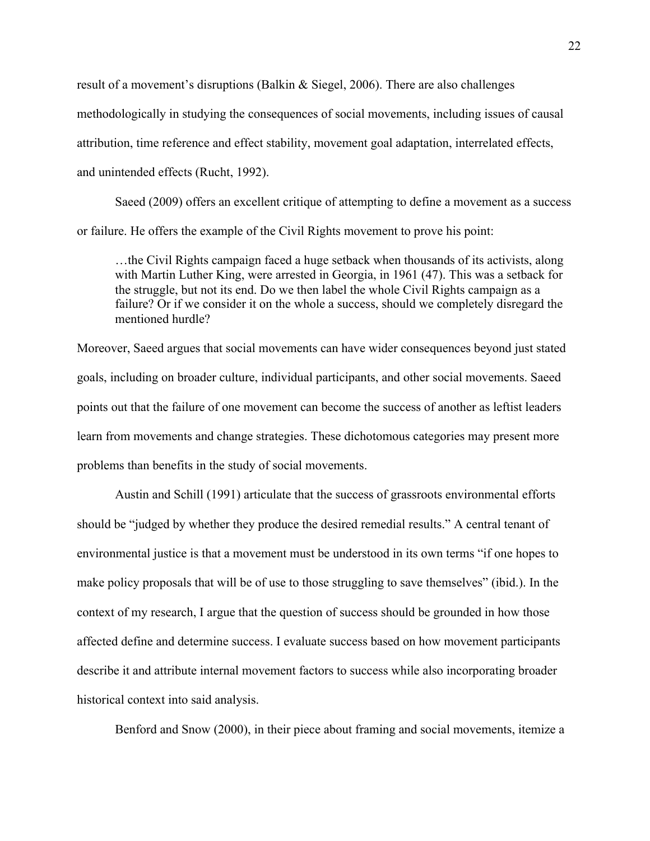result of a movement's disruptions (Balkin & Siegel, 2006). There are also challenges methodologically in studying the consequences of social movements, including issues of causal attribution, time reference and effect stability, movement goal adaptation, interrelated effects, and unintended effects (Rucht, 1992).

Saeed (2009) offers an excellent critique of attempting to define a movement as a success or failure. He offers the example of the Civil Rights movement to prove his point:

…the Civil Rights campaign faced a huge setback when thousands of its activists, along with Martin Luther King, were arrested in Georgia, in 1961 (47). This was a setback for the struggle, but not its end. Do we then label the whole Civil Rights campaign as a failure? Or if we consider it on the whole a success, should we completely disregard the mentioned hurdle?

Moreover, Saeed argues that social movements can have wider consequences beyond just stated goals, including on broader culture, individual participants, and other social movements. Saeed points out that the failure of one movement can become the success of another as leftist leaders learn from movements and change strategies. These dichotomous categories may present more problems than benefits in the study of social movements.

Austin and Schill (1991) articulate that the success of grassroots environmental efforts should be "judged by whether they produce the desired remedial results." A central tenant of environmental justice is that a movement must be understood in its own terms "if one hopes to make policy proposals that will be of use to those struggling to save themselves" (ibid.). In the context of my research, I argue that the question of success should be grounded in how those affected define and determine success. I evaluate success based on how movement participants describe it and attribute internal movement factors to success while also incorporating broader historical context into said analysis.

Benford and Snow (2000), in their piece about framing and social movements, itemize a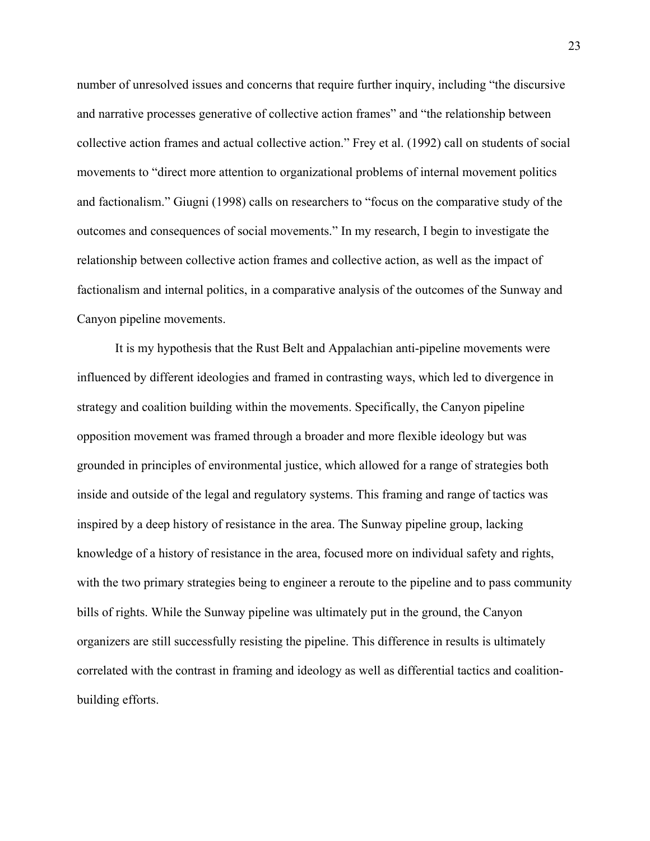number of unresolved issues and concerns that require further inquiry, including "the discursive and narrative processes generative of collective action frames" and "the relationship between collective action frames and actual collective action." Frey et al. (1992) call on students of social movements to "direct more attention to organizational problems of internal movement politics and factionalism." Giugni (1998) calls on researchers to "focus on the comparative study of the outcomes and consequences of social movements." In my research, I begin to investigate the relationship between collective action frames and collective action, as well as the impact of factionalism and internal politics, in a comparative analysis of the outcomes of the Sunway and Canyon pipeline movements.

It is my hypothesis that the Rust Belt and Appalachian anti-pipeline movements were influenced by different ideologies and framed in contrasting ways, which led to divergence in strategy and coalition building within the movements. Specifically, the Canyon pipeline opposition movement was framed through a broader and more flexible ideology but was grounded in principles of environmental justice, which allowed for a range of strategies both inside and outside of the legal and regulatory systems. This framing and range of tactics was inspired by a deep history of resistance in the area. The Sunway pipeline group, lacking knowledge of a history of resistance in the area, focused more on individual safety and rights, with the two primary strategies being to engineer a reroute to the pipeline and to pass community bills of rights. While the Sunway pipeline was ultimately put in the ground, the Canyon organizers are still successfully resisting the pipeline. This difference in results is ultimately correlated with the contrast in framing and ideology as well as differential tactics and coalitionbuilding efforts.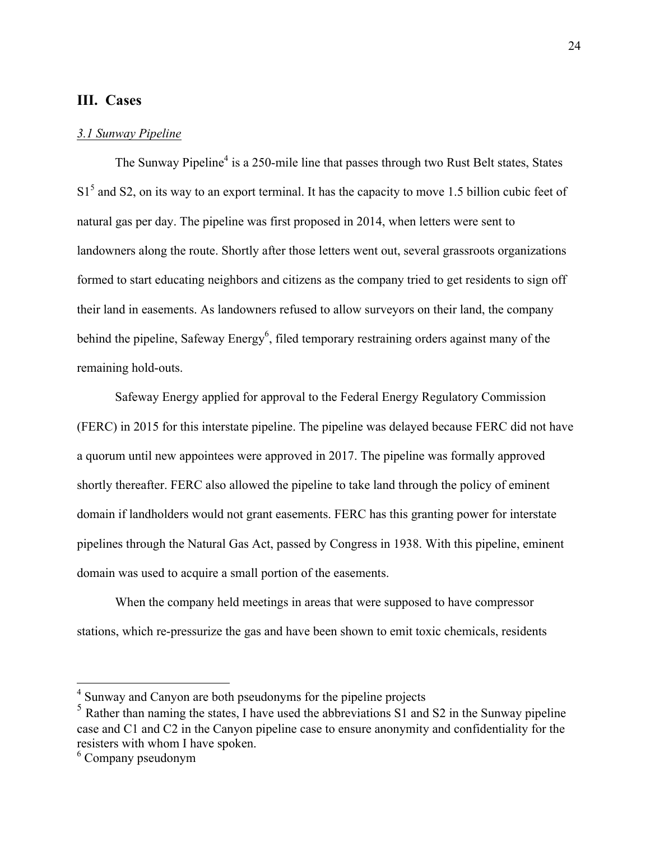# **III. Cases**

#### *3.1 Sunway Pipeline*

The Sunway Pipeline<sup>4</sup> is a 250-mile line that passes through two Rust Belt states, States  $S1<sup>5</sup>$  and S2, on its way to an export terminal. It has the capacity to move 1.5 billion cubic feet of natural gas per day. The pipeline was first proposed in 2014, when letters were sent to landowners along the route. Shortly after those letters went out, several grassroots organizations formed to start educating neighbors and citizens as the company tried to get residents to sign off their land in easements. As landowners refused to allow surveyors on their land, the company behind the pipeline, Safeway Energy<sup>6</sup>, filed temporary restraining orders against many of the remaining hold-outs.

Safeway Energy applied for approval to the Federal Energy Regulatory Commission (FERC) in 2015 for this interstate pipeline. The pipeline was delayed because FERC did not have a quorum until new appointees were approved in 2017. The pipeline was formally approved shortly thereafter. FERC also allowed the pipeline to take land through the policy of eminent domain if landholders would not grant easements. FERC has this granting power for interstate pipelines through the Natural Gas Act, passed by Congress in 1938. With this pipeline, eminent domain was used to acquire a small portion of the easements.

When the company held meetings in areas that were supposed to have compressor stations, which re-pressurize the gas and have been shown to emit toxic chemicals, residents

 <sup>4</sup> Sunway and Canyon are both pseudonyms for the pipeline projects

<sup>&</sup>lt;sup>5</sup> Rather than naming the states, I have used the abbreviations S1 and S2 in the Sunway pipeline case and C1 and C2 in the Canyon pipeline case to ensure anonymity and confidentiality for the resisters with whom I have spoken.

<sup>6</sup> Company pseudonym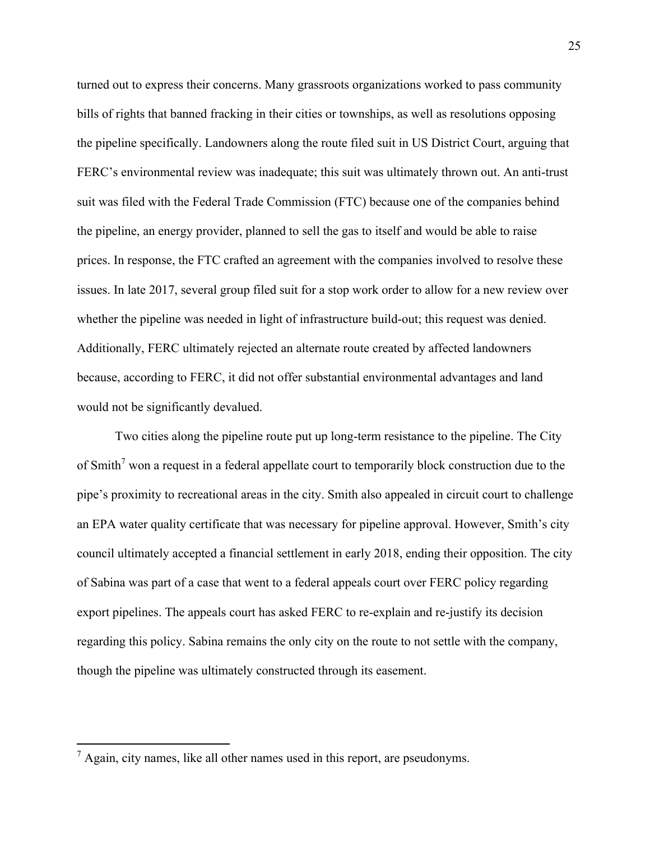turned out to express their concerns. Many grassroots organizations worked to pass community bills of rights that banned fracking in their cities or townships, as well as resolutions opposing the pipeline specifically. Landowners along the route filed suit in US District Court, arguing that FERC's environmental review was inadequate; this suit was ultimately thrown out. An anti-trust suit was filed with the Federal Trade Commission (FTC) because one of the companies behind the pipeline, an energy provider, planned to sell the gas to itself and would be able to raise prices. In response, the FTC crafted an agreement with the companies involved to resolve these issues. In late 2017, several group filed suit for a stop work order to allow for a new review over whether the pipeline was needed in light of infrastructure build-out; this request was denied. Additionally, FERC ultimately rejected an alternate route created by affected landowners because, according to FERC, it did not offer substantial environmental advantages and land would not be significantly devalued.

Two cities along the pipeline route put up long-term resistance to the pipeline. The City of Smith<sup>7</sup> won a request in a federal appellate court to temporarily block construction due to the pipe's proximity to recreational areas in the city. Smith also appealed in circuit court to challenge an EPA water quality certificate that was necessary for pipeline approval. However, Smith's city council ultimately accepted a financial settlement in early 2018, ending their opposition. The city of Sabina was part of a case that went to a federal appeals court over FERC policy regarding export pipelines. The appeals court has asked FERC to re-explain and re-justify its decision regarding this policy. Sabina remains the only city on the route to not settle with the company, though the pipeline was ultimately constructed through its easement.

 $<sup>7</sup>$  Again, city names, like all other names used in this report, are pseudonyms.</sup>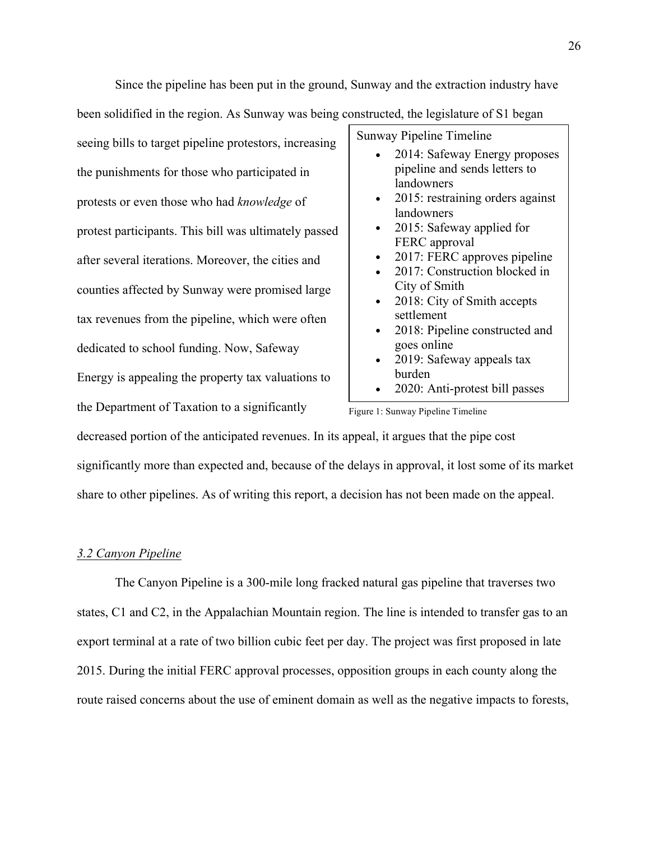Since the pipeline has been put in the ground, Sunway and the extraction industry have been solidified in the region. As Sunway was being constructed, the legislature of S1 began

seeing bills to target pipeline protestors, increasing the punishments for those who participated in protests or even those who had *knowledge* of protest participants. This bill was ultimately passed after several iterations. Moreover, the cities and counties affected by Sunway were promised large tax revenues from the pipeline, which were often dedicated to school funding. Now, Safeway Energy is appealing the property tax valuations to the Department of Taxation to a significantly

Sunway Pipeline Timeline • 2014: Safeway Energy proposes pipeline and sends letters to landowners • 2015: restraining orders against landowners • 2015: Safeway applied for FERC approval • 2017: FERC approves pipeline • 2017: Construction blocked in City of Smith • 2018: City of Smith accepts settlement • 2018: Pipeline constructed and goes online • 2019: Safeway appeals tax burden • 2020: Anti-protest bill passes

Figure 1: Sunway Pipeline Timeline

decreased portion of the anticipated revenues. In its appeal, it argues that the pipe cost

significantly more than expected and, because of the delays in approval, it lost some of its market share to other pipelines. As of writing this report, a decision has not been made on the appeal.

## *3.2 Canyon Pipeline*

The Canyon Pipeline is a 300-mile long fracked natural gas pipeline that traverses two states, C1 and C2, in the Appalachian Mountain region. The line is intended to transfer gas to an export terminal at a rate of two billion cubic feet per day. The project was first proposed in late 2015. During the initial FERC approval processes, opposition groups in each county along the route raised concerns about the use of eminent domain as well as the negative impacts to forests,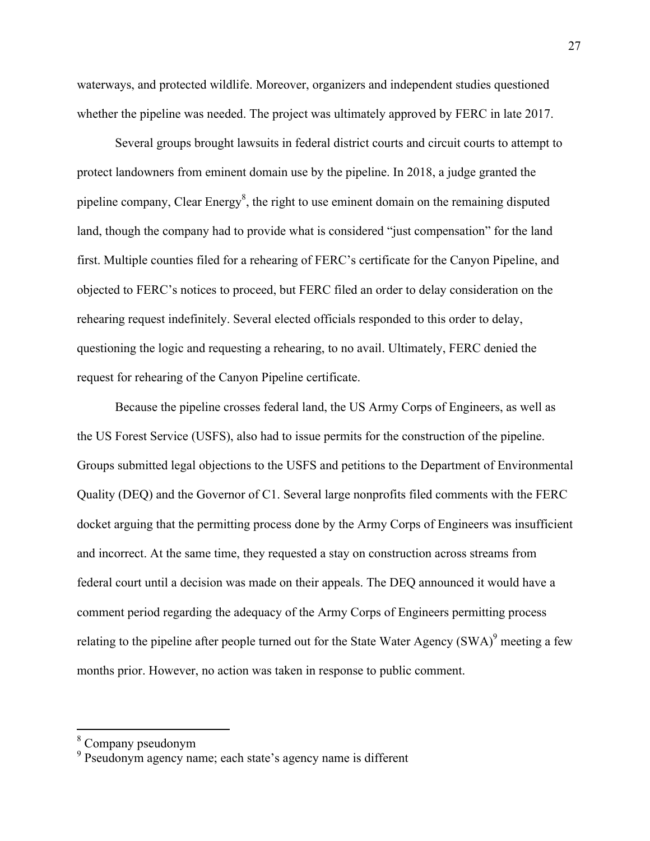waterways, and protected wildlife. Moreover, organizers and independent studies questioned whether the pipeline was needed. The project was ultimately approved by FERC in late 2017.

Several groups brought lawsuits in federal district courts and circuit courts to attempt to protect landowners from eminent domain use by the pipeline. In 2018, a judge granted the pipeline company, Clear Energy $\delta$ , the right to use eminent domain on the remaining disputed land, though the company had to provide what is considered "just compensation" for the land first. Multiple counties filed for a rehearing of FERC's certificate for the Canyon Pipeline, and objected to FERC's notices to proceed, but FERC filed an order to delay consideration on the rehearing request indefinitely. Several elected officials responded to this order to delay, questioning the logic and requesting a rehearing, to no avail. Ultimately, FERC denied the request for rehearing of the Canyon Pipeline certificate.

Because the pipeline crosses federal land, the US Army Corps of Engineers, as well as the US Forest Service (USFS), also had to issue permits for the construction of the pipeline. Groups submitted legal objections to the USFS and petitions to the Department of Environmental Quality (DEQ) and the Governor of C1. Several large nonprofits filed comments with the FERC docket arguing that the permitting process done by the Army Corps of Engineers was insufficient and incorrect. At the same time, they requested a stay on construction across streams from federal court until a decision was made on their appeals. The DEQ announced it would have a comment period regarding the adequacy of the Army Corps of Engineers permitting process relating to the pipeline after people turned out for the State Water Agency  $(SWA)^9$  meeting a few months prior. However, no action was taken in response to public comment.

 $\frac{8}{3}$  Company pseudonym

<sup>&</sup>lt;sup>9</sup> Pseudonym agency name; each state's agency name is different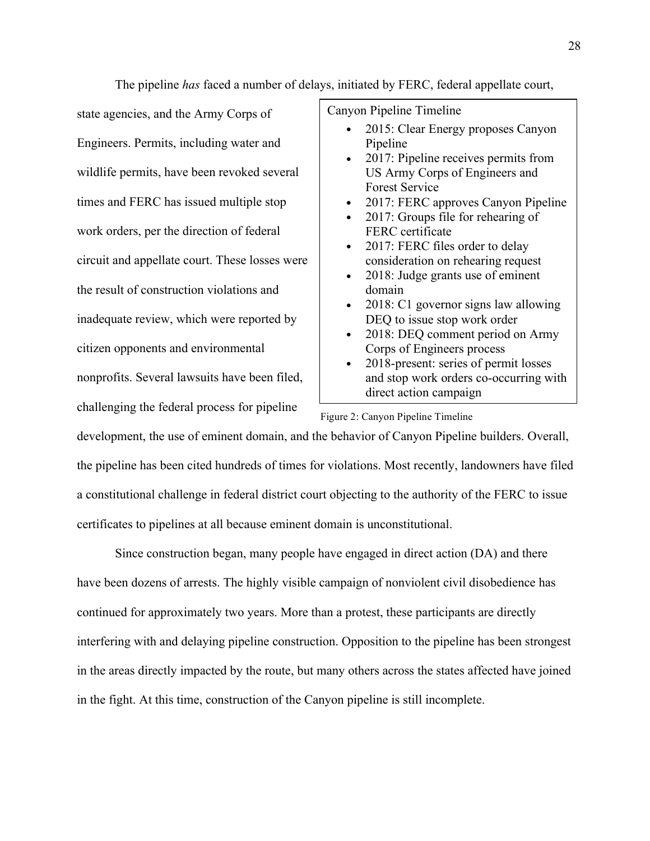state agencies, and the Army Corps of Engineers. Permits, including water and wildlife permits, have been revoked several times and FERC has issued multiple stop work orders, per the direction of federal circuit and appellate court. These losses were the result of construction violations and inadequate review, which were reported by citizen opponents and environmental nonprofits. Several lawsuits have been filed, challenging the federal process for pipeline

The pipeline *has* faced a number of delays, initiated by FERC, federal appellate court,

Canyon Pipeline Timeline

- 2015: Clear Energy proposes Canyon Pipeline
- 2017: Pipeline receives permits from US Army Corps of Engineers and Forest Service
- 2017: FERC approves Canyon Pipeline
- 2017: Groups file for rehearing of FERC certificate
- 2017: FERC files order to delay consideration on rehearing request
- 2018: Judge grants use of eminent domain
- 2018: C1 governor signs law allowing DEQ to issue stop work order
- 2018: DEQ comment period on Army Corps of Engineers process
- 2018-present: series of permit losses and stop work orders co-occurring with direct action campaign

Figure 2: Canyon Pipeline Timeline

development, the use of eminent domain, and the behavior of Canyon Pipeline builders. Overall, the pipeline has been cited hundreds of times for violations. Most recently, landowners have filed a constitutional challenge in federal district court objecting to the authority of the FERC to issue certificates to pipelines at all because eminent domain is unconstitutional.

Since construction began, many people have engaged in direct action (DA) and there have been dozens of arrests. The highly visible campaign of nonviolent civil disobedience has continued for approximately two years. More than a protest, these participants are directly interfering with and delaying pipeline construction. Opposition to the pipeline has been strongest in the areas directly impacted by the route, but many others across the states affected have joined in the fight. At this time, construction of the Canyon pipeline is still incomplete.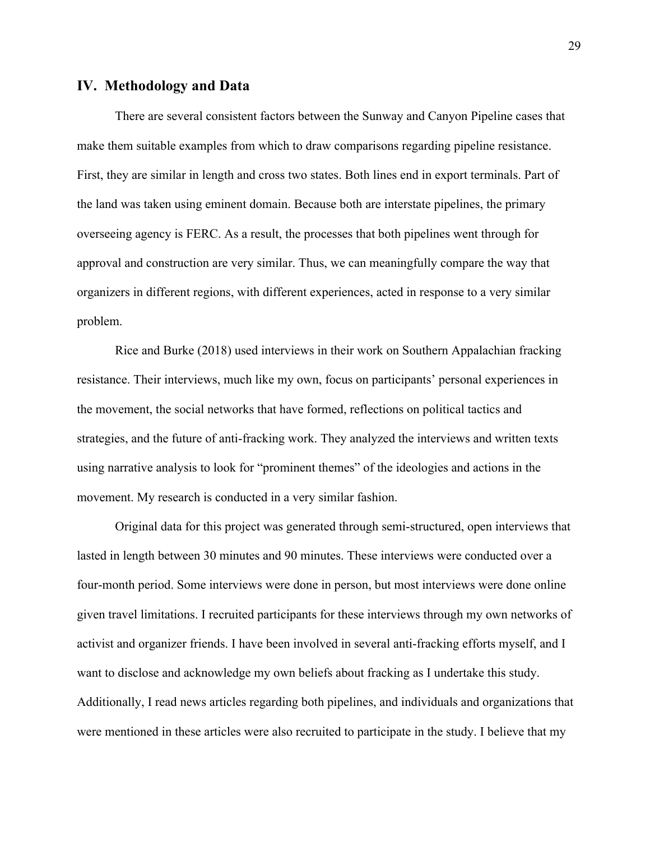## **IV. Methodology and Data**

There are several consistent factors between the Sunway and Canyon Pipeline cases that make them suitable examples from which to draw comparisons regarding pipeline resistance. First, they are similar in length and cross two states. Both lines end in export terminals. Part of the land was taken using eminent domain. Because both are interstate pipelines, the primary overseeing agency is FERC. As a result, the processes that both pipelines went through for approval and construction are very similar. Thus, we can meaningfully compare the way that organizers in different regions, with different experiences, acted in response to a very similar problem.

Rice and Burke (2018) used interviews in their work on Southern Appalachian fracking resistance. Their interviews, much like my own, focus on participants' personal experiences in the movement, the social networks that have formed, reflections on political tactics and strategies, and the future of anti-fracking work. They analyzed the interviews and written texts using narrative analysis to look for "prominent themes" of the ideologies and actions in the movement. My research is conducted in a very similar fashion.

Original data for this project was generated through semi-structured, open interviews that lasted in length between 30 minutes and 90 minutes. These interviews were conducted over a four-month period. Some interviews were done in person, but most interviews were done online given travel limitations. I recruited participants for these interviews through my own networks of activist and organizer friends. I have been involved in several anti-fracking efforts myself, and I want to disclose and acknowledge my own beliefs about fracking as I undertake this study. Additionally, I read news articles regarding both pipelines, and individuals and organizations that were mentioned in these articles were also recruited to participate in the study. I believe that my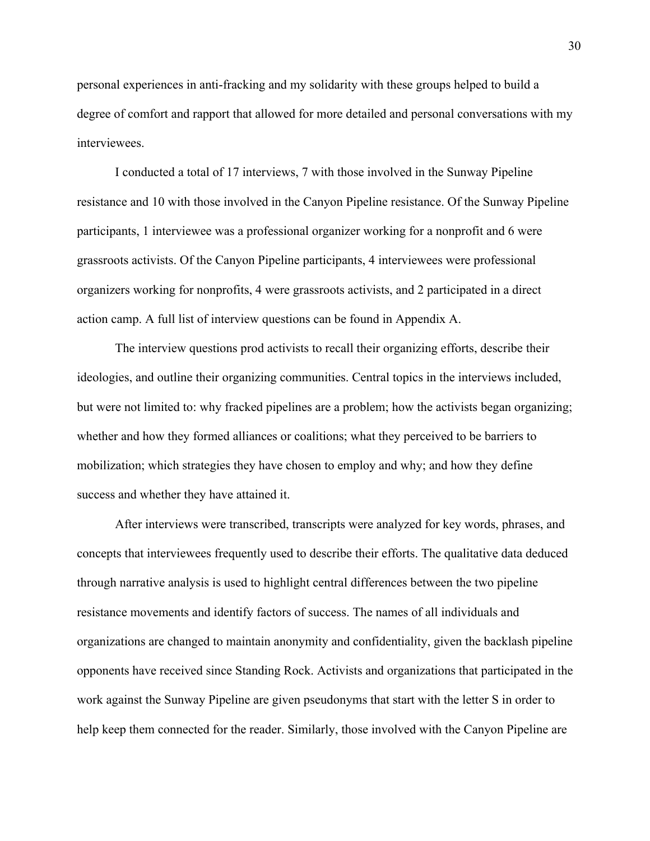personal experiences in anti-fracking and my solidarity with these groups helped to build a degree of comfort and rapport that allowed for more detailed and personal conversations with my interviewees.

I conducted a total of 17 interviews, 7 with those involved in the Sunway Pipeline resistance and 10 with those involved in the Canyon Pipeline resistance. Of the Sunway Pipeline participants, 1 interviewee was a professional organizer working for a nonprofit and 6 were grassroots activists. Of the Canyon Pipeline participants, 4 interviewees were professional organizers working for nonprofits, 4 were grassroots activists, and 2 participated in a direct action camp. A full list of interview questions can be found in Appendix A.

The interview questions prod activists to recall their organizing efforts, describe their ideologies, and outline their organizing communities. Central topics in the interviews included, but were not limited to: why fracked pipelines are a problem; how the activists began organizing; whether and how they formed alliances or coalitions; what they perceived to be barriers to mobilization; which strategies they have chosen to employ and why; and how they define success and whether they have attained it.

After interviews were transcribed, transcripts were analyzed for key words, phrases, and concepts that interviewees frequently used to describe their efforts. The qualitative data deduced through narrative analysis is used to highlight central differences between the two pipeline resistance movements and identify factors of success. The names of all individuals and organizations are changed to maintain anonymity and confidentiality, given the backlash pipeline opponents have received since Standing Rock. Activists and organizations that participated in the work against the Sunway Pipeline are given pseudonyms that start with the letter S in order to help keep them connected for the reader. Similarly, those involved with the Canyon Pipeline are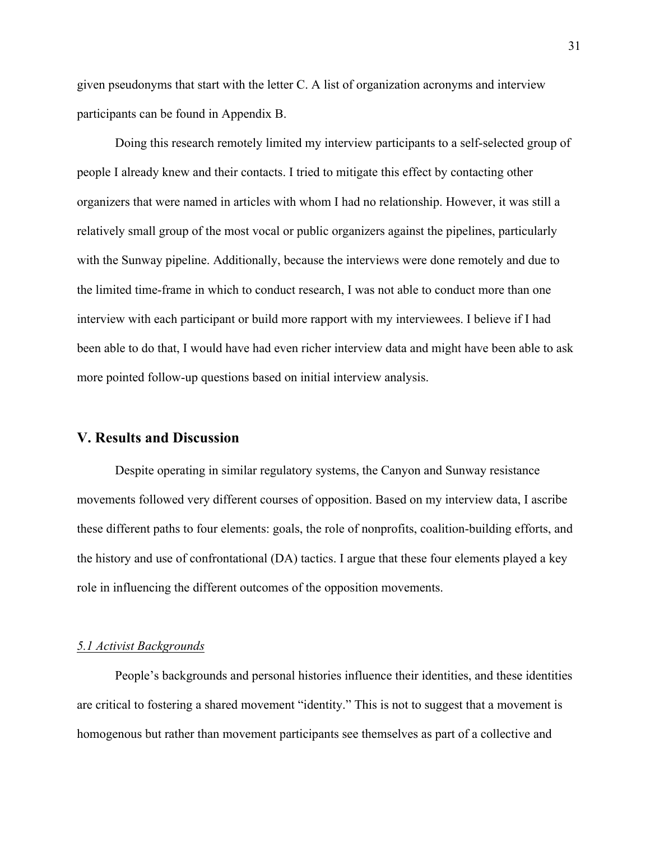given pseudonyms that start with the letter C. A list of organization acronyms and interview participants can be found in Appendix B.

Doing this research remotely limited my interview participants to a self-selected group of people I already knew and their contacts. I tried to mitigate this effect by contacting other organizers that were named in articles with whom I had no relationship. However, it was still a relatively small group of the most vocal or public organizers against the pipelines, particularly with the Sunway pipeline. Additionally, because the interviews were done remotely and due to the limited time-frame in which to conduct research, I was not able to conduct more than one interview with each participant or build more rapport with my interviewees. I believe if I had been able to do that, I would have had even richer interview data and might have been able to ask more pointed follow-up questions based on initial interview analysis.

## **V. Results and Discussion**

Despite operating in similar regulatory systems, the Canyon and Sunway resistance movements followed very different courses of opposition. Based on my interview data, I ascribe these different paths to four elements: goals, the role of nonprofits, coalition-building efforts, and the history and use of confrontational (DA) tactics. I argue that these four elements played a key role in influencing the different outcomes of the opposition movements.

#### *5.1 Activist Backgrounds*

People's backgrounds and personal histories influence their identities, and these identities are critical to fostering a shared movement "identity." This is not to suggest that a movement is homogenous but rather than movement participants see themselves as part of a collective and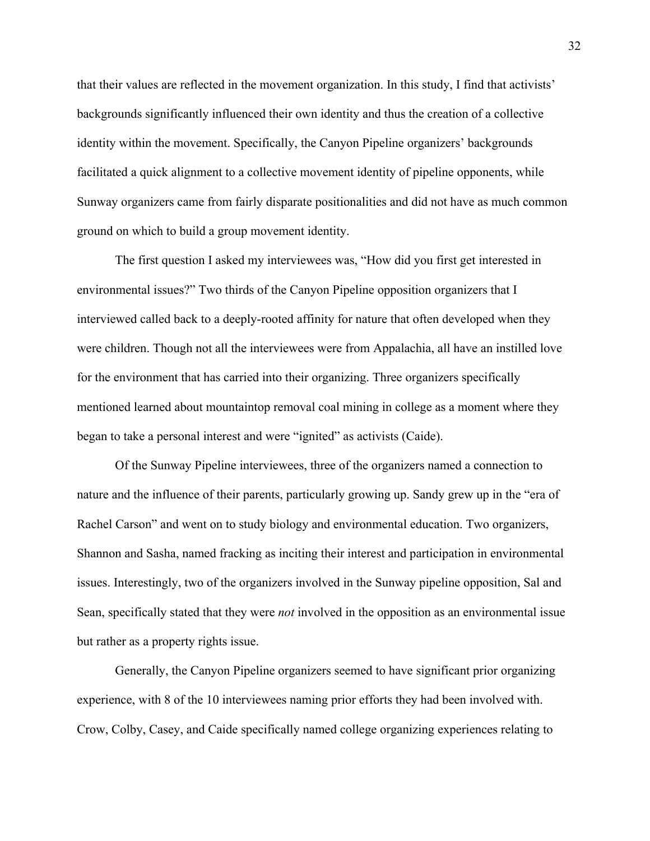that their values are reflected in the movement organization. In this study, I find that activists' backgrounds significantly influenced their own identity and thus the creation of a collective identity within the movement. Specifically, the Canyon Pipeline organizers' backgrounds facilitated a quick alignment to a collective movement identity of pipeline opponents, while Sunway organizers came from fairly disparate positionalities and did not have as much common ground on which to build a group movement identity.

The first question I asked my interviewees was, "How did you first get interested in environmental issues?" Two thirds of the Canyon Pipeline opposition organizers that I interviewed called back to a deeply-rooted affinity for nature that often developed when they were children. Though not all the interviewees were from Appalachia, all have an instilled love for the environment that has carried into their organizing. Three organizers specifically mentioned learned about mountaintop removal coal mining in college as a moment where they began to take a personal interest and were "ignited" as activists (Caide).

Of the Sunway Pipeline interviewees, three of the organizers named a connection to nature and the influence of their parents, particularly growing up. Sandy grew up in the "era of Rachel Carson" and went on to study biology and environmental education. Two organizers, Shannon and Sasha, named fracking as inciting their interest and participation in environmental issues. Interestingly, two of the organizers involved in the Sunway pipeline opposition, Sal and Sean, specifically stated that they were *not* involved in the opposition as an environmental issue but rather as a property rights issue.

Generally, the Canyon Pipeline organizers seemed to have significant prior organizing experience, with 8 of the 10 interviewees naming prior efforts they had been involved with. Crow, Colby, Casey, and Caide specifically named college organizing experiences relating to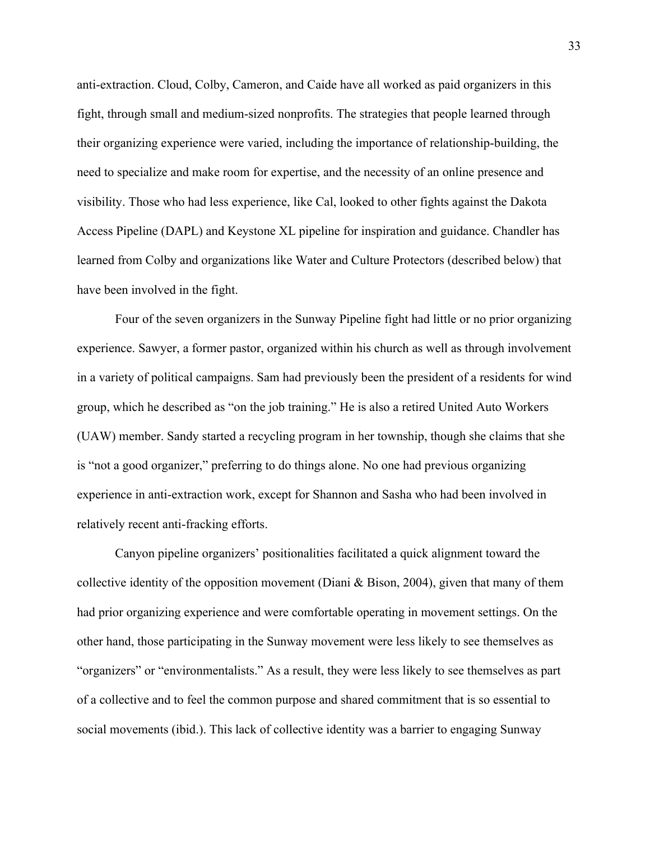anti-extraction. Cloud, Colby, Cameron, and Caide have all worked as paid organizers in this fight, through small and medium-sized nonprofits. The strategies that people learned through their organizing experience were varied, including the importance of relationship-building, the need to specialize and make room for expertise, and the necessity of an online presence and visibility. Those who had less experience, like Cal, looked to other fights against the Dakota Access Pipeline (DAPL) and Keystone XL pipeline for inspiration and guidance. Chandler has learned from Colby and organizations like Water and Culture Protectors (described below) that have been involved in the fight.

Four of the seven organizers in the Sunway Pipeline fight had little or no prior organizing experience. Sawyer, a former pastor, organized within his church as well as through involvement in a variety of political campaigns. Sam had previously been the president of a residents for wind group, which he described as "on the job training." He is also a retired United Auto Workers (UAW) member. Sandy started a recycling program in her township, though she claims that she is "not a good organizer," preferring to do things alone. No one had previous organizing experience in anti-extraction work, except for Shannon and Sasha who had been involved in relatively recent anti-fracking efforts.

Canyon pipeline organizers' positionalities facilitated a quick alignment toward the collective identity of the opposition movement (Diani  $\&$  Bison, 2004), given that many of them had prior organizing experience and were comfortable operating in movement settings. On the other hand, those participating in the Sunway movement were less likely to see themselves as "organizers" or "environmentalists." As a result, they were less likely to see themselves as part of a collective and to feel the common purpose and shared commitment that is so essential to social movements (ibid.). This lack of collective identity was a barrier to engaging Sunway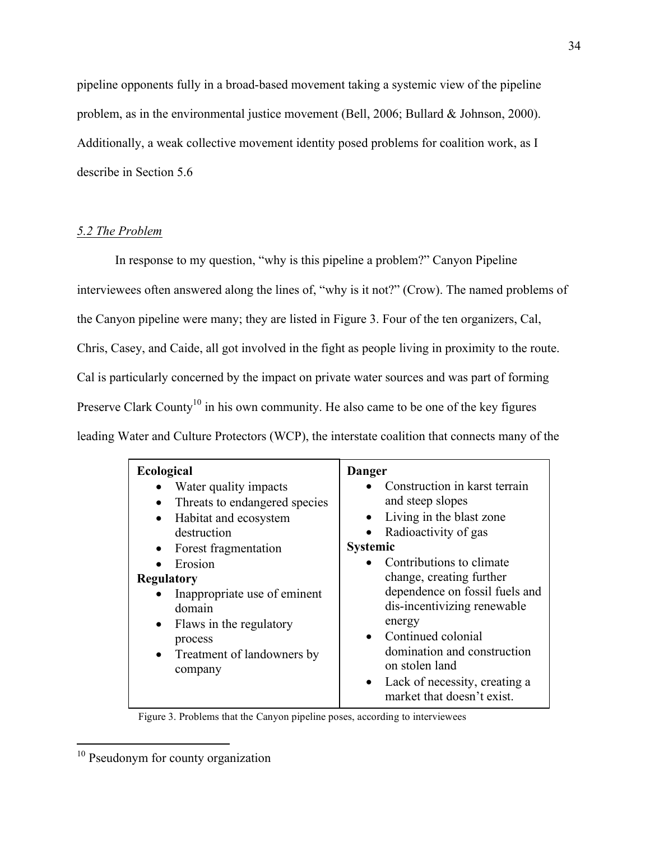pipeline opponents fully in a broad-based movement taking a systemic view of the pipeline problem, as in the environmental justice movement (Bell, 2006; Bullard & Johnson, 2000). Additionally, a weak collective movement identity posed problems for coalition work, as I describe in Section 5.6

### *5.2 The Problem*

In response to my question, "why is this pipeline a problem?" Canyon Pipeline interviewees often answered along the lines of, "why is it not?" (Crow). The named problems of the Canyon pipeline were many; they are listed in Figure 3. Four of the ten organizers, Cal, Chris, Casey, and Caide, all got involved in the fight as people living in proximity to the route. Cal is particularly concerned by the impact on private water sources and was part of forming Preserve Clark County<sup>10</sup> in his own community. He also came to be one of the key figures leading Water and Culture Protectors (WCP), the interstate coalition that connects many of the

| <b>Ecological</b>                                                                                                                                                                                                                                                                                                                                | Danger                                                                                                                                                                                                                                                                                                                                                                                                                        |
|--------------------------------------------------------------------------------------------------------------------------------------------------------------------------------------------------------------------------------------------------------------------------------------------------------------------------------------------------|-------------------------------------------------------------------------------------------------------------------------------------------------------------------------------------------------------------------------------------------------------------------------------------------------------------------------------------------------------------------------------------------------------------------------------|
| Water quality impacts<br>Threats to endangered species<br>$\bullet$<br>Habitat and ecosystem<br>$\bullet$<br>destruction<br>Forest fragmentation<br>$\bullet$<br>Erosion<br><b>Regulatory</b><br>Inappropriate use of eminent<br>domain<br>Flaws in the regulatory<br>$\bullet$<br>process<br>Treatment of landowners by<br>$\bullet$<br>company | Construction in karst terrain<br>and steep slopes<br>Living in the blast zone<br>Radioactivity of gas<br>$\bullet$<br><b>Systemic</b><br>Contributions to climate<br>change, creating further<br>dependence on fossil fuels and<br>dis-incentivizing renewable<br>energy<br>• Continued colonial<br>domination and construction<br>on stolen land<br>Lack of necessity, creating a<br>$\bullet$<br>market that doesn't exist. |

Figure 3. Problems that the Canyon pipeline poses, according to interviewees

<sup>&</sup>lt;sup>10</sup> Pseudonym for county organization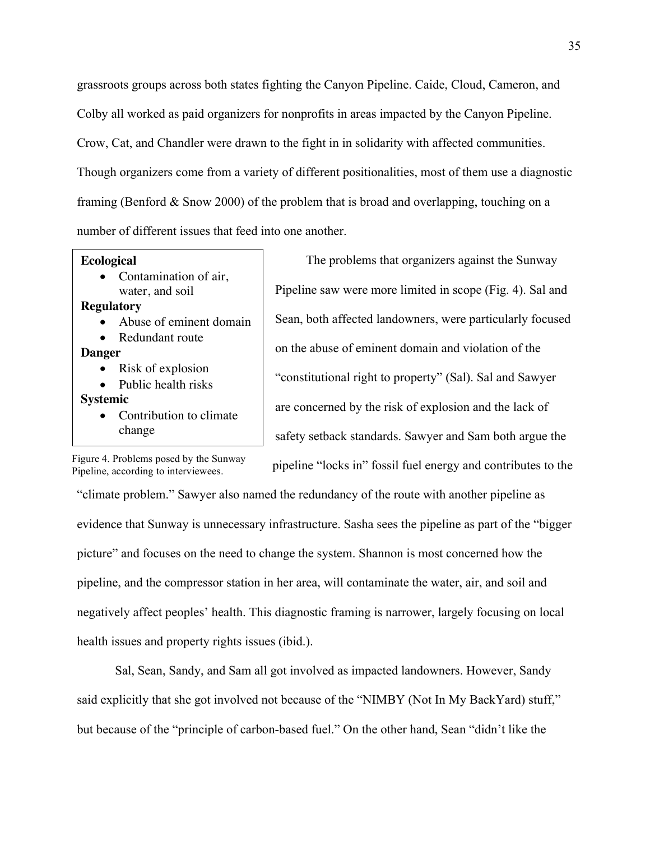grassroots groups across both states fighting the Canyon Pipeline. Caide, Cloud, Cameron, and Colby all worked as paid organizers for nonprofits in areas impacted by the Canyon Pipeline. Crow, Cat, and Chandler were drawn to the fight in in solidarity with affected communities. Though organizers come from a variety of different positionalities, most of them use a diagnostic framing (Benford & Snow 2000) of the problem that is broad and overlapping, touching on a number of different issues that feed into one another.

#### **Ecological**

Contamination of air. water, and soil

## **Regulatory**

- Abuse of eminent domain
- Redundant route

#### **Danger**

- Risk of explosion
- Public health risks

#### **Systemic**

Contribution to climate change

on the abuse of eminent domain and violation of the "constitutional right to property" (Sal). Sal and Sawyer are concerned by the risk of explosion and the lack of safety setback standards. Sawyer and Sam both argue the

The problems that organizers against the Sunway

Pipeline saw were more limited in scope (Fig. 4). Sal and

Sean, both affected landowners, were particularly focused

pipeline "locks in" fossil fuel energy and contributes to the

Figure 4. Problems posed by the Sunway Pipeline, according to interviewees.

"climate problem." Sawyer also named the redundancy of the route with another pipeline as evidence that Sunway is unnecessary infrastructure. Sasha sees the pipeline as part of the "bigger picture" and focuses on the need to change the system. Shannon is most concerned how the pipeline, and the compressor station in her area, will contaminate the water, air, and soil and negatively affect peoples' health. This diagnostic framing is narrower, largely focusing on local health issues and property rights issues (ibid.).

Sal, Sean, Sandy, and Sam all got involved as impacted landowners. However, Sandy said explicitly that she got involved not because of the "NIMBY (Not In My BackYard) stuff," but because of the "principle of carbon-based fuel." On the other hand, Sean "didn't like the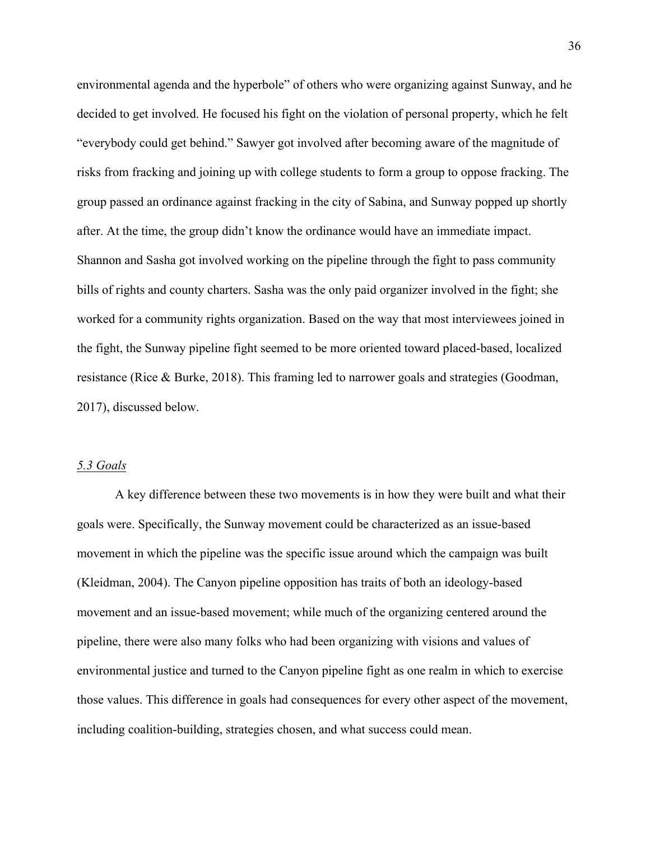environmental agenda and the hyperbole" of others who were organizing against Sunway, and he decided to get involved. He focused his fight on the violation of personal property, which he felt "everybody could get behind." Sawyer got involved after becoming aware of the magnitude of risks from fracking and joining up with college students to form a group to oppose fracking. The group passed an ordinance against fracking in the city of Sabina, and Sunway popped up shortly after. At the time, the group didn't know the ordinance would have an immediate impact. Shannon and Sasha got involved working on the pipeline through the fight to pass community bills of rights and county charters. Sasha was the only paid organizer involved in the fight; she worked for a community rights organization. Based on the way that most interviewees joined in the fight, the Sunway pipeline fight seemed to be more oriented toward placed-based, localized resistance (Rice & Burke, 2018). This framing led to narrower goals and strategies (Goodman, 2017), discussed below.

### *5.3 Goals*

A key difference between these two movements is in how they were built and what their goals were. Specifically, the Sunway movement could be characterized as an issue-based movement in which the pipeline was the specific issue around which the campaign was built (Kleidman, 2004). The Canyon pipeline opposition has traits of both an ideology-based movement and an issue-based movement; while much of the organizing centered around the pipeline, there were also many folks who had been organizing with visions and values of environmental justice and turned to the Canyon pipeline fight as one realm in which to exercise those values. This difference in goals had consequences for every other aspect of the movement, including coalition-building, strategies chosen, and what success could mean.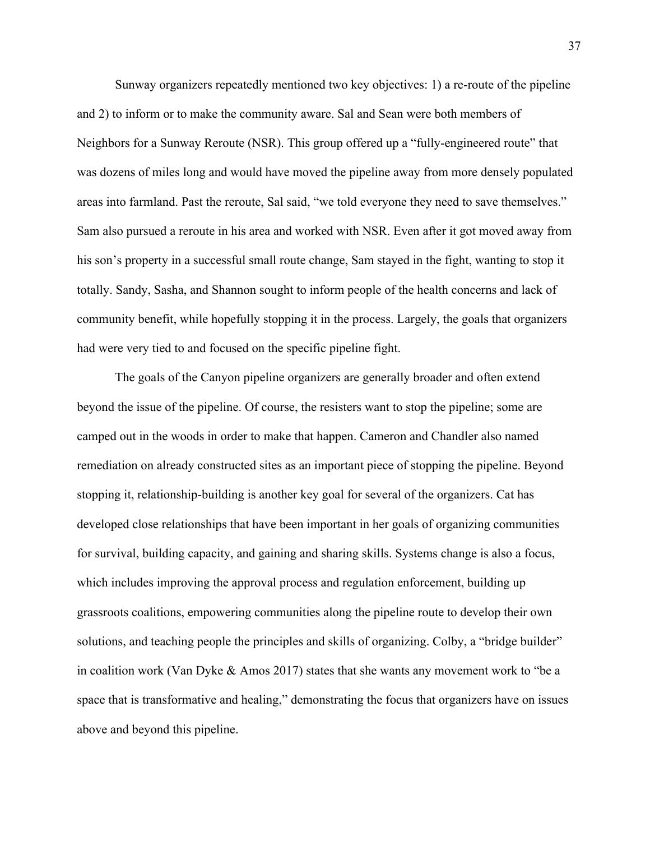Sunway organizers repeatedly mentioned two key objectives: 1) a re-route of the pipeline and 2) to inform or to make the community aware. Sal and Sean were both members of Neighbors for a Sunway Reroute (NSR). This group offered up a "fully-engineered route" that was dozens of miles long and would have moved the pipeline away from more densely populated areas into farmland. Past the reroute, Sal said, "we told everyone they need to save themselves." Sam also pursued a reroute in his area and worked with NSR. Even after it got moved away from his son's property in a successful small route change, Sam stayed in the fight, wanting to stop it totally. Sandy, Sasha, and Shannon sought to inform people of the health concerns and lack of community benefit, while hopefully stopping it in the process. Largely, the goals that organizers had were very tied to and focused on the specific pipeline fight.

The goals of the Canyon pipeline organizers are generally broader and often extend beyond the issue of the pipeline. Of course, the resisters want to stop the pipeline; some are camped out in the woods in order to make that happen. Cameron and Chandler also named remediation on already constructed sites as an important piece of stopping the pipeline. Beyond stopping it, relationship-building is another key goal for several of the organizers. Cat has developed close relationships that have been important in her goals of organizing communities for survival, building capacity, and gaining and sharing skills. Systems change is also a focus, which includes improving the approval process and regulation enforcement, building up grassroots coalitions, empowering communities along the pipeline route to develop their own solutions, and teaching people the principles and skills of organizing. Colby, a "bridge builder" in coalition work (Van Dyke & Amos 2017) states that she wants any movement work to "be a space that is transformative and healing," demonstrating the focus that organizers have on issues above and beyond this pipeline.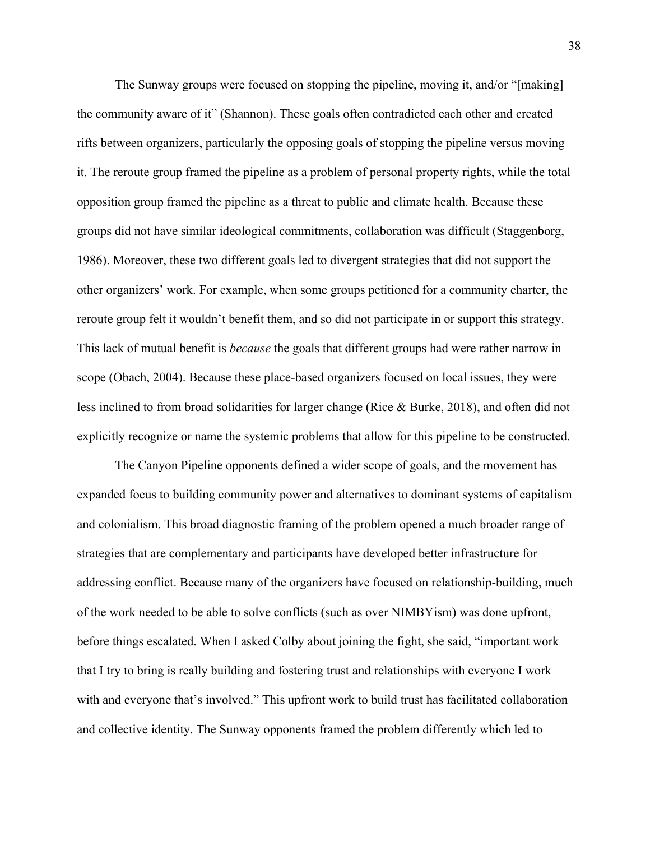The Sunway groups were focused on stopping the pipeline, moving it, and/or "[making] the community aware of it" (Shannon). These goals often contradicted each other and created rifts between organizers, particularly the opposing goals of stopping the pipeline versus moving it. The reroute group framed the pipeline as a problem of personal property rights, while the total opposition group framed the pipeline as a threat to public and climate health. Because these groups did not have similar ideological commitments, collaboration was difficult (Staggenborg, 1986). Moreover, these two different goals led to divergent strategies that did not support the other organizers' work. For example, when some groups petitioned for a community charter, the reroute group felt it wouldn't benefit them, and so did not participate in or support this strategy. This lack of mutual benefit is *because* the goals that different groups had were rather narrow in scope (Obach, 2004). Because these place-based organizers focused on local issues, they were less inclined to from broad solidarities for larger change (Rice & Burke, 2018), and often did not explicitly recognize or name the systemic problems that allow for this pipeline to be constructed.

The Canyon Pipeline opponents defined a wider scope of goals, and the movement has expanded focus to building community power and alternatives to dominant systems of capitalism and colonialism. This broad diagnostic framing of the problem opened a much broader range of strategies that are complementary and participants have developed better infrastructure for addressing conflict. Because many of the organizers have focused on relationship-building, much of the work needed to be able to solve conflicts (such as over NIMBYism) was done upfront, before things escalated. When I asked Colby about joining the fight, she said, "important work that I try to bring is really building and fostering trust and relationships with everyone I work with and everyone that's involved." This upfront work to build trust has facilitated collaboration and collective identity. The Sunway opponents framed the problem differently which led to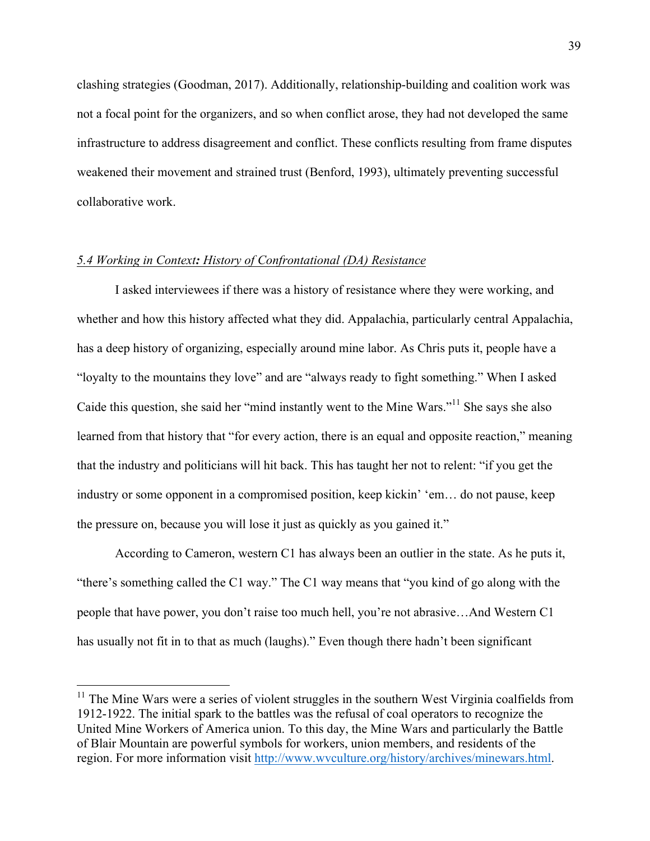clashing strategies (Goodman, 2017). Additionally, relationship-building and coalition work was not a focal point for the organizers, and so when conflict arose, they had not developed the same infrastructure to address disagreement and conflict. These conflicts resulting from frame disputes weakened their movement and strained trust (Benford, 1993), ultimately preventing successful collaborative work.

### *5.4 Working in Context: History of Confrontational (DA) Resistance*

I asked interviewees if there was a history of resistance where they were working, and whether and how this history affected what they did. Appalachia, particularly central Appalachia, has a deep history of organizing, especially around mine labor. As Chris puts it, people have a "loyalty to the mountains they love" and are "always ready to fight something." When I asked Caide this question, she said her "mind instantly went to the Mine Wars."<sup>11</sup> She says she also learned from that history that "for every action, there is an equal and opposite reaction," meaning that the industry and politicians will hit back. This has taught her not to relent: "if you get the industry or some opponent in a compromised position, keep kickin' 'em… do not pause, keep the pressure on, because you will lose it just as quickly as you gained it."

According to Cameron, western C1 has always been an outlier in the state. As he puts it, "there's something called the C1 way." The C1 way means that "you kind of go along with the people that have power, you don't raise too much hell, you're not abrasive…And Western C1 has usually not fit in to that as much (laughs)." Even though there hadn't been significant

 $11$  The Mine Wars were a series of violent struggles in the southern West Virginia coalfields from 1912-1922. The initial spark to the battles was the refusal of coal operators to recognize the United Mine Workers of America union. To this day, the Mine Wars and particularly the Battle of Blair Mountain are powerful symbols for workers, union members, and residents of the region. For more information visit http://www.wvculture.org/history/archives/minewars.html.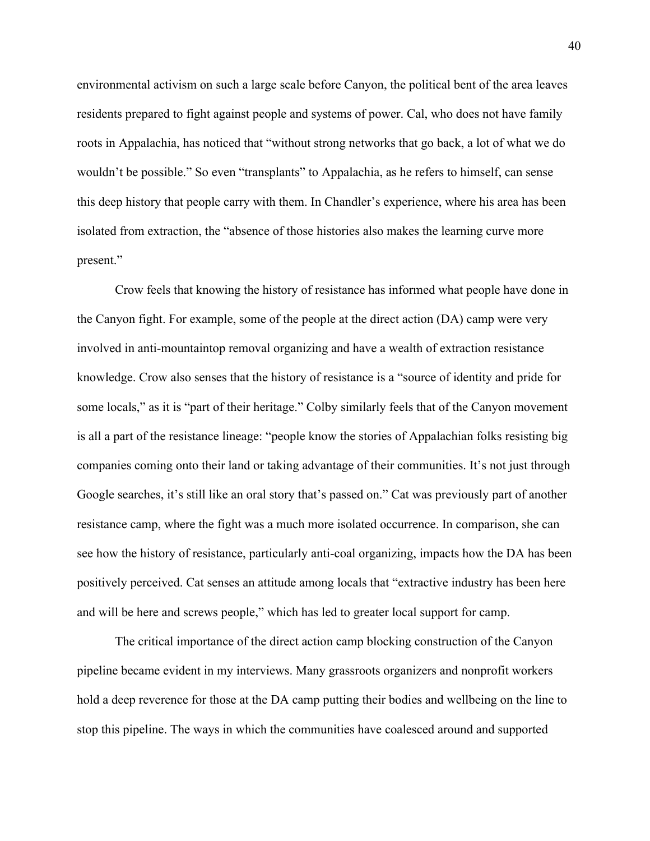environmental activism on such a large scale before Canyon, the political bent of the area leaves residents prepared to fight against people and systems of power. Cal, who does not have family roots in Appalachia, has noticed that "without strong networks that go back, a lot of what we do wouldn't be possible." So even "transplants" to Appalachia, as he refers to himself, can sense this deep history that people carry with them. In Chandler's experience, where his area has been isolated from extraction, the "absence of those histories also makes the learning curve more present."

Crow feels that knowing the history of resistance has informed what people have done in the Canyon fight. For example, some of the people at the direct action (DA) camp were very involved in anti-mountaintop removal organizing and have a wealth of extraction resistance knowledge. Crow also senses that the history of resistance is a "source of identity and pride for some locals," as it is "part of their heritage." Colby similarly feels that of the Canyon movement is all a part of the resistance lineage: "people know the stories of Appalachian folks resisting big companies coming onto their land or taking advantage of their communities. It's not just through Google searches, it's still like an oral story that's passed on." Cat was previously part of another resistance camp, where the fight was a much more isolated occurrence. In comparison, she can see how the history of resistance, particularly anti-coal organizing, impacts how the DA has been positively perceived. Cat senses an attitude among locals that "extractive industry has been here and will be here and screws people," which has led to greater local support for camp.

The critical importance of the direct action camp blocking construction of the Canyon pipeline became evident in my interviews. Many grassroots organizers and nonprofit workers hold a deep reverence for those at the DA camp putting their bodies and wellbeing on the line to stop this pipeline. The ways in which the communities have coalesced around and supported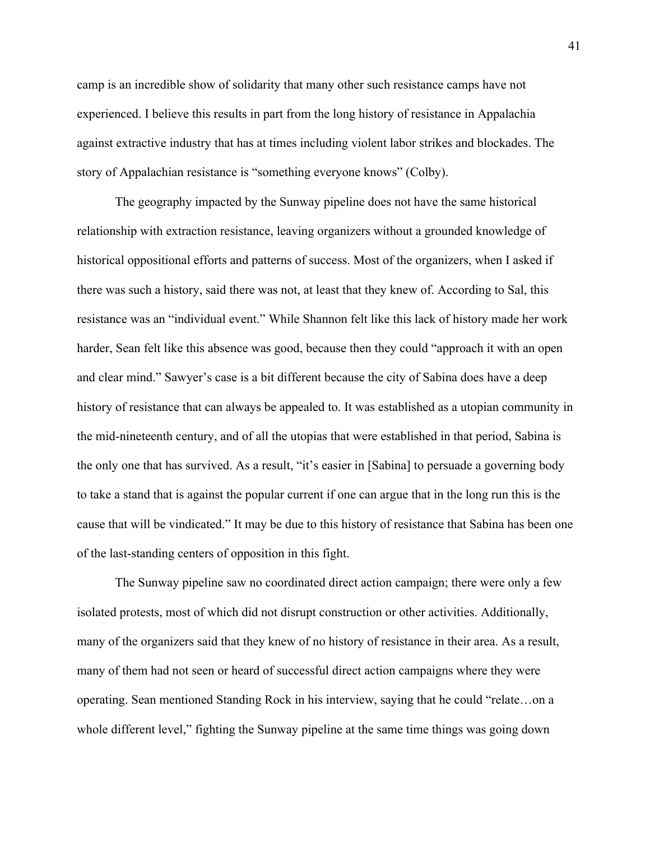camp is an incredible show of solidarity that many other such resistance camps have not experienced. I believe this results in part from the long history of resistance in Appalachia against extractive industry that has at times including violent labor strikes and blockades. The story of Appalachian resistance is "something everyone knows" (Colby).

The geography impacted by the Sunway pipeline does not have the same historical relationship with extraction resistance, leaving organizers without a grounded knowledge of historical oppositional efforts and patterns of success. Most of the organizers, when I asked if there was such a history, said there was not, at least that they knew of. According to Sal, this resistance was an "individual event." While Shannon felt like this lack of history made her work harder, Sean felt like this absence was good, because then they could "approach it with an open and clear mind." Sawyer's case is a bit different because the city of Sabina does have a deep history of resistance that can always be appealed to. It was established as a utopian community in the mid-nineteenth century, and of all the utopias that were established in that period, Sabina is the only one that has survived. As a result, "it's easier in [Sabina] to persuade a governing body to take a stand that is against the popular current if one can argue that in the long run this is the cause that will be vindicated." It may be due to this history of resistance that Sabina has been one of the last-standing centers of opposition in this fight.

The Sunway pipeline saw no coordinated direct action campaign; there were only a few isolated protests, most of which did not disrupt construction or other activities. Additionally, many of the organizers said that they knew of no history of resistance in their area. As a result, many of them had not seen or heard of successful direct action campaigns where they were operating. Sean mentioned Standing Rock in his interview, saying that he could "relate…on a whole different level," fighting the Sunway pipeline at the same time things was going down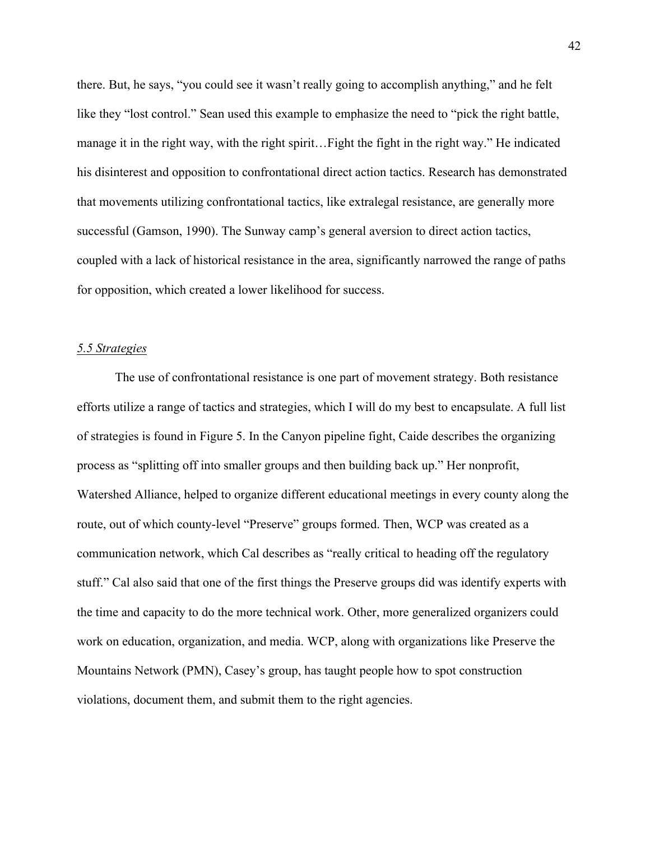there. But, he says, "you could see it wasn't really going to accomplish anything," and he felt like they "lost control." Sean used this example to emphasize the need to "pick the right battle, manage it in the right way, with the right spirit…Fight the fight in the right way." He indicated his disinterest and opposition to confrontational direct action tactics. Research has demonstrated that movements utilizing confrontational tactics, like extralegal resistance, are generally more successful (Gamson, 1990). The Sunway camp's general aversion to direct action tactics, coupled with a lack of historical resistance in the area, significantly narrowed the range of paths for opposition, which created a lower likelihood for success.

### *5.5 Strategies*

The use of confrontational resistance is one part of movement strategy. Both resistance efforts utilize a range of tactics and strategies, which I will do my best to encapsulate. A full list of strategies is found in Figure 5. In the Canyon pipeline fight, Caide describes the organizing process as "splitting off into smaller groups and then building back up." Her nonprofit, Watershed Alliance, helped to organize different educational meetings in every county along the route, out of which county-level "Preserve" groups formed. Then, WCP was created as a communication network, which Cal describes as "really critical to heading off the regulatory stuff." Cal also said that one of the first things the Preserve groups did was identify experts with the time and capacity to do the more technical work. Other, more generalized organizers could work on education, organization, and media. WCP, along with organizations like Preserve the Mountains Network (PMN), Casey's group, has taught people how to spot construction violations, document them, and submit them to the right agencies.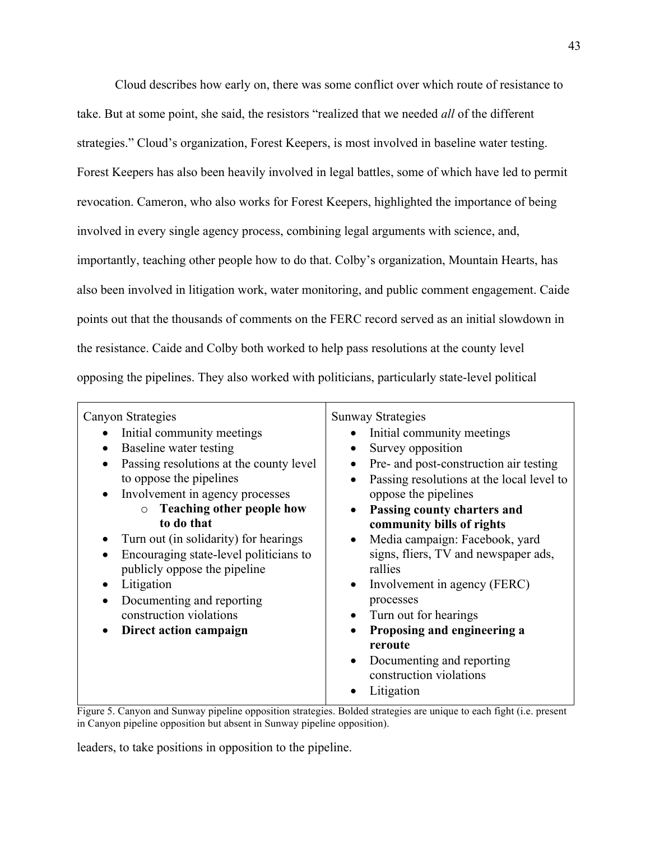Cloud describes how early on, there was some conflict over which route of resistance to take. But at some point, she said, the resistors "realized that we needed *all* of the different strategies." Cloud's organization, Forest Keepers, is most involved in baseline water testing. Forest Keepers has also been heavily involved in legal battles, some of which have led to permit revocation. Cameron, who also works for Forest Keepers, highlighted the importance of being involved in every single agency process, combining legal arguments with science, and, importantly, teaching other people how to do that. Colby's organization, Mountain Hearts, has also been involved in litigation work, water monitoring, and public comment engagement. Caide points out that the thousands of comments on the FERC record served as an initial slowdown in the resistance. Caide and Colby both worked to help pass resolutions at the county level opposing the pipelines. They also worked with politicians, particularly state-level political

| <b>Sunway Strategies</b>                               |
|--------------------------------------------------------|
| Initial community meetings                             |
| Survey opposition<br>$\bullet$                         |
| Pre- and post-construction air testing<br>٠            |
| Passing resolutions at the local level to<br>$\bullet$ |
| oppose the pipelines                                   |
| Passing county charters and<br>$\bullet$               |
| community bills of rights                              |
| Media campaign: Facebook, yard<br>$\bullet$            |
| signs, fliers, TV and newspaper ads,                   |
| rallies                                                |
| Involvement in agency (FERC)                           |
| processes                                              |
| Turn out for hearings<br>٠                             |
| Proposing and engineering a                            |
| reroute                                                |
| Documenting and reporting                              |
| construction violations                                |
| Litigation                                             |
|                                                        |

Figure 5. Canyon and Sunway pipeline opposition strategies. Bolded strategies are unique to each fight (i.e. present in Canyon pipeline opposition but absent in Sunway pipeline opposition).

leaders, to take positions in opposition to the pipeline.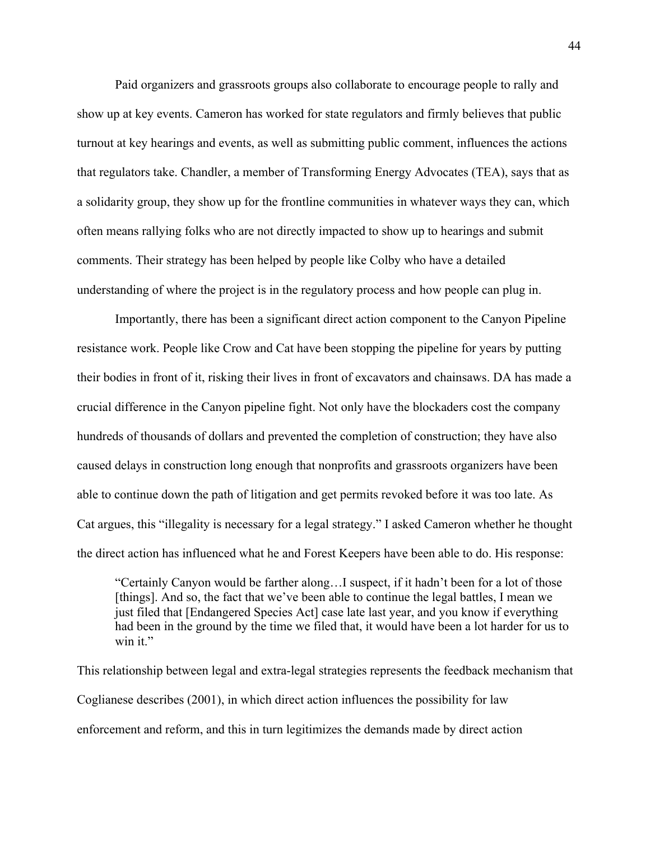Paid organizers and grassroots groups also collaborate to encourage people to rally and show up at key events. Cameron has worked for state regulators and firmly believes that public turnout at key hearings and events, as well as submitting public comment, influences the actions that regulators take. Chandler, a member of Transforming Energy Advocates (TEA), says that as a solidarity group, they show up for the frontline communities in whatever ways they can, which often means rallying folks who are not directly impacted to show up to hearings and submit comments. Their strategy has been helped by people like Colby who have a detailed understanding of where the project is in the regulatory process and how people can plug in.

Importantly, there has been a significant direct action component to the Canyon Pipeline resistance work. People like Crow and Cat have been stopping the pipeline for years by putting their bodies in front of it, risking their lives in front of excavators and chainsaws. DA has made a crucial difference in the Canyon pipeline fight. Not only have the blockaders cost the company hundreds of thousands of dollars and prevented the completion of construction; they have also caused delays in construction long enough that nonprofits and grassroots organizers have been able to continue down the path of litigation and get permits revoked before it was too late. As Cat argues, this "illegality is necessary for a legal strategy." I asked Cameron whether he thought the direct action has influenced what he and Forest Keepers have been able to do. His response:

"Certainly Canyon would be farther along…I suspect, if it hadn't been for a lot of those [things]. And so, the fact that we've been able to continue the legal battles, I mean we just filed that [Endangered Species Act] case late last year, and you know if everything had been in the ground by the time we filed that, it would have been a lot harder for us to win it."

This relationship between legal and extra-legal strategies represents the feedback mechanism that Coglianese describes (2001), in which direct action influences the possibility for law enforcement and reform, and this in turn legitimizes the demands made by direct action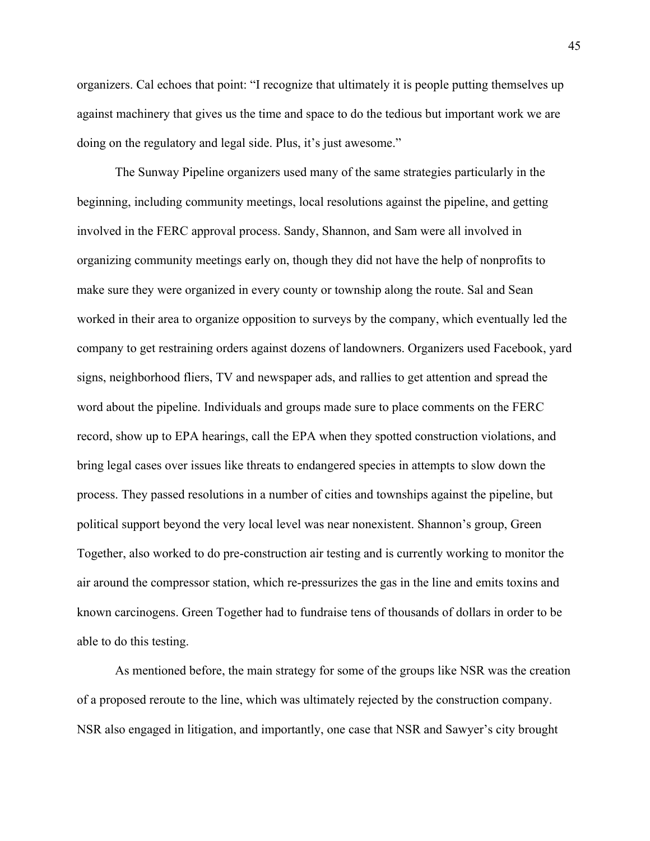organizers. Cal echoes that point: "I recognize that ultimately it is people putting themselves up against machinery that gives us the time and space to do the tedious but important work we are doing on the regulatory and legal side. Plus, it's just awesome."

The Sunway Pipeline organizers used many of the same strategies particularly in the beginning, including community meetings, local resolutions against the pipeline, and getting involved in the FERC approval process. Sandy, Shannon, and Sam were all involved in organizing community meetings early on, though they did not have the help of nonprofits to make sure they were organized in every county or township along the route. Sal and Sean worked in their area to organize opposition to surveys by the company, which eventually led the company to get restraining orders against dozens of landowners. Organizers used Facebook, yard signs, neighborhood fliers, TV and newspaper ads, and rallies to get attention and spread the word about the pipeline. Individuals and groups made sure to place comments on the FERC record, show up to EPA hearings, call the EPA when they spotted construction violations, and bring legal cases over issues like threats to endangered species in attempts to slow down the process. They passed resolutions in a number of cities and townships against the pipeline, but political support beyond the very local level was near nonexistent. Shannon's group, Green Together, also worked to do pre-construction air testing and is currently working to monitor the air around the compressor station, which re-pressurizes the gas in the line and emits toxins and known carcinogens. Green Together had to fundraise tens of thousands of dollars in order to be able to do this testing.

As mentioned before, the main strategy for some of the groups like NSR was the creation of a proposed reroute to the line, which was ultimately rejected by the construction company. NSR also engaged in litigation, and importantly, one case that NSR and Sawyer's city brought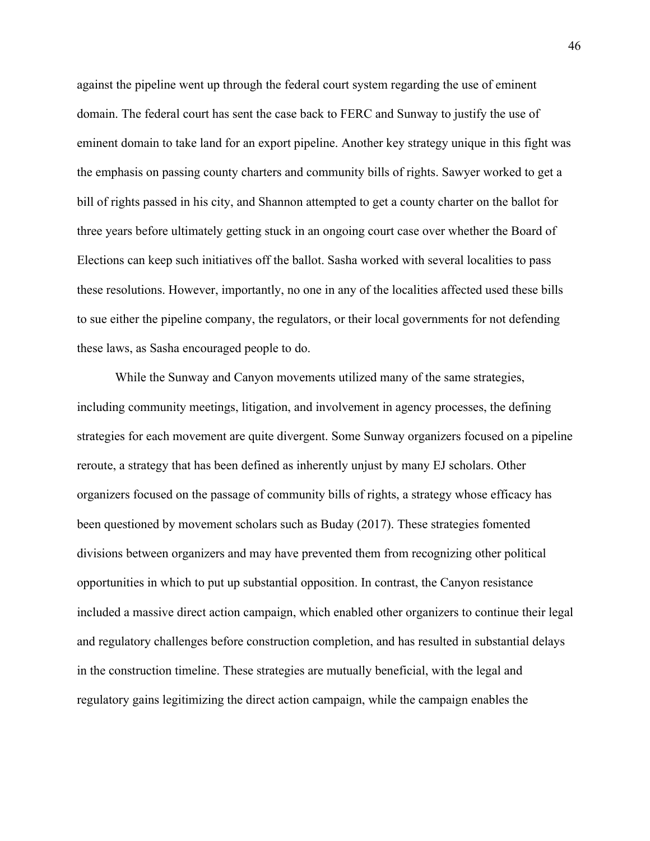against the pipeline went up through the federal court system regarding the use of eminent domain. The federal court has sent the case back to FERC and Sunway to justify the use of eminent domain to take land for an export pipeline. Another key strategy unique in this fight was the emphasis on passing county charters and community bills of rights. Sawyer worked to get a bill of rights passed in his city, and Shannon attempted to get a county charter on the ballot for three years before ultimately getting stuck in an ongoing court case over whether the Board of Elections can keep such initiatives off the ballot. Sasha worked with several localities to pass these resolutions. However, importantly, no one in any of the localities affected used these bills to sue either the pipeline company, the regulators, or their local governments for not defending these laws, as Sasha encouraged people to do.

While the Sunway and Canyon movements utilized many of the same strategies, including community meetings, litigation, and involvement in agency processes, the defining strategies for each movement are quite divergent. Some Sunway organizers focused on a pipeline reroute, a strategy that has been defined as inherently unjust by many EJ scholars. Other organizers focused on the passage of community bills of rights, a strategy whose efficacy has been questioned by movement scholars such as Buday (2017). These strategies fomented divisions between organizers and may have prevented them from recognizing other political opportunities in which to put up substantial opposition. In contrast, the Canyon resistance included a massive direct action campaign, which enabled other organizers to continue their legal and regulatory challenges before construction completion, and has resulted in substantial delays in the construction timeline. These strategies are mutually beneficial, with the legal and regulatory gains legitimizing the direct action campaign, while the campaign enables the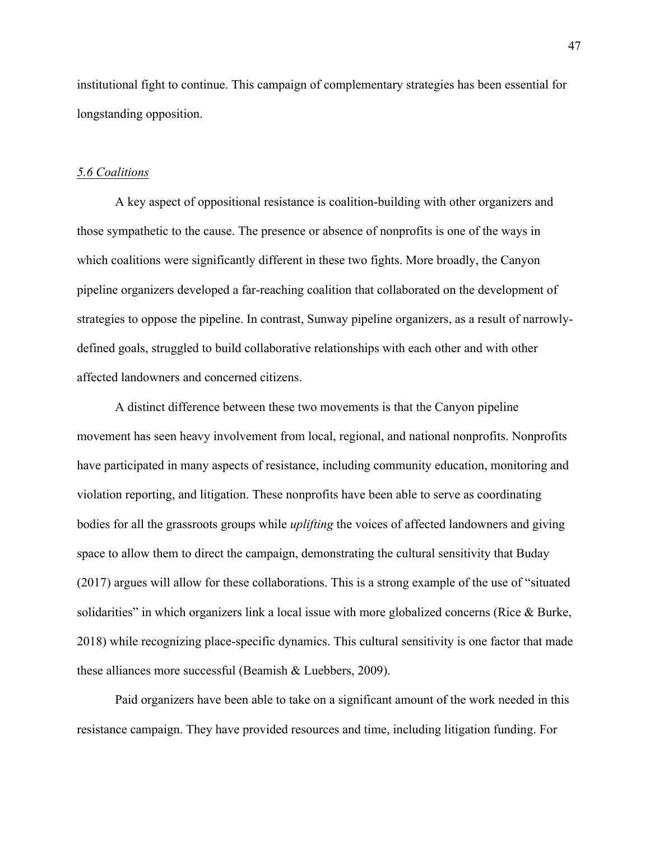institutional fight to continue. This campaign of complementary strategies has been essential for longstanding opposition.

#### *5.6 Coalitions*

A key aspect of oppositional resistance is coalition-building with other organizers and those sympathetic to the cause. The presence or absence of nonprofits is one of the ways in which coalitions were significantly different in these two fights. More broadly, the Canyon pipeline organizers developed a far-reaching coalition that collaborated on the development of strategies to oppose the pipeline. In contrast, Sunway pipeline organizers, as a result of narrowlydefined goals, struggled to build collaborative relationships with each other and with other affected landowners and concerned citizens.

A distinct difference between these two movements is that the Canyon pipeline movement has seen heavy involvement from local, regional, and national nonprofits. Nonprofits have participated in many aspects of resistance, including community education, monitoring and violation reporting, and litigation. These nonprofits have been able to serve as coordinating bodies for all the grassroots groups while *uplifting* the voices of affected landowners and giving space to allow them to direct the campaign, demonstrating the cultural sensitivity that Buday (2017) argues will allow for these collaborations. This is a strong example of the use of "situated solidarities" in which organizers link a local issue with more globalized concerns (Rice  $\&$  Burke, 2018) while recognizing place-specific dynamics. This cultural sensitivity is one factor that made these alliances more successful (Beamish & Luebbers, 2009).

Paid organizers have been able to take on a significant amount of the work needed in this resistance campaign. They have provided resources and time, including litigation funding. For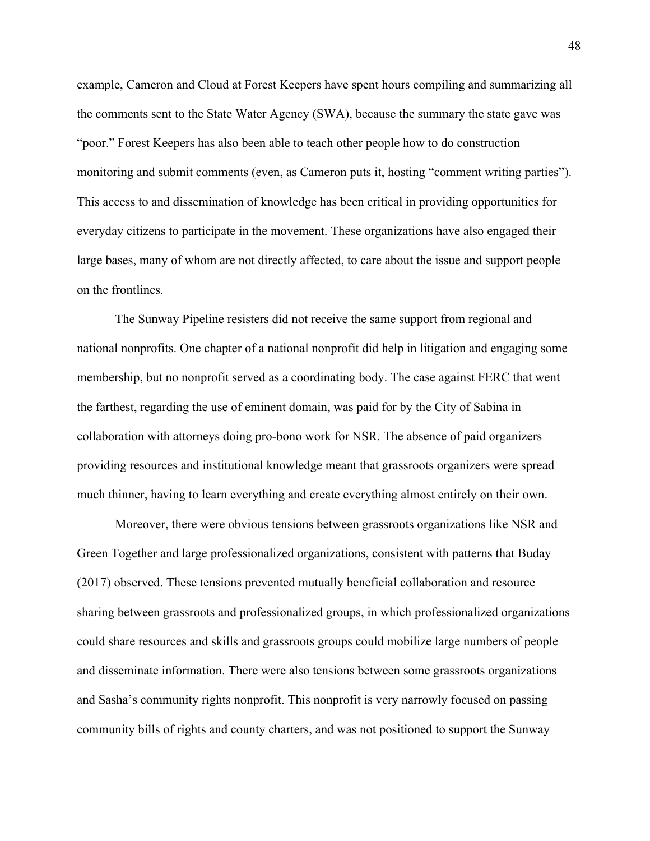example, Cameron and Cloud at Forest Keepers have spent hours compiling and summarizing all the comments sent to the State Water Agency (SWA), because the summary the state gave was "poor." Forest Keepers has also been able to teach other people how to do construction monitoring and submit comments (even, as Cameron puts it, hosting "comment writing parties"). This access to and dissemination of knowledge has been critical in providing opportunities for everyday citizens to participate in the movement. These organizations have also engaged their large bases, many of whom are not directly affected, to care about the issue and support people on the frontlines.

The Sunway Pipeline resisters did not receive the same support from regional and national nonprofits. One chapter of a national nonprofit did help in litigation and engaging some membership, but no nonprofit served as a coordinating body. The case against FERC that went the farthest, regarding the use of eminent domain, was paid for by the City of Sabina in collaboration with attorneys doing pro-bono work for NSR. The absence of paid organizers providing resources and institutional knowledge meant that grassroots organizers were spread much thinner, having to learn everything and create everything almost entirely on their own.

Moreover, there were obvious tensions between grassroots organizations like NSR and Green Together and large professionalized organizations, consistent with patterns that Buday (2017) observed. These tensions prevented mutually beneficial collaboration and resource sharing between grassroots and professionalized groups, in which professionalized organizations could share resources and skills and grassroots groups could mobilize large numbers of people and disseminate information. There were also tensions between some grassroots organizations and Sasha's community rights nonprofit. This nonprofit is very narrowly focused on passing community bills of rights and county charters, and was not positioned to support the Sunway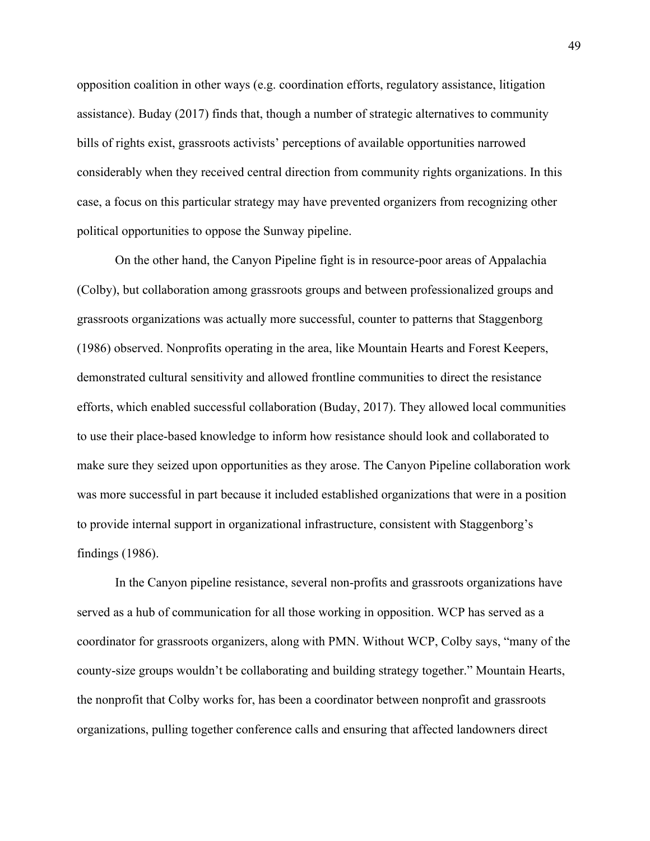opposition coalition in other ways (e.g. coordination efforts, regulatory assistance, litigation assistance). Buday (2017) finds that, though a number of strategic alternatives to community bills of rights exist, grassroots activists' perceptions of available opportunities narrowed considerably when they received central direction from community rights organizations. In this case, a focus on this particular strategy may have prevented organizers from recognizing other political opportunities to oppose the Sunway pipeline.

On the other hand, the Canyon Pipeline fight is in resource-poor areas of Appalachia (Colby), but collaboration among grassroots groups and between professionalized groups and grassroots organizations was actually more successful, counter to patterns that Staggenborg (1986) observed. Nonprofits operating in the area, like Mountain Hearts and Forest Keepers, demonstrated cultural sensitivity and allowed frontline communities to direct the resistance efforts, which enabled successful collaboration (Buday, 2017). They allowed local communities to use their place-based knowledge to inform how resistance should look and collaborated to make sure they seized upon opportunities as they arose. The Canyon Pipeline collaboration work was more successful in part because it included established organizations that were in a position to provide internal support in organizational infrastructure, consistent with Staggenborg's findings (1986).

In the Canyon pipeline resistance, several non-profits and grassroots organizations have served as a hub of communication for all those working in opposition. WCP has served as a coordinator for grassroots organizers, along with PMN. Without WCP, Colby says, "many of the county-size groups wouldn't be collaborating and building strategy together." Mountain Hearts, the nonprofit that Colby works for, has been a coordinator between nonprofit and grassroots organizations, pulling together conference calls and ensuring that affected landowners direct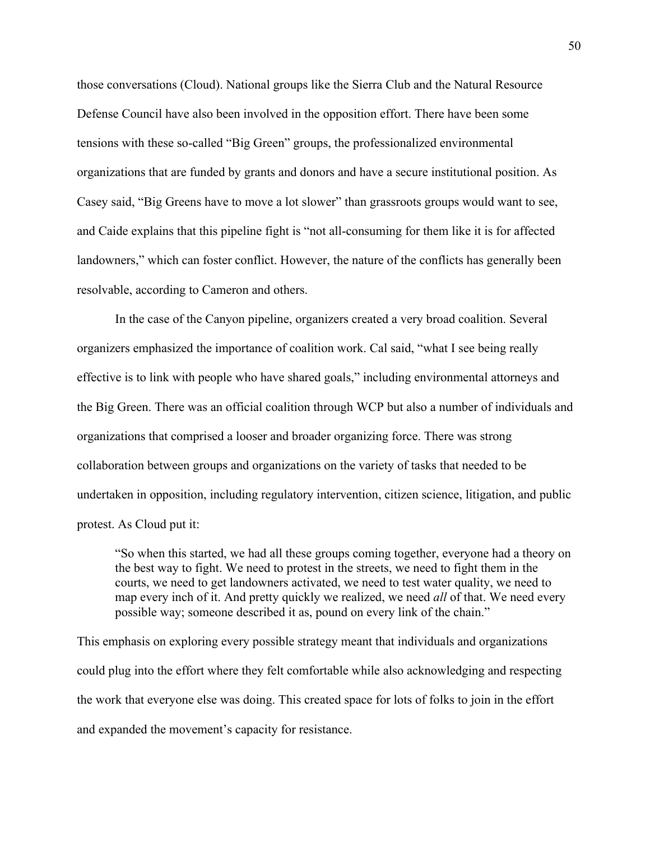those conversations (Cloud). National groups like the Sierra Club and the Natural Resource Defense Council have also been involved in the opposition effort. There have been some tensions with these so-called "Big Green" groups, the professionalized environmental organizations that are funded by grants and donors and have a secure institutional position. As Casey said, "Big Greens have to move a lot slower" than grassroots groups would want to see, and Caide explains that this pipeline fight is "not all-consuming for them like it is for affected landowners," which can foster conflict. However, the nature of the conflicts has generally been resolvable, according to Cameron and others.

In the case of the Canyon pipeline, organizers created a very broad coalition. Several organizers emphasized the importance of coalition work. Cal said, "what I see being really effective is to link with people who have shared goals," including environmental attorneys and the Big Green. There was an official coalition through WCP but also a number of individuals and organizations that comprised a looser and broader organizing force. There was strong collaboration between groups and organizations on the variety of tasks that needed to be undertaken in opposition, including regulatory intervention, citizen science, litigation, and public protest. As Cloud put it:

"So when this started, we had all these groups coming together, everyone had a theory on the best way to fight. We need to protest in the streets, we need to fight them in the courts, we need to get landowners activated, we need to test water quality, we need to map every inch of it. And pretty quickly we realized, we need *all* of that. We need every possible way; someone described it as, pound on every link of the chain."

This emphasis on exploring every possible strategy meant that individuals and organizations could plug into the effort where they felt comfortable while also acknowledging and respecting the work that everyone else was doing. This created space for lots of folks to join in the effort and expanded the movement's capacity for resistance.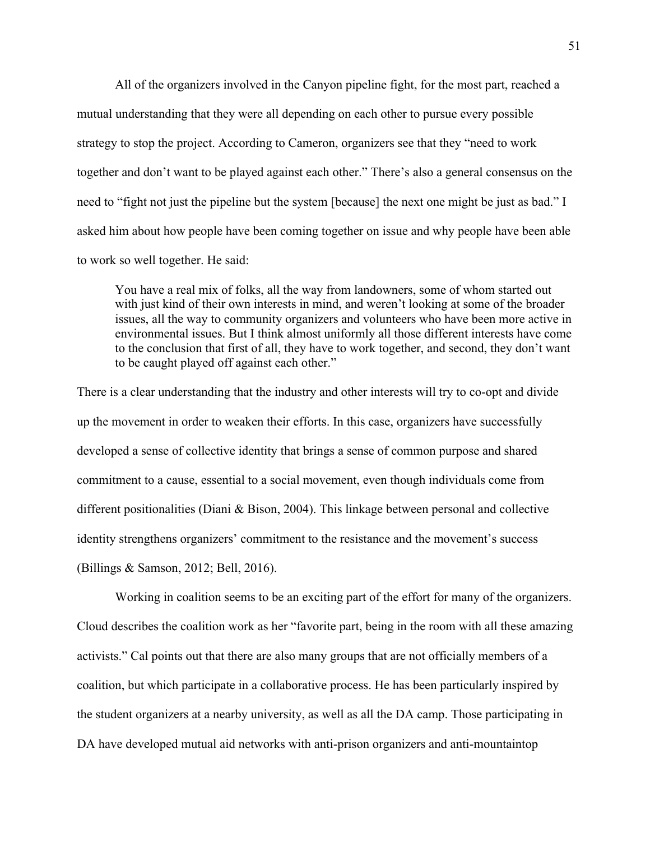All of the organizers involved in the Canyon pipeline fight, for the most part, reached a mutual understanding that they were all depending on each other to pursue every possible strategy to stop the project. According to Cameron, organizers see that they "need to work together and don't want to be played against each other." There's also a general consensus on the need to "fight not just the pipeline but the system [because] the next one might be just as bad." I asked him about how people have been coming together on issue and why people have been able to work so well together. He said:

You have a real mix of folks, all the way from landowners, some of whom started out with just kind of their own interests in mind, and weren't looking at some of the broader issues, all the way to community organizers and volunteers who have been more active in environmental issues. But I think almost uniformly all those different interests have come to the conclusion that first of all, they have to work together, and second, they don't want to be caught played off against each other."

There is a clear understanding that the industry and other interests will try to co-opt and divide up the movement in order to weaken their efforts. In this case, organizers have successfully developed a sense of collective identity that brings a sense of common purpose and shared commitment to a cause, essential to a social movement, even though individuals come from different positionalities (Diani & Bison, 2004). This linkage between personal and collective identity strengthens organizers' commitment to the resistance and the movement's success (Billings & Samson, 2012; Bell, 2016).

Working in coalition seems to be an exciting part of the effort for many of the organizers. Cloud describes the coalition work as her "favorite part, being in the room with all these amazing activists." Cal points out that there are also many groups that are not officially members of a coalition, but which participate in a collaborative process. He has been particularly inspired by the student organizers at a nearby university, as well as all the DA camp. Those participating in DA have developed mutual aid networks with anti-prison organizers and anti-mountaintop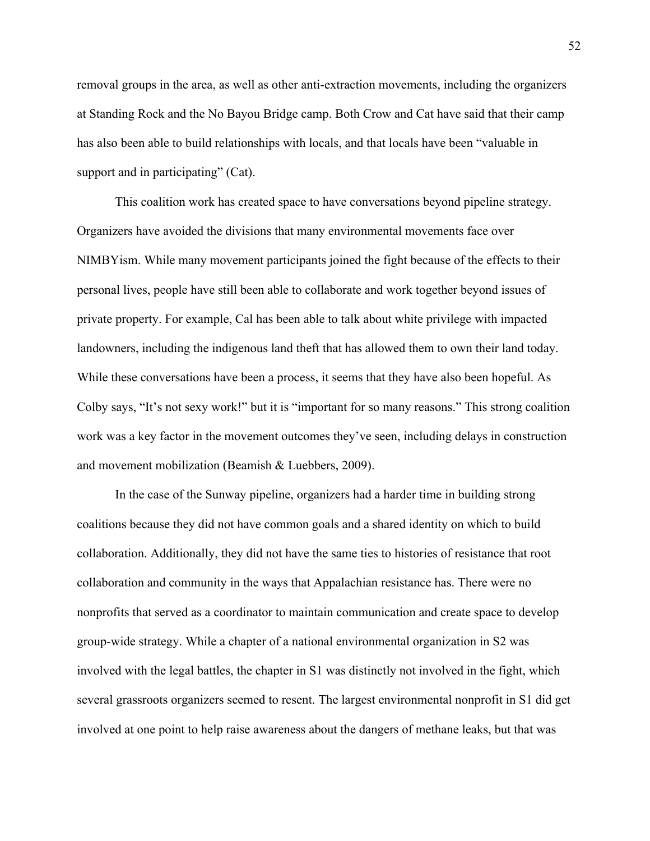removal groups in the area, as well as other anti-extraction movements, including the organizers at Standing Rock and the No Bayou Bridge camp. Both Crow and Cat have said that their camp has also been able to build relationships with locals, and that locals have been "valuable in support and in participating" (Cat).

This coalition work has created space to have conversations beyond pipeline strategy. Organizers have avoided the divisions that many environmental movements face over NIMBYism. While many movement participants joined the fight because of the effects to their personal lives, people have still been able to collaborate and work together beyond issues of private property. For example, Cal has been able to talk about white privilege with impacted landowners, including the indigenous land theft that has allowed them to own their land today. While these conversations have been a process, it seems that they have also been hopeful. As Colby says, "It's not sexy work!" but it is "important for so many reasons." This strong coalition work was a key factor in the movement outcomes they've seen, including delays in construction and movement mobilization (Beamish & Luebbers, 2009).

In the case of the Sunway pipeline, organizers had a harder time in building strong coalitions because they did not have common goals and a shared identity on which to build collaboration. Additionally, they did not have the same ties to histories of resistance that root collaboration and community in the ways that Appalachian resistance has. There were no nonprofits that served as a coordinator to maintain communication and create space to develop group-wide strategy. While a chapter of a national environmental organization in S2 was involved with the legal battles, the chapter in S1 was distinctly not involved in the fight, which several grassroots organizers seemed to resent. The largest environmental nonprofit in S1 did get involved at one point to help raise awareness about the dangers of methane leaks, but that was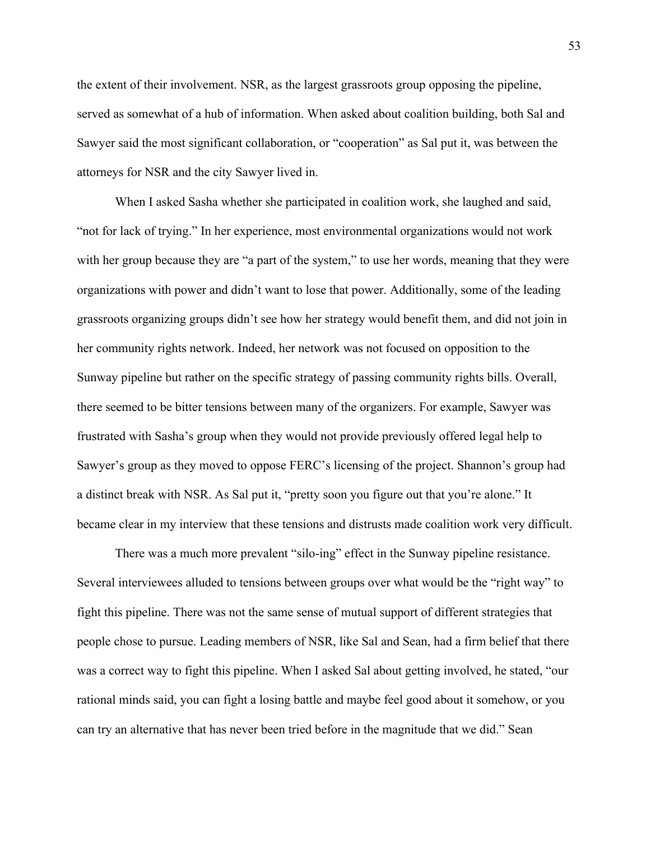the extent of their involvement. NSR, as the largest grassroots group opposing the pipeline, served as somewhat of a hub of information. When asked about coalition building, both Sal and Sawyer said the most significant collaboration, or "cooperation" as Sal put it, was between the attorneys for NSR and the city Sawyer lived in.

When I asked Sasha whether she participated in coalition work, she laughed and said, "not for lack of trying." In her experience, most environmental organizations would not work with her group because they are "a part of the system," to use her words, meaning that they were organizations with power and didn't want to lose that power. Additionally, some of the leading grassroots organizing groups didn't see how her strategy would benefit them, and did not join in her community rights network. Indeed, her network was not focused on opposition to the Sunway pipeline but rather on the specific strategy of passing community rights bills. Overall, there seemed to be bitter tensions between many of the organizers. For example, Sawyer was frustrated with Sasha's group when they would not provide previously offered legal help to Sawyer's group as they moved to oppose FERC's licensing of the project. Shannon's group had a distinct break with NSR. As Sal put it, "pretty soon you figure out that you're alone." It became clear in my interview that these tensions and distrusts made coalition work very difficult.

There was a much more prevalent "silo-ing" effect in the Sunway pipeline resistance. Several interviewees alluded to tensions between groups over what would be the "right way" to fight this pipeline. There was not the same sense of mutual support of different strategies that people chose to pursue. Leading members of NSR, like Sal and Sean, had a firm belief that there was a correct way to fight this pipeline. When I asked Sal about getting involved, he stated, "our rational minds said, you can fight a losing battle and maybe feel good about it somehow, or you can try an alternative that has never been tried before in the magnitude that we did." Sean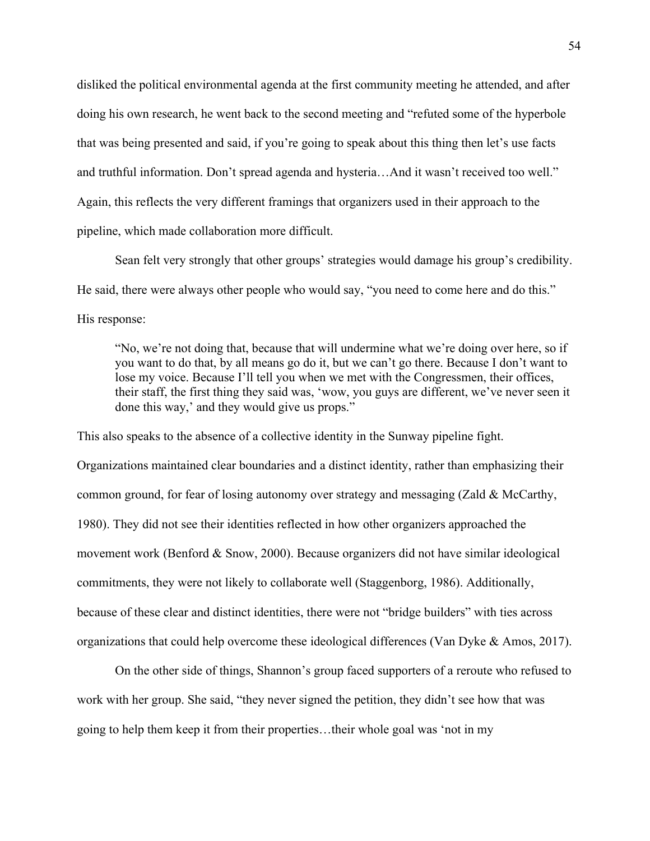disliked the political environmental agenda at the first community meeting he attended, and after doing his own research, he went back to the second meeting and "refuted some of the hyperbole that was being presented and said, if you're going to speak about this thing then let's use facts and truthful information. Don't spread agenda and hysteria…And it wasn't received too well." Again, this reflects the very different framings that organizers used in their approach to the pipeline, which made collaboration more difficult.

Sean felt very strongly that other groups' strategies would damage his group's credibility. He said, there were always other people who would say, "you need to come here and do this." His response:

"No, we're not doing that, because that will undermine what we're doing over here, so if you want to do that, by all means go do it, but we can't go there. Because I don't want to lose my voice. Because I'll tell you when we met with the Congressmen, their offices, their staff, the first thing they said was, 'wow, you guys are different, we've never seen it done this way,' and they would give us props."

This also speaks to the absence of a collective identity in the Sunway pipeline fight. Organizations maintained clear boundaries and a distinct identity, rather than emphasizing their common ground, for fear of losing autonomy over strategy and messaging (Zald & McCarthy, 1980). They did not see their identities reflected in how other organizers approached the movement work (Benford & Snow, 2000). Because organizers did not have similar ideological commitments, they were not likely to collaborate well (Staggenborg, 1986). Additionally, because of these clear and distinct identities, there were not "bridge builders" with ties across organizations that could help overcome these ideological differences (Van Dyke & Amos, 2017).

On the other side of things, Shannon's group faced supporters of a reroute who refused to work with her group. She said, "they never signed the petition, they didn't see how that was going to help them keep it from their properties…their whole goal was 'not in my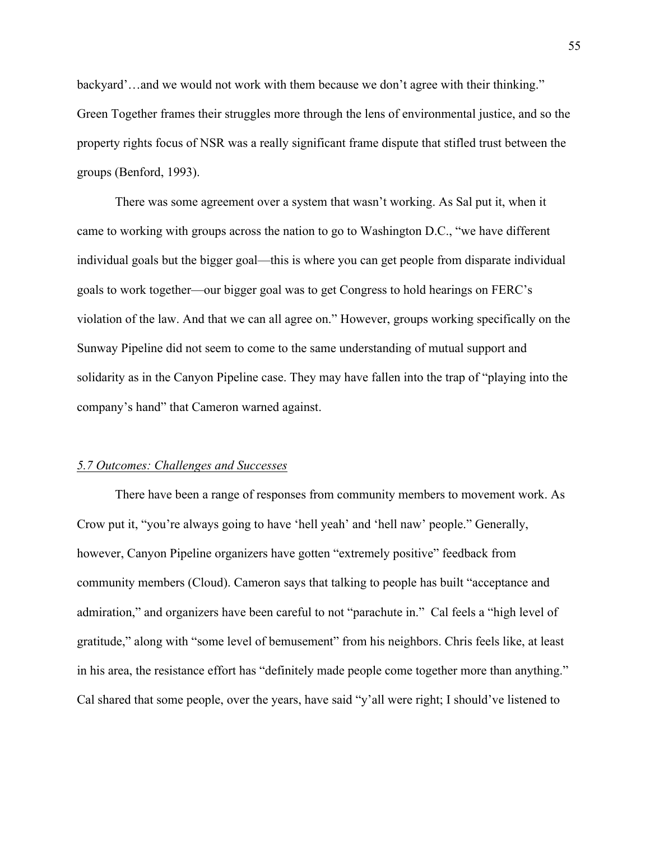backyard'…and we would not work with them because we don't agree with their thinking." Green Together frames their struggles more through the lens of environmental justice, and so the property rights focus of NSR was a really significant frame dispute that stifled trust between the groups (Benford, 1993).

There was some agreement over a system that wasn't working. As Sal put it, when it came to working with groups across the nation to go to Washington D.C., "we have different individual goals but the bigger goal—this is where you can get people from disparate individual goals to work together—our bigger goal was to get Congress to hold hearings on FERC's violation of the law. And that we can all agree on." However, groups working specifically on the Sunway Pipeline did not seem to come to the same understanding of mutual support and solidarity as in the Canyon Pipeline case. They may have fallen into the trap of "playing into the company's hand" that Cameron warned against.

#### *5.7 Outcomes: Challenges and Successes*

There have been a range of responses from community members to movement work. As Crow put it, "you're always going to have 'hell yeah' and 'hell naw' people." Generally, however, Canyon Pipeline organizers have gotten "extremely positive" feedback from community members (Cloud). Cameron says that talking to people has built "acceptance and admiration," and organizers have been careful to not "parachute in." Cal feels a "high level of gratitude," along with "some level of bemusement" from his neighbors. Chris feels like, at least in his area, the resistance effort has "definitely made people come together more than anything." Cal shared that some people, over the years, have said "y'all were right; I should've listened to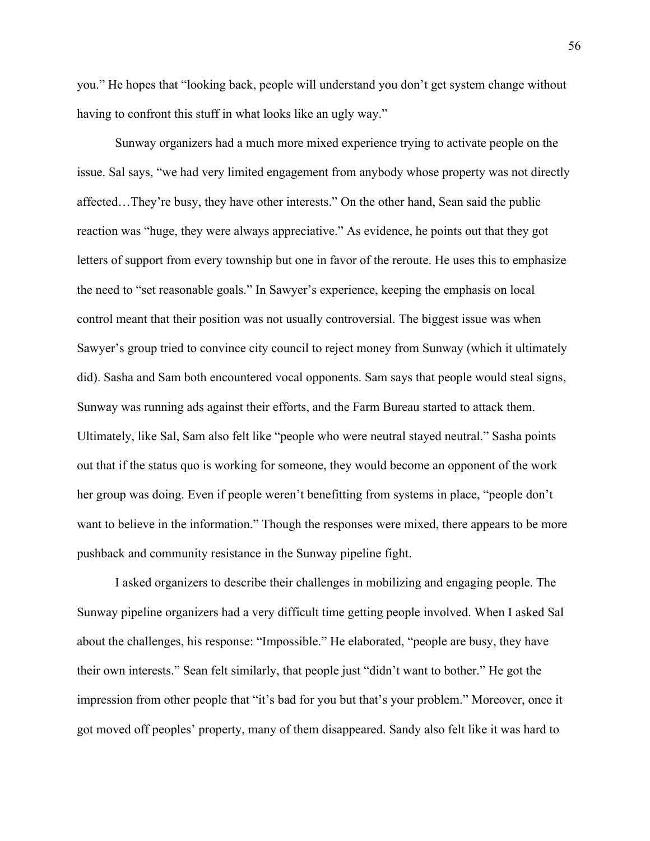you." He hopes that "looking back, people will understand you don't get system change without having to confront this stuff in what looks like an ugly way."

Sunway organizers had a much more mixed experience trying to activate people on the issue. Sal says, "we had very limited engagement from anybody whose property was not directly affected…They're busy, they have other interests." On the other hand, Sean said the public reaction was "huge, they were always appreciative." As evidence, he points out that they got letters of support from every township but one in favor of the reroute. He uses this to emphasize the need to "set reasonable goals." In Sawyer's experience, keeping the emphasis on local control meant that their position was not usually controversial. The biggest issue was when Sawyer's group tried to convince city council to reject money from Sunway (which it ultimately did). Sasha and Sam both encountered vocal opponents. Sam says that people would steal signs, Sunway was running ads against their efforts, and the Farm Bureau started to attack them. Ultimately, like Sal, Sam also felt like "people who were neutral stayed neutral." Sasha points out that if the status quo is working for someone, they would become an opponent of the work her group was doing. Even if people weren't benefitting from systems in place, "people don't want to believe in the information." Though the responses were mixed, there appears to be more pushback and community resistance in the Sunway pipeline fight.

I asked organizers to describe their challenges in mobilizing and engaging people. The Sunway pipeline organizers had a very difficult time getting people involved. When I asked Sal about the challenges, his response: "Impossible." He elaborated, "people are busy, they have their own interests." Sean felt similarly, that people just "didn't want to bother." He got the impression from other people that "it's bad for you but that's your problem." Moreover, once it got moved off peoples' property, many of them disappeared. Sandy also felt like it was hard to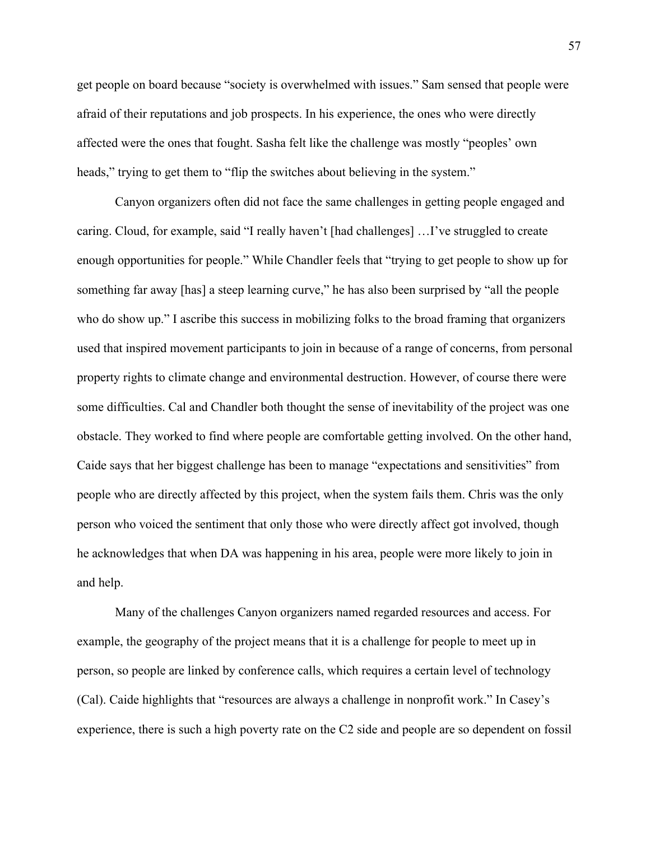get people on board because "society is overwhelmed with issues." Sam sensed that people were afraid of their reputations and job prospects. In his experience, the ones who were directly affected were the ones that fought. Sasha felt like the challenge was mostly "peoples' own heads," trying to get them to "flip the switches about believing in the system."

Canyon organizers often did not face the same challenges in getting people engaged and caring. Cloud, for example, said "I really haven't [had challenges] …I've struggled to create enough opportunities for people." While Chandler feels that "trying to get people to show up for something far away [has] a steep learning curve," he has also been surprised by "all the people who do show up." I ascribe this success in mobilizing folks to the broad framing that organizers used that inspired movement participants to join in because of a range of concerns, from personal property rights to climate change and environmental destruction. However, of course there were some difficulties. Cal and Chandler both thought the sense of inevitability of the project was one obstacle. They worked to find where people are comfortable getting involved. On the other hand, Caide says that her biggest challenge has been to manage "expectations and sensitivities" from people who are directly affected by this project, when the system fails them. Chris was the only person who voiced the sentiment that only those who were directly affect got involved, though he acknowledges that when DA was happening in his area, people were more likely to join in and help.

Many of the challenges Canyon organizers named regarded resources and access. For example, the geography of the project means that it is a challenge for people to meet up in person, so people are linked by conference calls, which requires a certain level of technology (Cal). Caide highlights that "resources are always a challenge in nonprofit work." In Casey's experience, there is such a high poverty rate on the C2 side and people are so dependent on fossil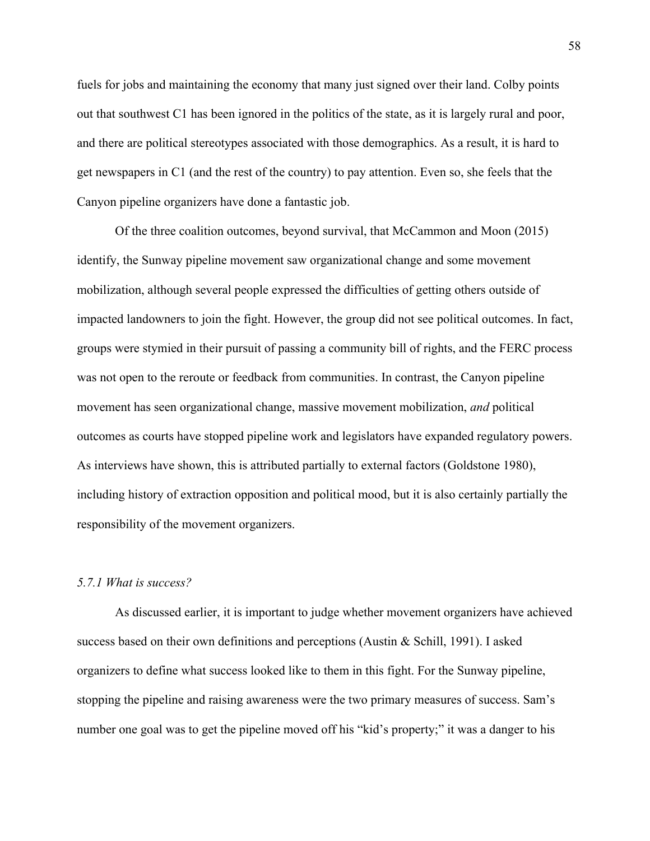fuels for jobs and maintaining the economy that many just signed over their land. Colby points out that southwest C1 has been ignored in the politics of the state, as it is largely rural and poor, and there are political stereotypes associated with those demographics. As a result, it is hard to get newspapers in C1 (and the rest of the country) to pay attention. Even so, she feels that the Canyon pipeline organizers have done a fantastic job.

Of the three coalition outcomes, beyond survival, that McCammon and Moon (2015) identify, the Sunway pipeline movement saw organizational change and some movement mobilization, although several people expressed the difficulties of getting others outside of impacted landowners to join the fight. However, the group did not see political outcomes. In fact, groups were stymied in their pursuit of passing a community bill of rights, and the FERC process was not open to the reroute or feedback from communities. In contrast, the Canyon pipeline movement has seen organizational change, massive movement mobilization, *and* political outcomes as courts have stopped pipeline work and legislators have expanded regulatory powers. As interviews have shown, this is attributed partially to external factors (Goldstone 1980), including history of extraction opposition and political mood, but it is also certainly partially the responsibility of the movement organizers.

# *5.7.1 What is success?*

As discussed earlier, it is important to judge whether movement organizers have achieved success based on their own definitions and perceptions (Austin & Schill, 1991). I asked organizers to define what success looked like to them in this fight. For the Sunway pipeline, stopping the pipeline and raising awareness were the two primary measures of success. Sam's number one goal was to get the pipeline moved off his "kid's property;" it was a danger to his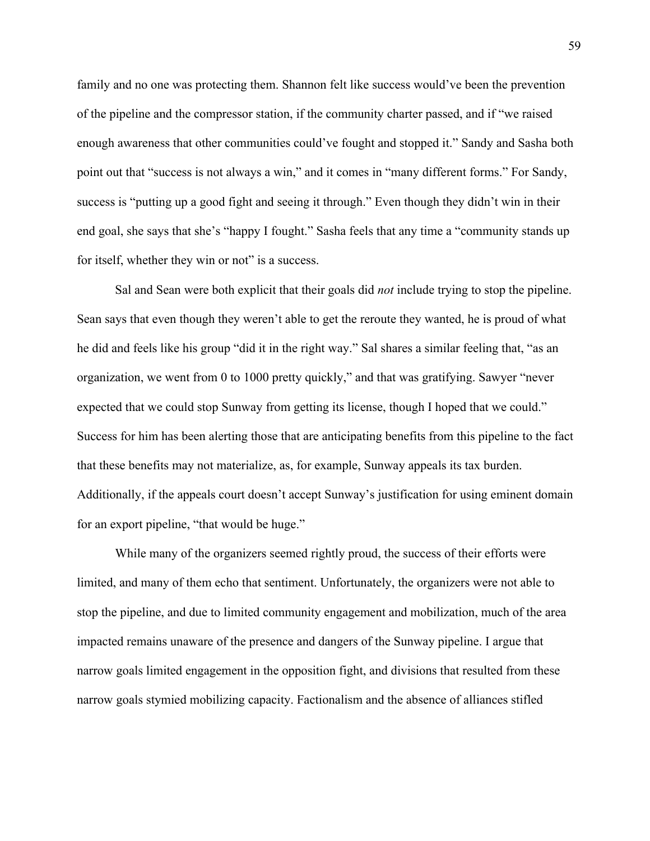family and no one was protecting them. Shannon felt like success would've been the prevention of the pipeline and the compressor station, if the community charter passed, and if "we raised enough awareness that other communities could've fought and stopped it." Sandy and Sasha both point out that "success is not always a win," and it comes in "many different forms." For Sandy, success is "putting up a good fight and seeing it through." Even though they didn't win in their end goal, she says that she's "happy I fought." Sasha feels that any time a "community stands up for itself, whether they win or not" is a success.

Sal and Sean were both explicit that their goals did *not* include trying to stop the pipeline. Sean says that even though they weren't able to get the reroute they wanted, he is proud of what he did and feels like his group "did it in the right way." Sal shares a similar feeling that, "as an organization, we went from 0 to 1000 pretty quickly," and that was gratifying. Sawyer "never expected that we could stop Sunway from getting its license, though I hoped that we could." Success for him has been alerting those that are anticipating benefits from this pipeline to the fact that these benefits may not materialize, as, for example, Sunway appeals its tax burden. Additionally, if the appeals court doesn't accept Sunway's justification for using eminent domain for an export pipeline, "that would be huge."

While many of the organizers seemed rightly proud, the success of their efforts were limited, and many of them echo that sentiment. Unfortunately, the organizers were not able to stop the pipeline, and due to limited community engagement and mobilization, much of the area impacted remains unaware of the presence and dangers of the Sunway pipeline. I argue that narrow goals limited engagement in the opposition fight, and divisions that resulted from these narrow goals stymied mobilizing capacity. Factionalism and the absence of alliances stifled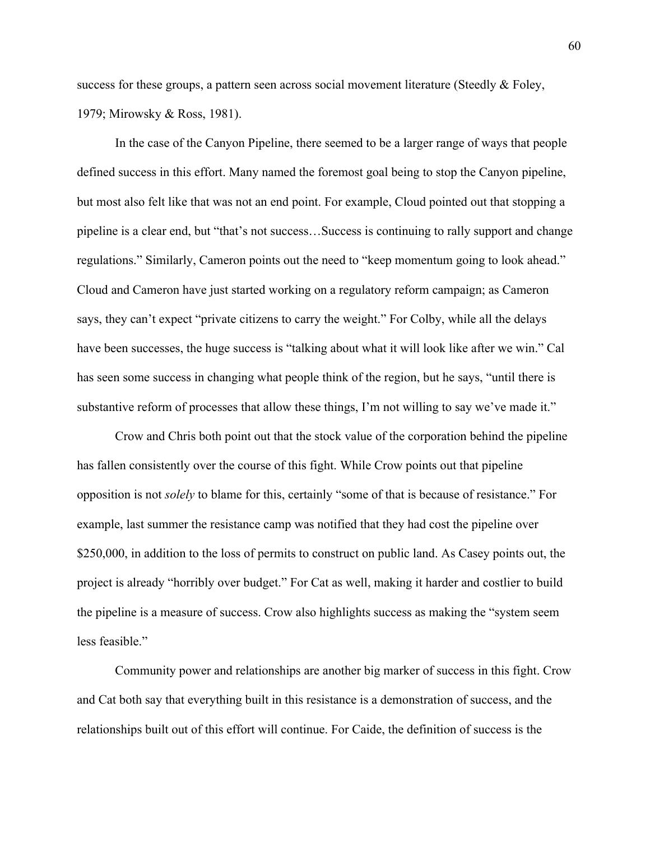success for these groups, a pattern seen across social movement literature (Steedly & Foley, 1979; Mirowsky & Ross, 1981).

In the case of the Canyon Pipeline, there seemed to be a larger range of ways that people defined success in this effort. Many named the foremost goal being to stop the Canyon pipeline, but most also felt like that was not an end point. For example, Cloud pointed out that stopping a pipeline is a clear end, but "that's not success…Success is continuing to rally support and change regulations." Similarly, Cameron points out the need to "keep momentum going to look ahead." Cloud and Cameron have just started working on a regulatory reform campaign; as Cameron says, they can't expect "private citizens to carry the weight." For Colby, while all the delays have been successes, the huge success is "talking about what it will look like after we win." Cal has seen some success in changing what people think of the region, but he says, "until there is substantive reform of processes that allow these things, I'm not willing to say we've made it."

Crow and Chris both point out that the stock value of the corporation behind the pipeline has fallen consistently over the course of this fight. While Crow points out that pipeline opposition is not *solely* to blame for this, certainly "some of that is because of resistance." For example, last summer the resistance camp was notified that they had cost the pipeline over \$250,000, in addition to the loss of permits to construct on public land. As Casey points out, the project is already "horribly over budget." For Cat as well, making it harder and costlier to build the pipeline is a measure of success. Crow also highlights success as making the "system seem less feasible."

Community power and relationships are another big marker of success in this fight. Crow and Cat both say that everything built in this resistance is a demonstration of success, and the relationships built out of this effort will continue. For Caide, the definition of success is the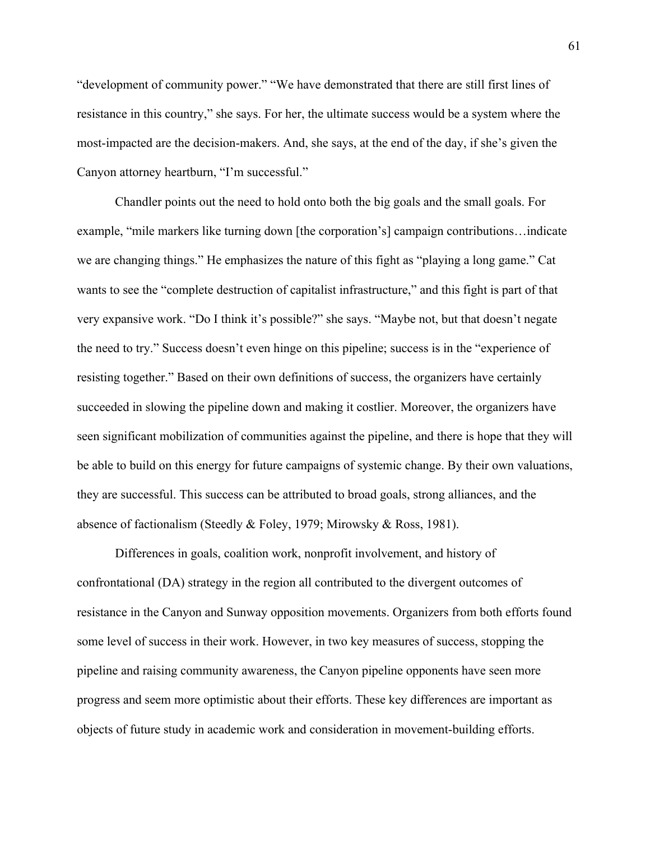"development of community power." "We have demonstrated that there are still first lines of resistance in this country," she says. For her, the ultimate success would be a system where the most-impacted are the decision-makers. And, she says, at the end of the day, if she's given the Canyon attorney heartburn, "I'm successful."

Chandler points out the need to hold onto both the big goals and the small goals. For example, "mile markers like turning down [the corporation's] campaign contributions…indicate we are changing things." He emphasizes the nature of this fight as "playing a long game." Cat wants to see the "complete destruction of capitalist infrastructure," and this fight is part of that very expansive work. "Do I think it's possible?" she says. "Maybe not, but that doesn't negate the need to try." Success doesn't even hinge on this pipeline; success is in the "experience of resisting together." Based on their own definitions of success, the organizers have certainly succeeded in slowing the pipeline down and making it costlier. Moreover, the organizers have seen significant mobilization of communities against the pipeline, and there is hope that they will be able to build on this energy for future campaigns of systemic change. By their own valuations, they are successful. This success can be attributed to broad goals, strong alliances, and the absence of factionalism (Steedly & Foley, 1979; Mirowsky & Ross, 1981).

Differences in goals, coalition work, nonprofit involvement, and history of confrontational (DA) strategy in the region all contributed to the divergent outcomes of resistance in the Canyon and Sunway opposition movements. Organizers from both efforts found some level of success in their work. However, in two key measures of success, stopping the pipeline and raising community awareness, the Canyon pipeline opponents have seen more progress and seem more optimistic about their efforts. These key differences are important as objects of future study in academic work and consideration in movement-building efforts.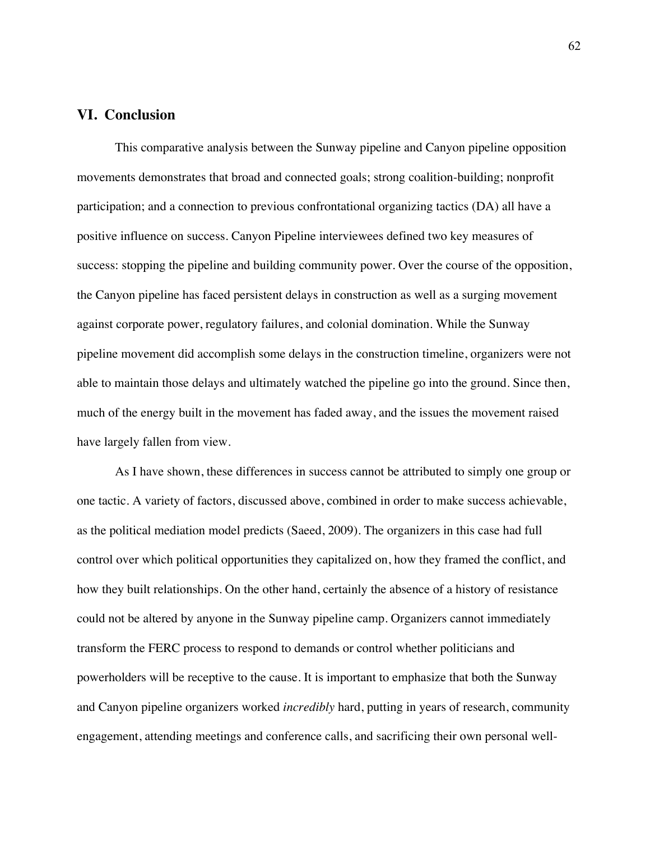# **VI. Conclusion**

This comparative analysis between the Sunway pipeline and Canyon pipeline opposition movements demonstrates that broad and connected goals; strong coalition-building; nonprofit participation; and a connection to previous confrontational organizing tactics (DA) all have a positive influence on success. Canyon Pipeline interviewees defined two key measures of success: stopping the pipeline and building community power. Over the course of the opposition, the Canyon pipeline has faced persistent delays in construction as well as a surging movement against corporate power, regulatory failures, and colonial domination. While the Sunway pipeline movement did accomplish some delays in the construction timeline, organizers were not able to maintain those delays and ultimately watched the pipeline go into the ground. Since then, much of the energy built in the movement has faded away, and the issues the movement raised have largely fallen from view.

As I have shown, these differences in success cannot be attributed to simply one group or one tactic. A variety of factors, discussed above, combined in order to make success achievable, as the political mediation model predicts (Saeed, 2009). The organizers in this case had full control over which political opportunities they capitalized on, how they framed the conflict, and how they built relationships. On the other hand, certainly the absence of a history of resistance could not be altered by anyone in the Sunway pipeline camp. Organizers cannot immediately transform the FERC process to respond to demands or control whether politicians and powerholders will be receptive to the cause. It is important to emphasize that both the Sunway and Canyon pipeline organizers worked *incredibly* hard, putting in years of research, community engagement, attending meetings and conference calls, and sacrificing their own personal well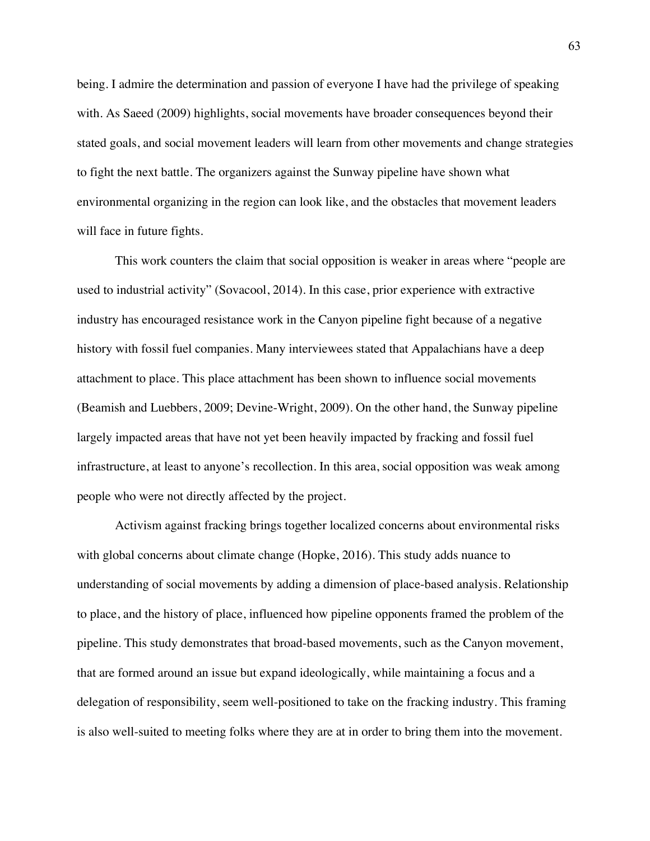being. I admire the determination and passion of everyone I have had the privilege of speaking with. As Saeed (2009) highlights, social movements have broader consequences beyond their stated goals, and social movement leaders will learn from other movements and change strategies to fight the next battle. The organizers against the Sunway pipeline have shown what environmental organizing in the region can look like, and the obstacles that movement leaders will face in future fights.

This work counters the claim that social opposition is weaker in areas where "people are used to industrial activity" (Sovacool, 2014). In this case, prior experience with extractive industry has encouraged resistance work in the Canyon pipeline fight because of a negative history with fossil fuel companies. Many interviewees stated that Appalachians have a deep attachment to place. This place attachment has been shown to influence social movements (Beamish and Luebbers, 2009; Devine-Wright, 2009). On the other hand, the Sunway pipeline largely impacted areas that have not yet been heavily impacted by fracking and fossil fuel infrastructure, at least to anyone's recollection. In this area, social opposition was weak among people who were not directly affected by the project.

Activism against fracking brings together localized concerns about environmental risks with global concerns about climate change (Hopke, 2016). This study adds nuance to understanding of social movements by adding a dimension of place-based analysis. Relationship to place, and the history of place, influenced how pipeline opponents framed the problem of the pipeline. This study demonstrates that broad-based movements, such as the Canyon movement, that are formed around an issue but expand ideologically, while maintaining a focus and a delegation of responsibility, seem well-positioned to take on the fracking industry. This framing is also well-suited to meeting folks where they are at in order to bring them into the movement.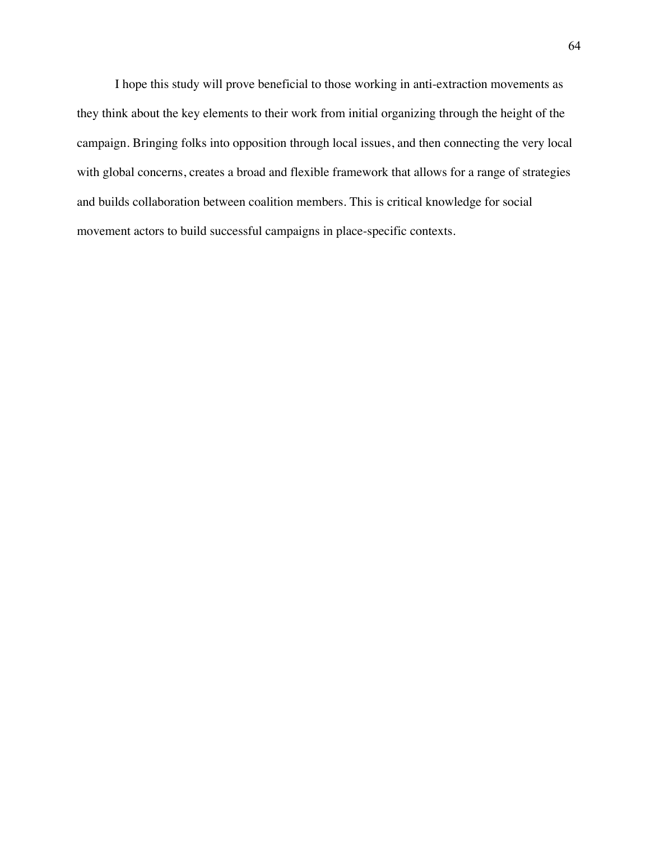I hope this study will prove beneficial to those working in anti-extraction movements as they think about the key elements to their work from initial organizing through the height of the campaign. Bringing folks into opposition through local issues, and then connecting the very local with global concerns, creates a broad and flexible framework that allows for a range of strategies and builds collaboration between coalition members. This is critical knowledge for social movement actors to build successful campaigns in place-specific contexts.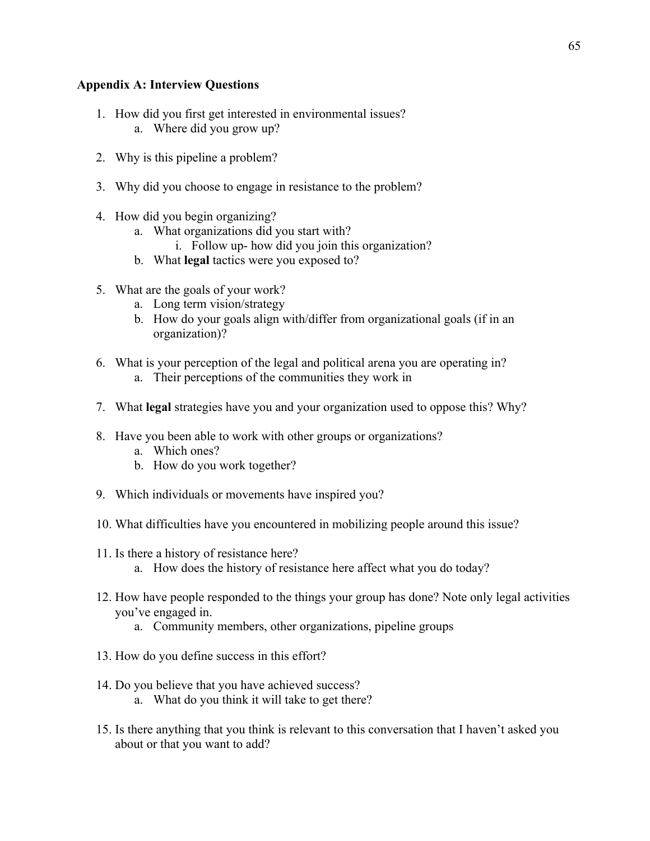# **Appendix A: Interview Questions**

- 1. How did you first get interested in environmental issues? a. Where did you grow up?
- 2. Why is this pipeline a problem?
- 3. Why did you choose to engage in resistance to the problem?
- 4. How did you begin organizing?
	- a. What organizations did you start with?
		- i. Follow up- how did you join this organization?
	- b. What **legal** tactics were you exposed to?
- 5. What are the goals of your work?
	- a. Long term vision/strategy
	- b. How do your goals align with/differ from organizational goals (if in an organization)?
- 6. What is your perception of the legal and political arena you are operating in?
	- a. Their perceptions of the communities they work in
- 7. What **legal** strategies have you and your organization used to oppose this? Why?
- 8. Have you been able to work with other groups or organizations?
	- a. Which ones?
	- b. How do you work together?
- 9. Which individuals or movements have inspired you?
- 10. What difficulties have you encountered in mobilizing people around this issue?
- 11. Is there a history of resistance here?
	- a. How does the history of resistance here affect what you do today?
- 12. How have people responded to the things your group has done? Note only legal activities you've engaged in.
	- a. Community members, other organizations, pipeline groups
- 13. How do you define success in this effort?
- 14. Do you believe that you have achieved success? a. What do you think it will take to get there?
- 15. Is there anything that you think is relevant to this conversation that I haven't asked you about or that you want to add?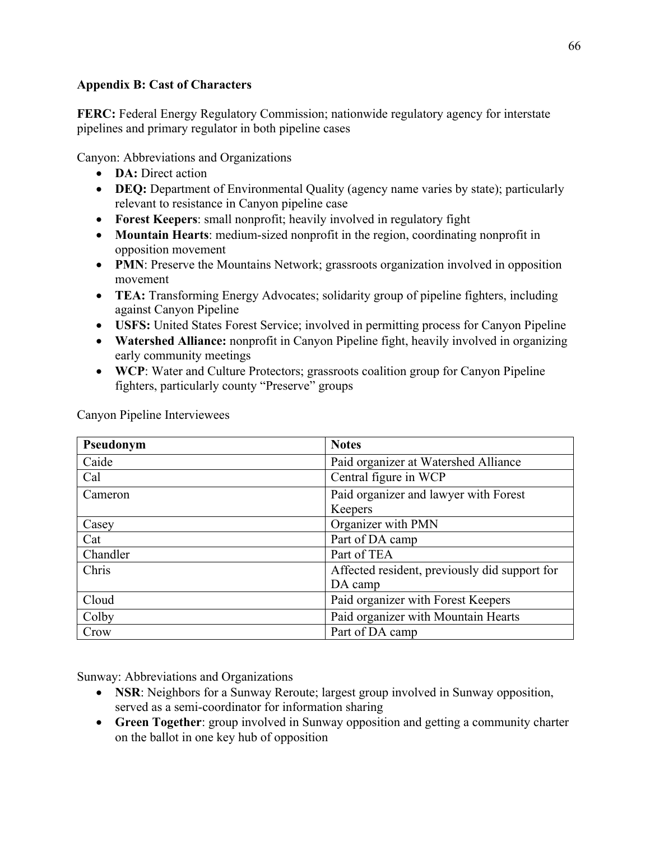# **Appendix B: Cast of Characters**

**FERC:** Federal Energy Regulatory Commission; nationwide regulatory agency for interstate pipelines and primary regulator in both pipeline cases

Canyon: Abbreviations and Organizations

- **DA:** Direct action
- **DEQ:** Department of Environmental Quality (agency name varies by state); particularly relevant to resistance in Canyon pipeline case
- **Forest Keepers**: small nonprofit; heavily involved in regulatory fight
- **Mountain Hearts**: medium-sized nonprofit in the region, coordinating nonprofit in opposition movement
- **PMN**: Preserve the Mountains Network; grassroots organization involved in opposition movement
- **TEA:** Transforming Energy Advocates; solidarity group of pipeline fighters, including against Canyon Pipeline
- **USFS:** United States Forest Service; involved in permitting process for Canyon Pipeline
- **Watershed Alliance:** nonprofit in Canyon Pipeline fight, heavily involved in organizing early community meetings
- **WCP**: Water and Culture Protectors; grassroots coalition group for Canyon Pipeline fighters, particularly county "Preserve" groups

| Pseudonym | <b>Notes</b>                                  |
|-----------|-----------------------------------------------|
| Caide     | Paid organizer at Watershed Alliance          |
| Cal       | Central figure in WCP                         |
| Cameron   | Paid organizer and lawyer with Forest         |
|           | Keepers                                       |
| Casey     | Organizer with PMN                            |
| Cat       | Part of DA camp                               |
| Chandler  | Part of TEA                                   |
| Chris     | Affected resident, previously did support for |
|           | DA camp                                       |
| Cloud     | Paid organizer with Forest Keepers            |
| Colby     | Paid organizer with Mountain Hearts           |
| Crow      | Part of DA camp                               |

Canyon Pipeline Interviewees

Sunway: Abbreviations and Organizations

- **NSR**: Neighbors for a Sunway Reroute; largest group involved in Sunway opposition, served as a semi-coordinator for information sharing
- **Green Together**: group involved in Sunway opposition and getting a community charter on the ballot in one key hub of opposition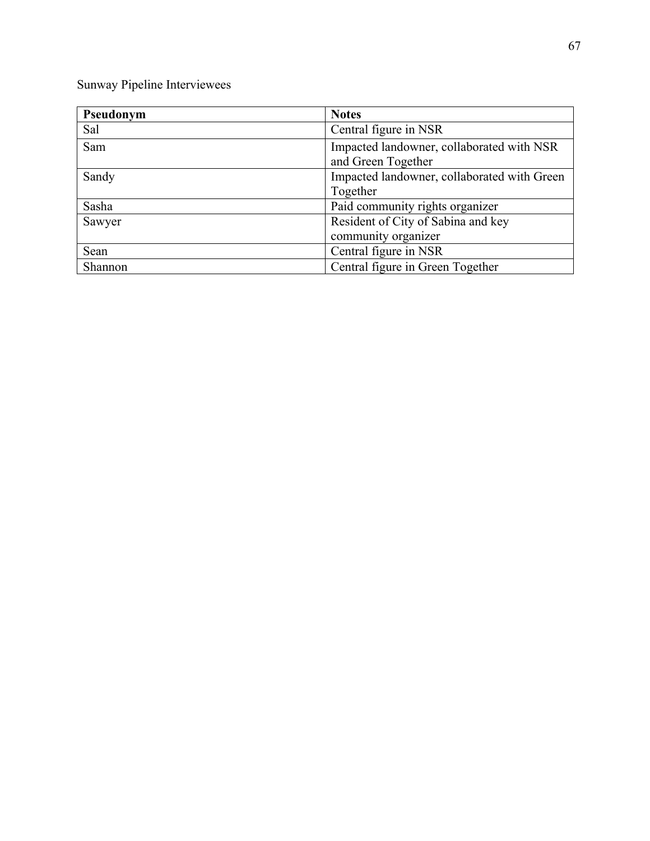Sunway Pipeline Interviewees

| Pseudonym | <b>Notes</b>                                |
|-----------|---------------------------------------------|
| Sal       | Central figure in NSR                       |
| Sam       | Impacted landowner, collaborated with NSR   |
|           | and Green Together                          |
| Sandy     | Impacted landowner, collaborated with Green |
|           | Together                                    |
| Sasha     | Paid community rights organizer             |
| Sawyer    | Resident of City of Sabina and key          |
|           | community organizer                         |
| Sean      | Central figure in NSR                       |
| Shannon   | Central figure in Green Together            |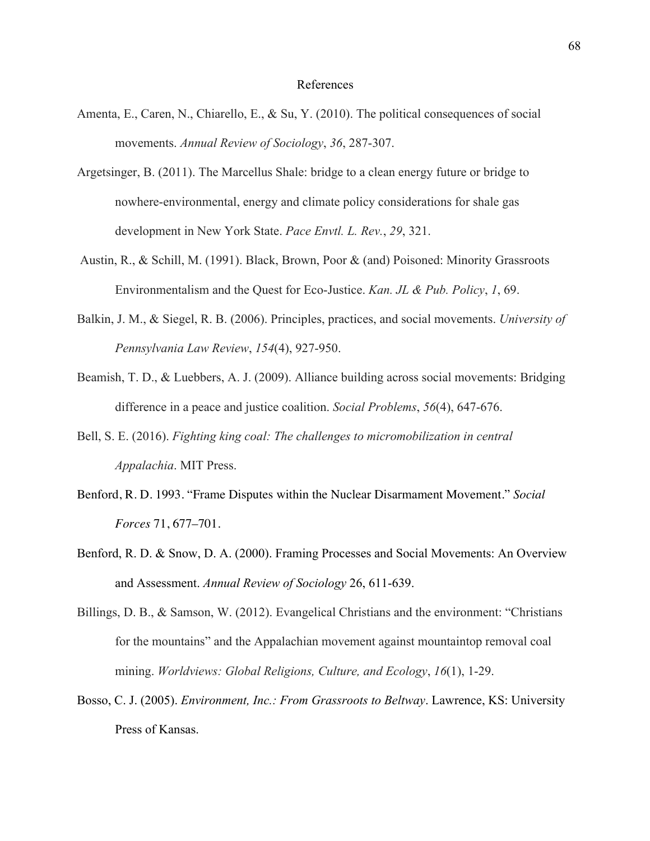#### References

- Amenta, E., Caren, N., Chiarello, E., & Su, Y. (2010). The political consequences of social movements. *Annual Review of Sociology*, *36*, 287-307.
- Argetsinger, B. (2011). The Marcellus Shale: bridge to a clean energy future or bridge to nowhere-environmental, energy and climate policy considerations for shale gas development in New York State. *Pace Envtl. L. Rev.*, *29*, 321.
- Austin, R., & Schill, M. (1991). Black, Brown, Poor & (and) Poisoned: Minority Grassroots Environmentalism and the Quest for Eco-Justice. *Kan. JL & Pub. Policy*, *1*, 69.
- Balkin, J. M., & Siegel, R. B. (2006). Principles, practices, and social movements. *University of Pennsylvania Law Review*, *154*(4), 927-950.
- Beamish, T. D., & Luebbers, A. J. (2009). Alliance building across social movements: Bridging difference in a peace and justice coalition. *Social Problems*, *56*(4), 647-676.
- Bell, S. E. (2016). *Fighting king coal: The challenges to micromobilization in central Appalachia*. MIT Press.
- Benford, R. D. 1993. "Frame Disputes within the Nuclear Disarmament Movement." *Social Forces* 71, 677–701.
- Benford, R. D. & Snow, D. A. (2000). Framing Processes and Social Movements: An Overview and Assessment. *Annual Review of Sociology* 26, 611-639.
- Billings, D. B., & Samson, W. (2012). Evangelical Christians and the environment: "Christians for the mountains" and the Appalachian movement against mountaintop removal coal mining. *Worldviews: Global Religions, Culture, and Ecology*, *16*(1), 1-29.
- Bosso, C. J. (2005). *Environment, Inc.: From Grassroots to Beltway*. Lawrence, KS: University Press of Kansas.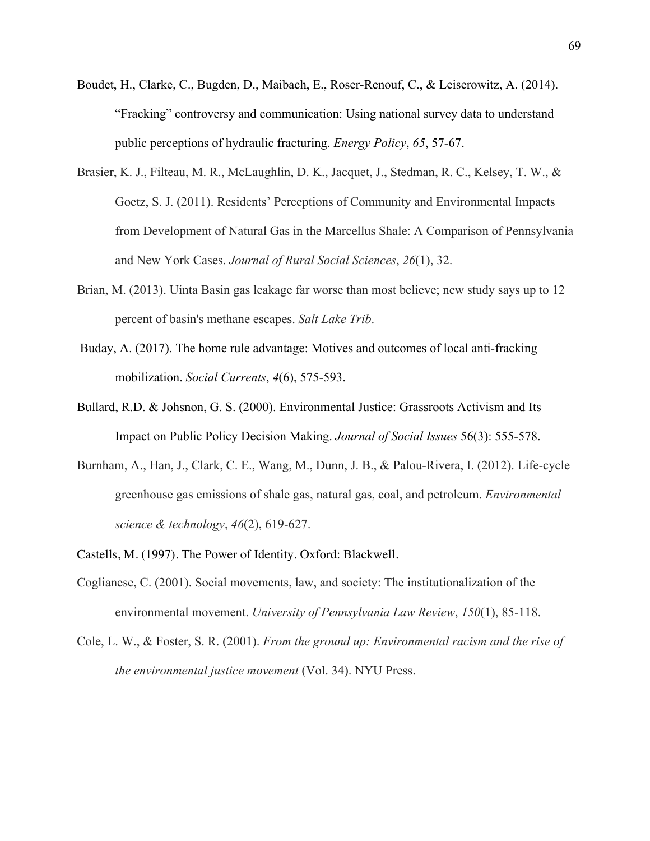- Boudet, H., Clarke, C., Bugden, D., Maibach, E., Roser-Renouf, C., & Leiserowitz, A. (2014). "Fracking" controversy and communication: Using national survey data to understand public perceptions of hydraulic fracturing. *Energy Policy*, *65*, 57-67.
- Brasier, K. J., Filteau, M. R., McLaughlin, D. K., Jacquet, J., Stedman, R. C., Kelsey, T. W., & Goetz, S. J. (2011). Residents' Perceptions of Community and Environmental Impacts from Development of Natural Gas in the Marcellus Shale: A Comparison of Pennsylvania and New York Cases. *Journal of Rural Social Sciences*, *26*(1), 32.
- Brian, M. (2013). Uinta Basin gas leakage far worse than most believe; new study says up to 12 percent of basin's methane escapes. *Salt Lake Trib*.
- Buday, A. (2017). The home rule advantage: Motives and outcomes of local anti-fracking mobilization. *Social Currents*, *4*(6), 575-593.
- Bullard, R.D. & Johsnon, G. S. (2000). Environmental Justice: Grassroots Activism and Its Impact on Public Policy Decision Making. *Journal of Social Issues* 56(3): 555-578.
- Burnham, A., Han, J., Clark, C. E., Wang, M., Dunn, J. B., & Palou-Rivera, I. (2012). Life-cycle greenhouse gas emissions of shale gas, natural gas, coal, and petroleum. *Environmental science & technology*, *46*(2), 619-627.
- Castells, M. (1997). The Power of Identity. Oxford: Blackwell.
- Coglianese, C. (2001). Social movements, law, and society: The institutionalization of the environmental movement. *University of Pennsylvania Law Review*, *150*(1), 85-118.
- Cole, L. W., & Foster, S. R. (2001). *From the ground up: Environmental racism and the rise of the environmental justice movement* (Vol. 34). NYU Press.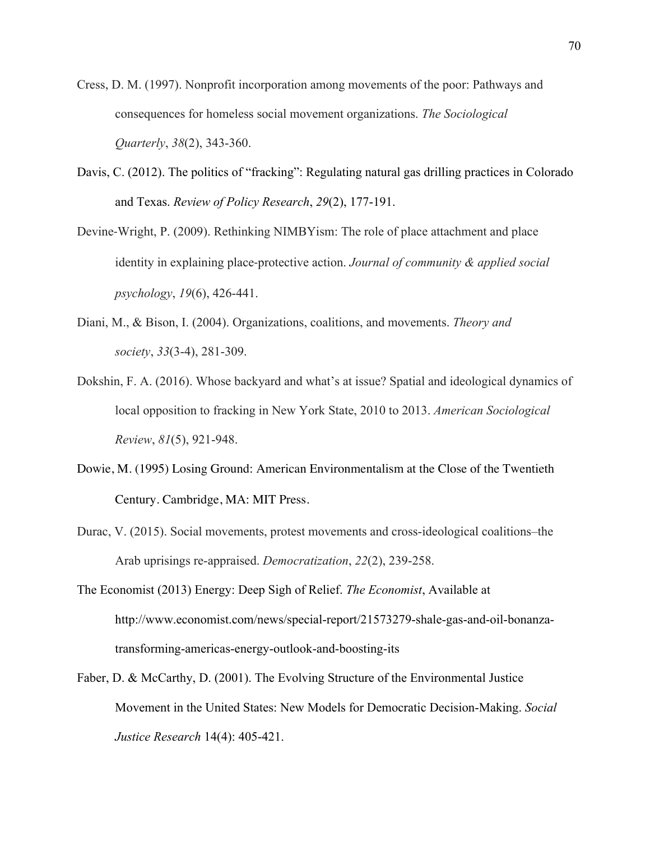- Cress, D. M. (1997). Nonprofit incorporation among movements of the poor: Pathways and consequences for homeless social movement organizations. *The Sociological Quarterly*, *38*(2), 343-360.
- Davis, C. (2012). The politics of "fracking": Regulating natural gas drilling practices in Colorado and Texas. *Review of Policy Research*, *29*(2), 177-191.
- Devine-Wright, P. (2009). Rethinking NIMBYism: The role of place attachment and place identity in explaining place-protective action. *Journal of community & applied social psychology*, *19*(6), 426-441.
- Diani, M., & Bison, I. (2004). Organizations, coalitions, and movements. *Theory and society*, *33*(3-4), 281-309.
- Dokshin, F. A. (2016). Whose backyard and what's at issue? Spatial and ideological dynamics of local opposition to fracking in New York State, 2010 to 2013. *American Sociological Review*, *81*(5), 921-948.
- Dowie, M. (1995) Losing Ground: American Environmentalism at the Close of the Twentieth Century. Cambridge, MA: MIT Press.
- Durac, V. (2015). Social movements, protest movements and cross-ideological coalitions–the Arab uprisings re-appraised. *Democratization*, *22*(2), 239-258.
- The Economist (2013) Energy: Deep Sigh of Relief. *The Economist*, Available at http://www.economist.com/news/special-report/21573279-shale-gas-and-oil-bonanzatransforming-americas-energy-outlook-and-boosting-its
- Faber, D. & McCarthy, D. (2001). The Evolving Structure of the Environmental Justice Movement in the United States: New Models for Democratic Decision-Making. *Social Justice Research* 14(4): 405-421.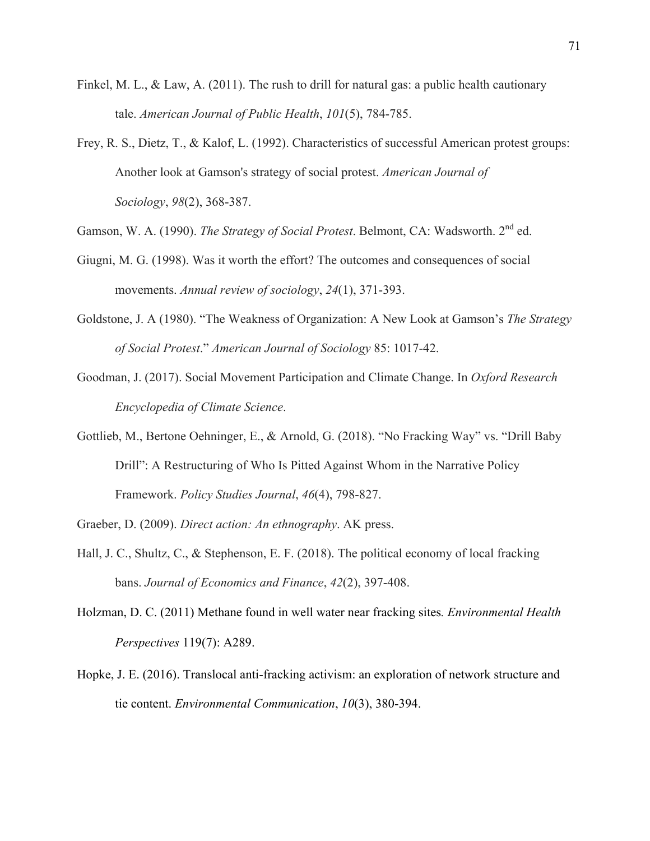- Finkel, M. L., & Law, A. (2011). The rush to drill for natural gas: a public health cautionary tale. *American Journal of Public Health*, *101*(5), 784-785.
- Frey, R. S., Dietz, T., & Kalof, L. (1992). Characteristics of successful American protest groups: Another look at Gamson's strategy of social protest. *American Journal of Sociology*, *98*(2), 368-387.
- Gamson, W. A. (1990). *The Strategy of Social Protest*. Belmont, CA: Wadsworth. 2nd ed.
- Giugni, M. G. (1998). Was it worth the effort? The outcomes and consequences of social movements. *Annual review of sociology*, *24*(1), 371-393.
- Goldstone, J. A (1980). "The Weakness of Organization: A New Look at Gamson's *The Strategy of Social Protest*." *American Journal of Sociology* 85: 1017-42.
- Goodman, J. (2017). Social Movement Participation and Climate Change. In *Oxford Research Encyclopedia of Climate Science*.
- Gottlieb, M., Bertone Oehninger, E., & Arnold, G. (2018). "No Fracking Way" vs. "Drill Baby Drill": A Restructuring of Who Is Pitted Against Whom in the Narrative Policy Framework. *Policy Studies Journal*, *46*(4), 798-827.
- Graeber, D. (2009). *Direct action: An ethnography*. AK press.
- Hall, J. C., Shultz, C., & Stephenson, E. F. (2018). The political economy of local fracking bans. *Journal of Economics and Finance*, *42*(2), 397-408.
- Holzman, D. C. (2011) Methane found in well water near fracking sites*. Environmental Health Perspectives* 119(7): A289.
- Hopke, J. E. (2016). Translocal anti-fracking activism: an exploration of network structure and tie content. *Environmental Communication*, *10*(3), 380-394.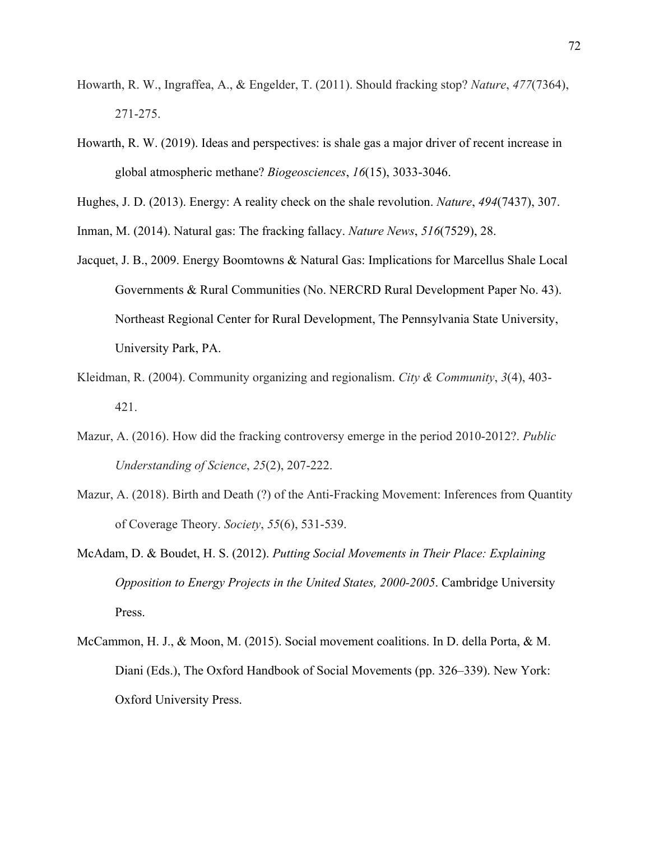- Howarth, R. W., Ingraffea, A., & Engelder, T. (2011). Should fracking stop? *Nature*, *477*(7364), 271-275.
- Howarth, R. W. (2019). Ideas and perspectives: is shale gas a major driver of recent increase in global atmospheric methane? *Biogeosciences*, *16*(15), 3033-3046.

Hughes, J. D. (2013). Energy: A reality check on the shale revolution. *Nature*, *494*(7437), 307.

Inman, M. (2014). Natural gas: The fracking fallacy. *Nature News*, *516*(7529), 28.

- Jacquet, J. B., 2009. Energy Boomtowns & Natural Gas: Implications for Marcellus Shale Local Governments & Rural Communities (No. NERCRD Rural Development Paper No. 43). Northeast Regional Center for Rural Development, The Pennsylvania State University, University Park, PA.
- Kleidman, R. (2004). Community organizing and regionalism. *City & Community*, *3*(4), 403- 421.
- Mazur, A. (2016). How did the fracking controversy emerge in the period 2010-2012?. *Public Understanding of Science*, *25*(2), 207-222.
- Mazur, A. (2018). Birth and Death (?) of the Anti-Fracking Movement: Inferences from Quantity of Coverage Theory. *Society*, *55*(6), 531-539.
- McAdam, D. & Boudet, H. S. (2012). *Putting Social Movements in Their Place: Explaining Opposition to Energy Projects in the United States, 2000-2005*. Cambridge University Press.
- McCammon, H. J., & Moon, M. (2015). Social movement coalitions. In D. della Porta, & M. Diani (Eds.), The Oxford Handbook of Social Movements (pp. 326–339). New York: Oxford University Press.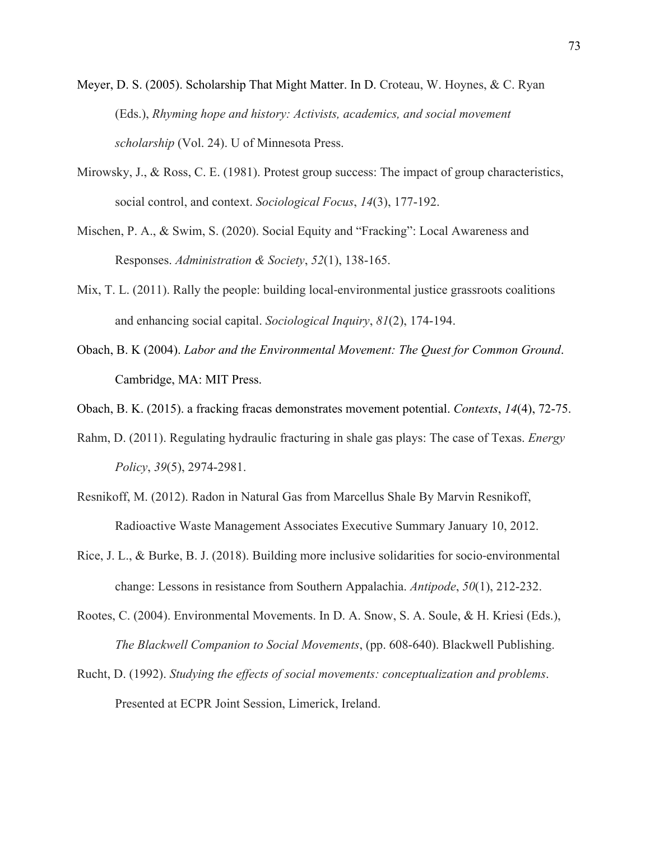- Meyer, D. S. (2005). Scholarship That Might Matter. In D. Croteau, W. Hoynes, & C. Ryan (Eds.), *Rhyming hope and history: Activists, academics, and social movement scholarship* (Vol. 24). U of Minnesota Press.
- Mirowsky, J., & Ross, C. E. (1981). Protest group success: The impact of group characteristics, social control, and context. *Sociological Focus*, *14*(3), 177-192.
- Mischen, P. A., & Swim, S. (2020). Social Equity and "Fracking": Local Awareness and Responses. *Administration & Society*, *52*(1), 138-165.
- Mix, T. L. (2011). Rally the people: building local-environmental justice grassroots coalitions and enhancing social capital. *Sociological Inquiry*, *81*(2), 174-194.
- Obach, B. K (2004). *Labor and the Environmental Movement: The Quest for Common Ground*. Cambridge, MA: MIT Press.
- Obach, B. K. (2015). a fracking fracas demonstrates movement potential. *Contexts*, *14*(4), 72-75.
- Rahm, D. (2011). Regulating hydraulic fracturing in shale gas plays: The case of Texas. *Energy Policy*, *39*(5), 2974-2981.
- Resnikoff, M. (2012). Radon in Natural Gas from Marcellus Shale By Marvin Resnikoff, Radioactive Waste Management Associates Executive Summary January 10, 2012.
- Rice, J. L., & Burke, B. J. (2018). Building more inclusive solidarities for socio-environmental change: Lessons in resistance from Southern Appalachia. *Antipode*, *50*(1), 212-232.
- Rootes, C. (2004). Environmental Movements. In D. A. Snow, S. A. Soule, & H. Kriesi (Eds.), *The Blackwell Companion to Social Movements*, (pp. 608-640). Blackwell Publishing.
- Rucht, D. (1992). *Studying the effects of social movements: conceptualization and problems*. Presented at ECPR Joint Session, Limerick, Ireland.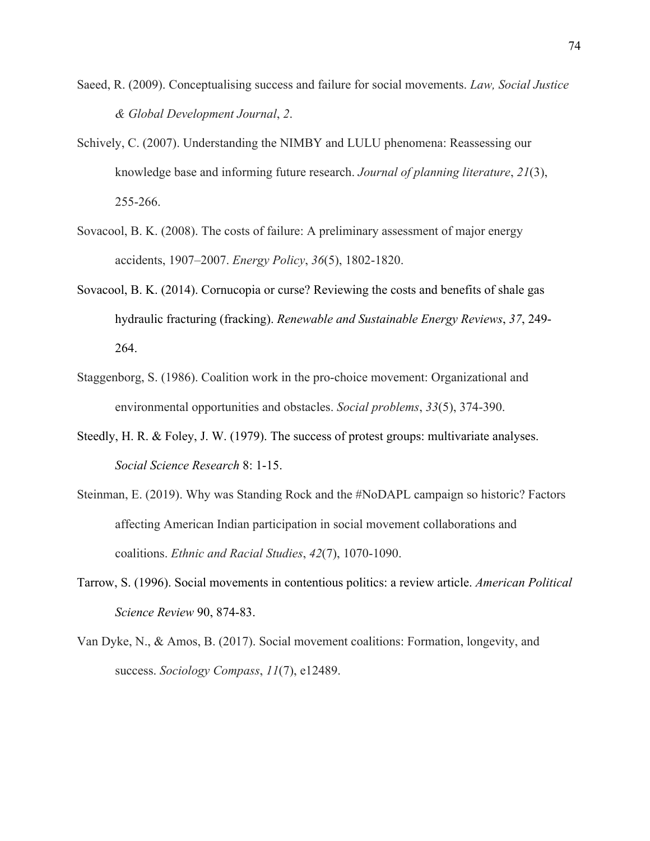- Saeed, R. (2009). Conceptualising success and failure for social movements. *Law, Social Justice & Global Development Journal*, *2*.
- Schively, C. (2007). Understanding the NIMBY and LULU phenomena: Reassessing our knowledge base and informing future research. *Journal of planning literature*, *21*(3), 255-266.
- Sovacool, B. K. (2008). The costs of failure: A preliminary assessment of major energy accidents, 1907–2007. *Energy Policy*, *36*(5), 1802-1820.
- Sovacool, B. K. (2014). Cornucopia or curse? Reviewing the costs and benefits of shale gas hydraulic fracturing (fracking). *Renewable and Sustainable Energy Reviews*, *37*, 249- 264.
- Staggenborg, S. (1986). Coalition work in the pro-choice movement: Organizational and environmental opportunities and obstacles. *Social problems*, *33*(5), 374-390.
- Steedly, H. R. & Foley, J. W. (1979). The success of protest groups: multivariate analyses. *Social Science Research* 8: 1-15.
- Steinman, E. (2019). Why was Standing Rock and the #NoDAPL campaign so historic? Factors affecting American Indian participation in social movement collaborations and coalitions. *Ethnic and Racial Studies*, *42*(7), 1070-1090.
- Tarrow, S. (1996). Social movements in contentious politics: a review article. *American Political Science Review* 90, 874-83.
- Van Dyke, N., & Amos, B. (2017). Social movement coalitions: Formation, longevity, and success. *Sociology Compass*, *11*(7), e12489.